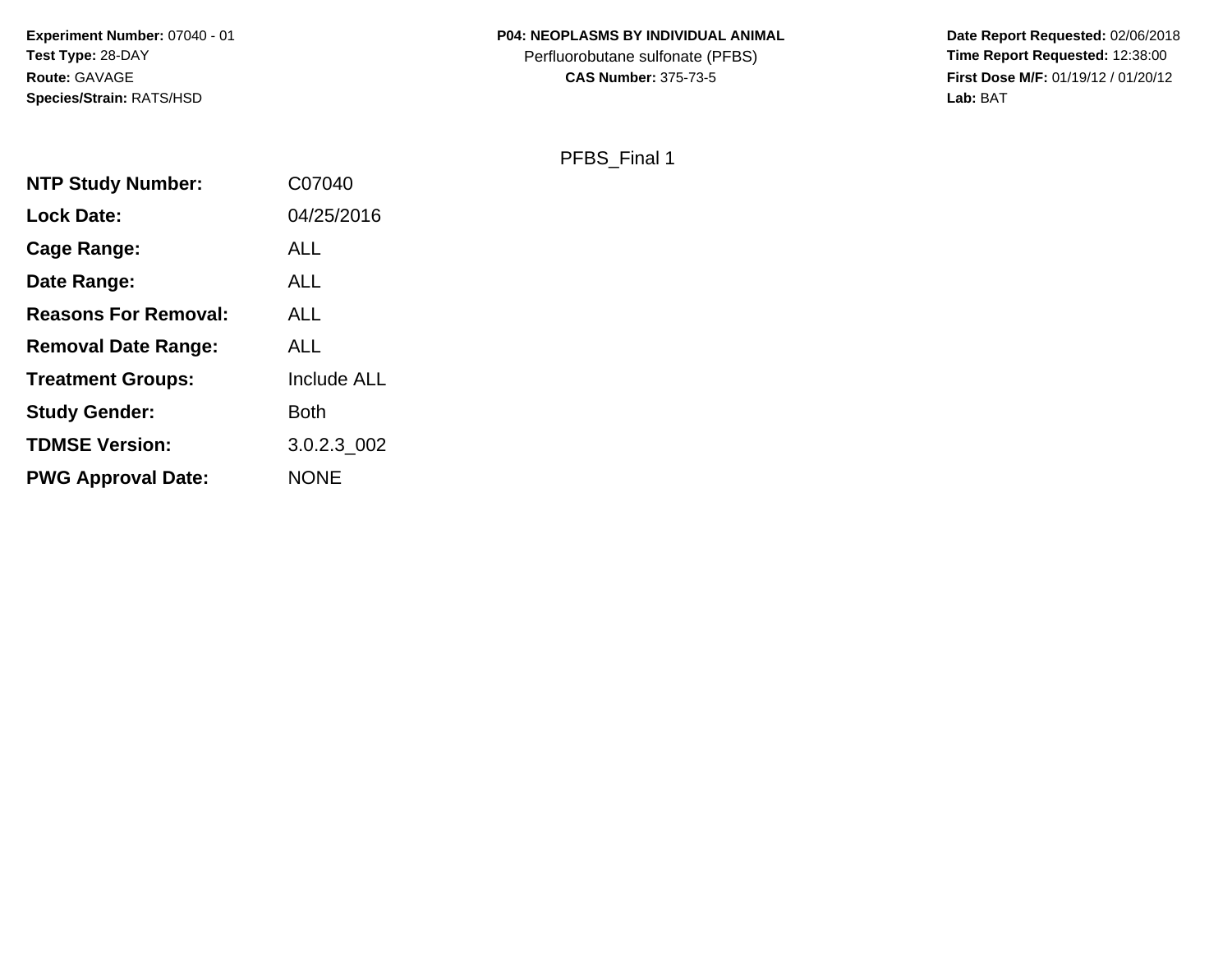#### **P04: NEOPLASMS BY INDIVIDUAL ANIMAL**

Perfluorobutane sulfonate (PFBS)<br>**CAS Number:** 375-73-5

 **Date Report Requested:** 02/06/2018 **First Dose M/F:** 01/19/12 / 01/20/12<br>Lab: BAT **Lab:** BAT

PFBS\_Final 1

| <b>NTP Study Number:</b>    | C07040      |
|-----------------------------|-------------|
| Lock Date:                  | 04/25/2016  |
| <b>Cage Range:</b>          | <b>ALL</b>  |
| Date Range:                 | <b>ALL</b>  |
| <b>Reasons For Removal:</b> | <b>ALL</b>  |
| <b>Removal Date Range:</b>  | <b>ALL</b>  |
| <b>Treatment Groups:</b>    | Include ALL |
| <b>Study Gender:</b>        | <b>Both</b> |
| <b>TDMSE Version:</b>       | 3.0.2.3 002 |
| <b>PWG Approval Date:</b>   | <b>NONE</b> |
|                             |             |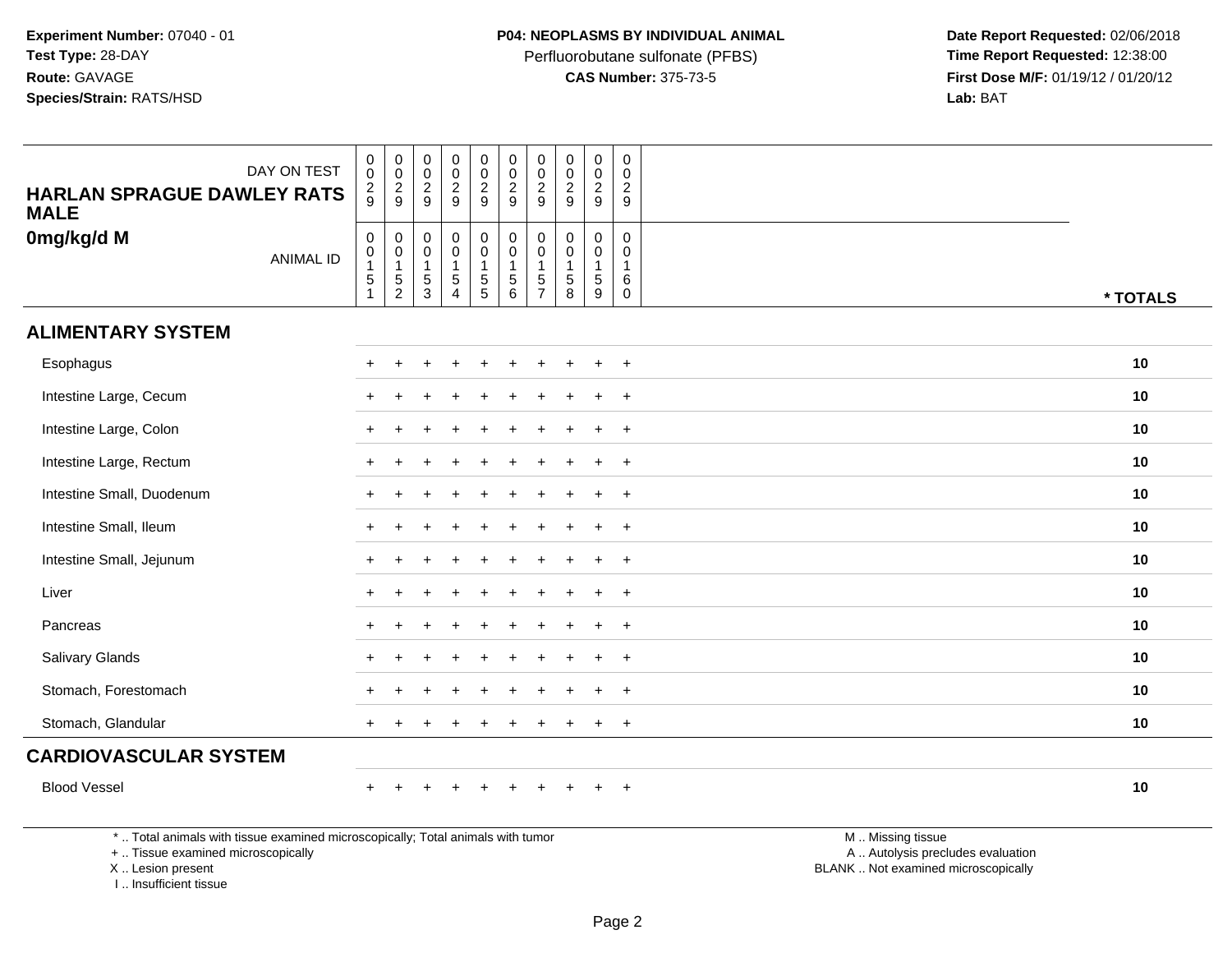Perfluorobutane sulfonate (PFBS)<br>**CAS Number:** 375-73-5

 **Date Report Requested:** 02/06/2018 **First Dose M/F:** 01/19/12 / 01/20/12<br>**Lab:** BAT **Lab:** BAT

| DAY ON TEST<br><b>HARLAN SPRAGUE DAWLEY RATS</b><br><b>MALE</b>                 | $\begin{smallmatrix} 0\\0 \end{smallmatrix}$<br>$\frac{2}{9}$              | $\pmb{0}$<br>$\overline{0}$<br>$\frac{2}{9}$                               | $\mathbf 0$<br>$\pmb{0}$<br>$\frac{2}{9}$                              | 0<br>$\bar{0}$<br>$\frac{2}{9}$                         | $\mathbf 0$<br>$\overline{0}$<br>$\frac{2}{9}$                              | $\pmb{0}$<br>$\frac{0}{2}$<br>$\overline{9}$                      | $\pmb{0}$<br>$\frac{0}{2}$                                               | $\mathbf 0$<br>$\mathbf 0$<br>$\frac{2}{9}$                   | $\mathsf 0$<br>$\ddot{\mathbf{0}}$<br>$\frac{2}{9}$ | $\mathbf 0$<br>$\mathbf 0$<br>$\frac{2}{9}$                    |                   |          |
|---------------------------------------------------------------------------------|----------------------------------------------------------------------------|----------------------------------------------------------------------------|------------------------------------------------------------------------|---------------------------------------------------------|-----------------------------------------------------------------------------|-------------------------------------------------------------------|--------------------------------------------------------------------------|---------------------------------------------------------------|-----------------------------------------------------|----------------------------------------------------------------|-------------------|----------|
| 0mg/kg/d M<br><b>ANIMAL ID</b>                                                  | $\mathbf 0$<br>$\mathbf 0$<br>$\overline{1}$<br>$\sqrt{5}$<br>$\mathbf{1}$ | $\mathsf 0$<br>$\mathbf 0$<br>$\mathbf{1}$<br>$\sqrt{5}$<br>$\overline{2}$ | $\mathsf{O}\xspace$<br>$\mathbf 0$<br>$\mathbf{1}$<br>$\,$ 5 $\,$<br>3 | 0<br>$\mathbf 0$<br>$\mathbf{1}$<br>5<br>$\overline{4}$ | $\mathbf 0$<br>$\mathbf 0$<br>$\mathbf{1}$<br>$\sqrt{5}$<br>$5\phantom{.0}$ | $\mathbf 0$<br>$\pmb{0}$<br>$\mathbf{1}$<br>$\sqrt{5}$<br>$\,6\,$ | $\mathsf 0$<br>$\pmb{0}$<br>$\mathbf{1}$<br>$\sqrt{5}$<br>$\overline{7}$ | $\mathbf 0$<br>$\mathbf 0$<br>$\mathbf{1}$<br>$\sqrt{5}$<br>8 | 0<br>0<br>$\mathbf{1}$<br>$\sqrt{5}$<br>9           | $\mathbf 0$<br>$\mathbf 0$<br>$\mathbf{1}$<br>6<br>$\mathbf 0$ |                   | * TOTALS |
| <b>ALIMENTARY SYSTEM</b>                                                        |                                                                            |                                                                            |                                                                        |                                                         |                                                                             |                                                                   |                                                                          |                                                               |                                                     |                                                                |                   |          |
| Esophagus                                                                       |                                                                            |                                                                            |                                                                        |                                                         |                                                                             |                                                                   |                                                                          |                                                               |                                                     | $\overline{+}$                                                 |                   | 10       |
| Intestine Large, Cecum                                                          |                                                                            |                                                                            |                                                                        |                                                         |                                                                             |                                                                   |                                                                          |                                                               | ÷                                                   | $\ddot{}$                                                      |                   | 10       |
| Intestine Large, Colon                                                          |                                                                            |                                                                            |                                                                        |                                                         |                                                                             |                                                                   |                                                                          |                                                               | $\ddot{}$                                           | $\ddot{}$                                                      |                   | 10       |
| Intestine Large, Rectum                                                         |                                                                            |                                                                            |                                                                        |                                                         |                                                                             |                                                                   |                                                                          |                                                               |                                                     | $\overline{+}$                                                 |                   | 10       |
| Intestine Small, Duodenum                                                       |                                                                            |                                                                            |                                                                        |                                                         |                                                                             |                                                                   |                                                                          |                                                               |                                                     | $\overline{+}$                                                 |                   | 10       |
| Intestine Small, Ileum                                                          |                                                                            |                                                                            |                                                                        |                                                         |                                                                             |                                                                   |                                                                          |                                                               | $\ddot{}$                                           | $\ddot{}$                                                      |                   | 10       |
| Intestine Small, Jejunum                                                        |                                                                            |                                                                            |                                                                        |                                                         |                                                                             |                                                                   |                                                                          |                                                               | $\ddot{}$                                           | $+$                                                            |                   | 10       |
| Liver                                                                           |                                                                            |                                                                            |                                                                        |                                                         |                                                                             |                                                                   |                                                                          |                                                               |                                                     | $\ddot{}$                                                      |                   | 10       |
| Pancreas                                                                        |                                                                            |                                                                            |                                                                        |                                                         |                                                                             |                                                                   |                                                                          |                                                               |                                                     | $\overline{+}$                                                 |                   | 10       |
| Salivary Glands                                                                 |                                                                            |                                                                            |                                                                        |                                                         |                                                                             |                                                                   |                                                                          |                                                               |                                                     | $\ddot{}$                                                      |                   | 10       |
| Stomach, Forestomach                                                            |                                                                            |                                                                            |                                                                        |                                                         |                                                                             |                                                                   |                                                                          |                                                               | $\ddot{}$                                           | $+$                                                            |                   | 10       |
| Stomach, Glandular                                                              |                                                                            |                                                                            |                                                                        |                                                         |                                                                             |                                                                   |                                                                          |                                                               | $\div$                                              | $+$                                                            |                   | 10       |
| <b>CARDIOVASCULAR SYSTEM</b>                                                    |                                                                            |                                                                            |                                                                        |                                                         |                                                                             |                                                                   |                                                                          |                                                               |                                                     |                                                                |                   |          |
| <b>Blood Vessel</b>                                                             |                                                                            |                                                                            |                                                                        | $\ddot{}$                                               | $\ddot{}$                                                                   | $\ddot{}$                                                         |                                                                          |                                                               | $\ddot{}$                                           | $^{+}$                                                         |                   | 10       |
| *  Total animals with tissue examined microscopically; Total animals with tumor |                                                                            |                                                                            |                                                                        |                                                         |                                                                             |                                                                   |                                                                          |                                                               |                                                     |                                                                | M  Missing tissue |          |

+ .. Tissue examined microscopically

X .. Lesion present

I .. Insufficient tissue

M .. Missing tissue A .. Autolysis precludes evaluation Lesion present BLANK .. Not examined microscopically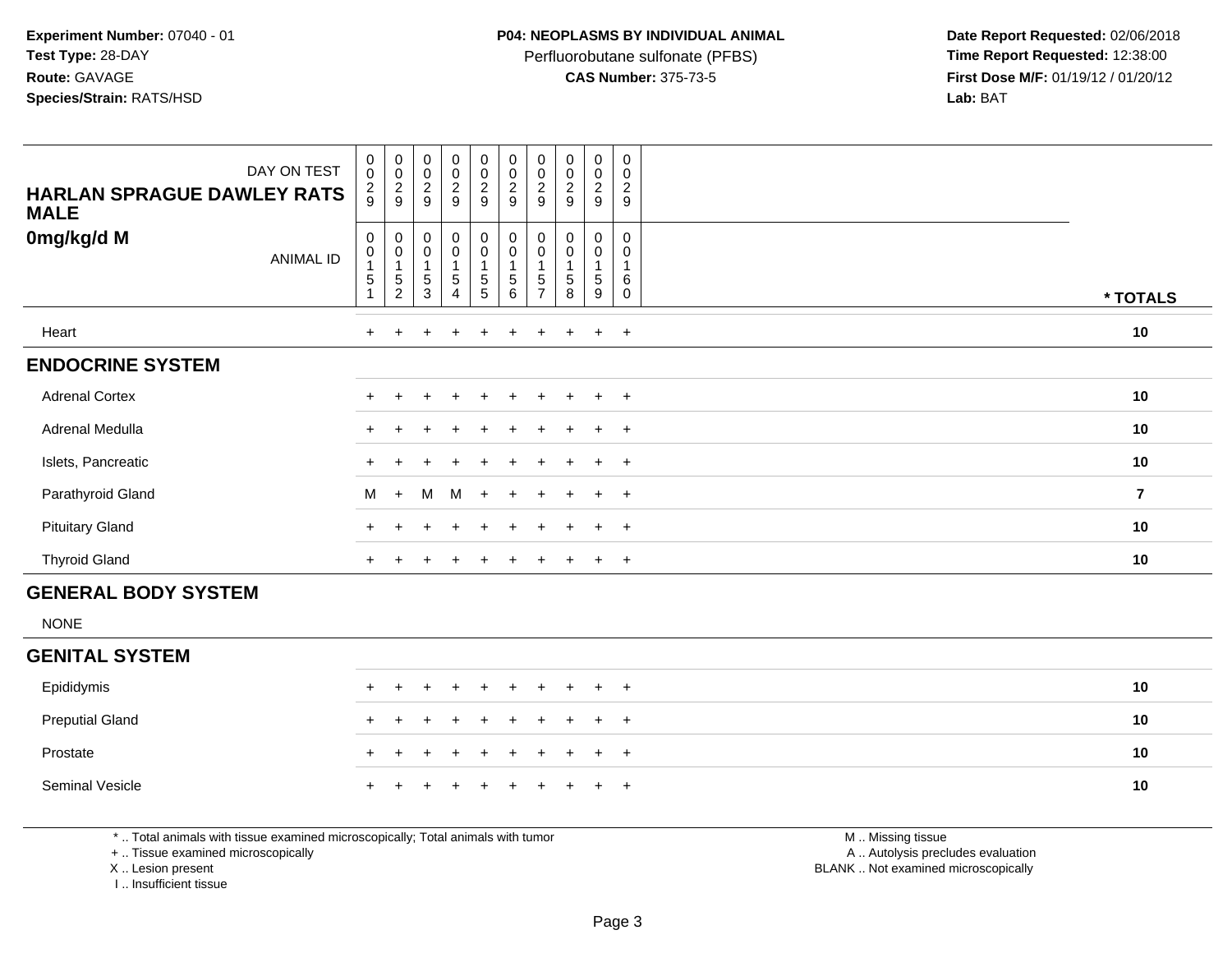Perfluorobutane sulfonate (PFBS)<br>**CAS Number:** 375-73-5

 **Date Report Requested:** 02/06/2018 **First Dose M/F:** 01/19/12 / 01/20/12<br>**Lab:** BAT **Lab:** BAT

| DAY ON TEST<br><b>HARLAN SPRAGUE DAWLEY RATS</b><br><b>MALE</b> | $\begin{smallmatrix}0\0\0\end{smallmatrix}$<br>$\frac{2}{9}$ | 00029                                                            | $_{\rm 0}^{\rm 0}$<br>$\frac{2}{9}$                         | $\begin{smallmatrix}0\0\0\end{smallmatrix}$<br>$\frac{2}{9}$ | $\begin{smallmatrix} 0\\0 \end{smallmatrix}$<br>$\frac{2}{9}$ | 00029                                       | 00029                                                      | 00029                                                                     | $_0^0$<br>$\frac{2}{9}$ | $\pmb{0}$<br>$\mathbf 0$<br>$\overline{\mathbf{c}}$<br>$\boldsymbol{9}$ |                |  |
|-----------------------------------------------------------------|--------------------------------------------------------------|------------------------------------------------------------------|-------------------------------------------------------------|--------------------------------------------------------------|---------------------------------------------------------------|---------------------------------------------|------------------------------------------------------------|---------------------------------------------------------------------------|-------------------------|-------------------------------------------------------------------------|----------------|--|
| 0mg/kg/d M<br><b>ANIMAL ID</b>                                  | 0<br>0<br>5                                                  | $\boldsymbol{0}$<br>$\pmb{0}$<br>$\overline{1}$<br>$\frac{5}{2}$ | $\mathbf 0$<br>$\pmb{0}$<br>1<br>$\mathbf 5$<br>$\mathsf 3$ | $\mathbf 0$<br>$\pmb{0}$<br>$\sqrt{5}$<br>$\overline{4}$     | 0<br>$\mathbf 0$<br>5<br>5                                    | $_{\rm 0}^{\rm 0}$<br>$\sqrt{5}$<br>$\,6\,$ | $\begin{matrix} 0 \\ 0 \\ 1 \end{matrix}$<br>$\frac{5}{7}$ | 0<br>$\begin{smallmatrix}0\\1\end{smallmatrix}$<br>$\,$ 5 $\,$<br>$\,8\,$ | 0<br>0<br>5<br>9        | 0<br>0<br>6<br>$\mathbf 0$                                              | * TOTALS       |  |
| Heart                                                           | $\pm$                                                        |                                                                  |                                                             |                                                              |                                                               | $\pm$                                       |                                                            |                                                                           | $\ddot{}$               | $\overline{+}$                                                          | 10             |  |
| <b>ENDOCRINE SYSTEM</b>                                         |                                                              |                                                                  |                                                             |                                                              |                                                               |                                             |                                                            |                                                                           |                         |                                                                         |                |  |
| <b>Adrenal Cortex</b>                                           |                                                              |                                                                  |                                                             |                                                              |                                                               | $\ddot{}$                                   |                                                            |                                                                           | $\ddot{}$               | $+$                                                                     | 10             |  |
| Adrenal Medulla                                                 | $\pm$                                                        |                                                                  |                                                             |                                                              |                                                               |                                             |                                                            |                                                                           | $\div$                  | $+$                                                                     | 10             |  |
| Islets, Pancreatic                                              |                                                              |                                                                  |                                                             |                                                              |                                                               |                                             |                                                            |                                                                           |                         | $\overline{+}$                                                          | 10             |  |
| Parathyroid Gland                                               | M                                                            | $+$                                                              | M                                                           | M                                                            | $+$                                                           | $+$                                         |                                                            | $\pm$                                                                     | $\ddot{}$               | $+$                                                                     | $\overline{7}$ |  |
| <b>Pituitary Gland</b>                                          |                                                              |                                                                  |                                                             |                                                              |                                                               |                                             |                                                            |                                                                           | $\pm$                   | $+$                                                                     | 10             |  |
| <b>Thyroid Gland</b>                                            | $\ddot{}$                                                    |                                                                  |                                                             |                                                              | $\pm$                                                         | $\ddot{}$                                   |                                                            | $\pm$                                                                     | $\ddot{}$               | $+$                                                                     | 10             |  |
| <b>GENERAL BODY SYSTEM</b>                                      |                                                              |                                                                  |                                                             |                                                              |                                                               |                                             |                                                            |                                                                           |                         |                                                                         |                |  |
| <b>NONE</b>                                                     |                                                              |                                                                  |                                                             |                                                              |                                                               |                                             |                                                            |                                                                           |                         |                                                                         |                |  |

# **GENITAL SYSTEM**

| Epididymis             |  | + + + + + + + + + + |  |  |  |  | 10 |
|------------------------|--|---------------------|--|--|--|--|----|
| <b>Preputial Gland</b> |  | + + + + + + + + + + |  |  |  |  | 10 |
| Prostate               |  | + + + + + + + + + + |  |  |  |  | 10 |
| Seminal Vesicle        |  | + + + + + + + + + + |  |  |  |  | 10 |

\* .. Total animals with tissue examined microscopically; Total animals with tumor

+ .. Tissue examined microscopically

X .. Lesion present

I .. Insufficient tissue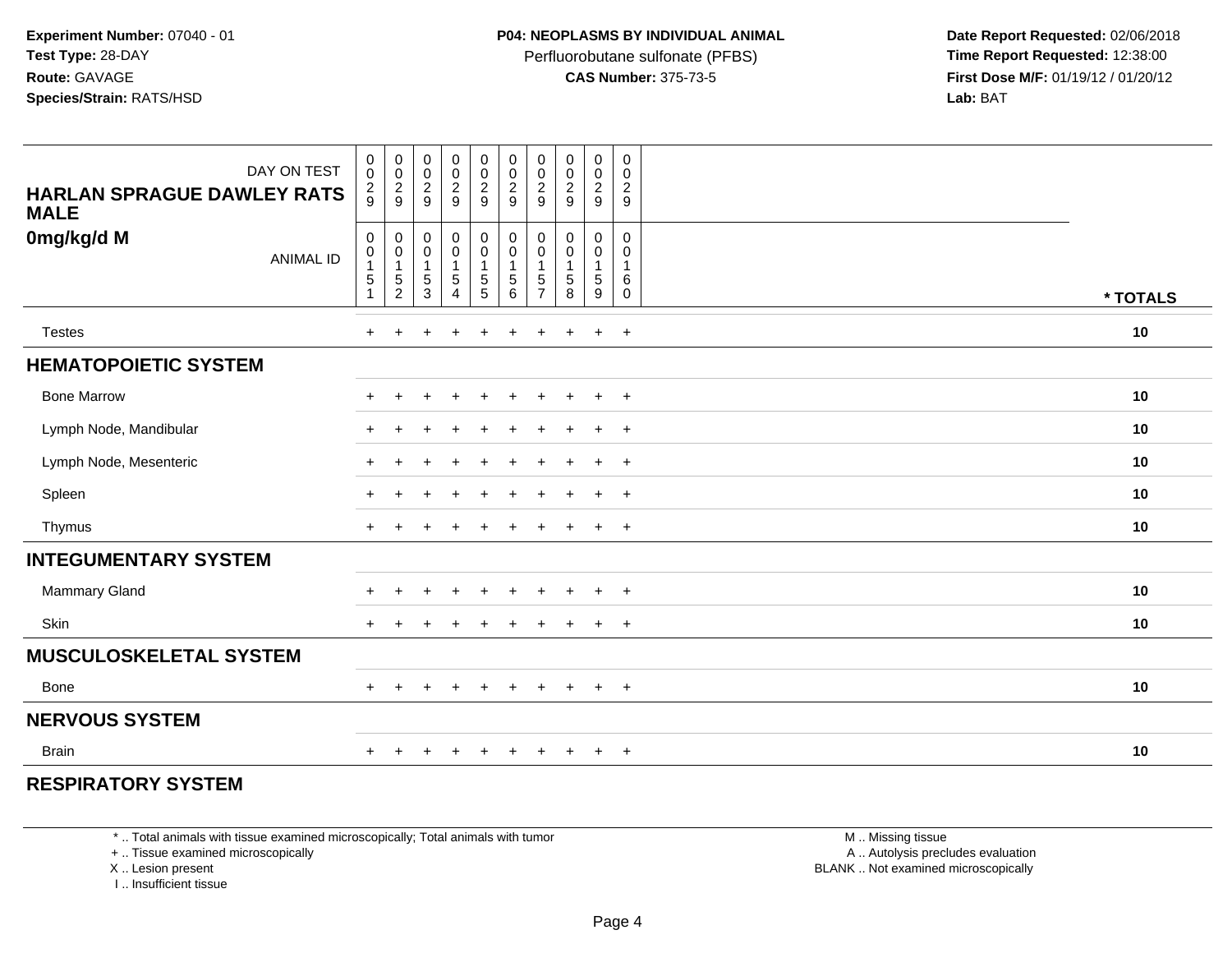Perfluorobutane sulfonate (PFBS)<br>**CAS Number:** 375-73-5

 **Date Report Requested:** 02/06/2018 **First Dose M/F:** 01/19/12 / 01/20/12<br>**Lab:** BAT **Lab:** BAT

| DAY ON TEST<br><b>HARLAN SPRAGUE DAWLEY RATS</b><br><b>MALE</b> | 0<br>$\ddot{\mathbf{0}}$<br>$\frac{2}{9}$     | $_{\rm 0}^{\rm 0}$<br>$\frac{2}{9}$                                      | $\begin{array}{c} 0 \\ 0 \\ 2 \\ 9 \end{array}$                       | 00029                                                                | $\begin{smallmatrix} 0\\0 \end{smallmatrix}$<br>$\frac{2}{9}$ | $\begin{smallmatrix} 0\\0 \end{smallmatrix}$<br>$\frac{2}{9}$ | $_{\rm 0}^{\rm 0}$<br>$\frac{2}{9}$                                     | $\begin{array}{c} 0 \\ 0 \\ 2 \\ 9 \end{array}$ | $\begin{smallmatrix} 0\\0 \end{smallmatrix}$<br>$\frac{2}{9}$ | $\pmb{0}$<br>$\overline{0}$<br>$\frac{2}{9}$                     |          |
|-----------------------------------------------------------------|-----------------------------------------------|--------------------------------------------------------------------------|-----------------------------------------------------------------------|----------------------------------------------------------------------|---------------------------------------------------------------|---------------------------------------------------------------|-------------------------------------------------------------------------|-------------------------------------------------|---------------------------------------------------------------|------------------------------------------------------------------|----------|
| 0mg/kg/d M<br><b>ANIMAL ID</b>                                  | 0<br>$\pmb{0}$<br>$\mathbf 5$<br>$\mathbf{1}$ | $\pmb{0}$<br>$\begin{smallmatrix}0\\1\end{smallmatrix}$<br>$\frac{5}{2}$ | $\pmb{0}$<br>$\pmb{0}$<br>$\mathbf{1}$<br>$\,$ 5 $\,$<br>$\mathbf{3}$ | $_{\rm 0}^{\rm 0}$<br>$\overline{1}$<br>$\sqrt{5}$<br>$\overline{4}$ | $\pmb{0}$<br>$\overline{0}$<br>1<br>$\sqrt{5}$<br>$\sqrt{5}$  | 0<br>0<br>5<br>6                                              | $\pmb{0}$<br>$\pmb{0}$<br>$\mathbf{1}$<br>$\,$ 5 $\,$<br>$\overline{7}$ | 0<br>$\pmb{0}$<br>$\mathbf{1}$<br>5<br>8        | 0<br>$\mathsf{O}$<br>$\mathbf{1}$<br>$\sqrt{5}$<br>9          | $\mathbf 0$<br>$\mathbf 0$<br>$\overline{1}$<br>6<br>$\mathbf 0$ | * TOTALS |
| <b>Testes</b>                                                   | $+$                                           | $+$                                                                      | $\ddot{}$                                                             | $\ddot{}$                                                            | $\ddot{}$                                                     | $\ddot{}$                                                     | $\pm$                                                                   | $\ddot{}$                                       | $+$                                                           | $+$                                                              | 10       |
| <b>HEMATOPOIETIC SYSTEM</b>                                     |                                               |                                                                          |                                                                       |                                                                      |                                                               |                                                               |                                                                         |                                                 |                                                               |                                                                  |          |
| <b>Bone Marrow</b>                                              | $+$                                           | $\ddot{}$                                                                | $\overline{1}$                                                        | $+$                                                                  | $+$                                                           | $\ddot{}$                                                     | $\ddot{}$                                                               | $+$                                             | $+$                                                           | $+$                                                              | 10       |
| Lymph Node, Mandibular                                          | $+$                                           | $\ddot{}$                                                                | $\overline{1}$                                                        | $\ddot{}$                                                            | $\ddot{}$                                                     | $\div$                                                        |                                                                         | $\ddot{}$                                       | $\ddot{}$                                                     | $+$                                                              | 10       |
| Lymph Node, Mesenteric                                          | $+$                                           |                                                                          | $\overline{1}$                                                        |                                                                      | $\ddot{}$                                                     | $\div$                                                        |                                                                         | $+$                                             | $\ddot{}$                                                     | $+$                                                              | 10       |
| Spleen                                                          | $\pm$                                         |                                                                          | $\ddot{}$                                                             |                                                                      |                                                               |                                                               |                                                                         | $\overline{+}$                                  | $\ddot{}$                                                     | $+$                                                              | 10       |
| Thymus                                                          | $\div$                                        |                                                                          |                                                                       |                                                                      |                                                               |                                                               |                                                                         | $\div$                                          | $\ddot{}$                                                     | $^{+}$                                                           | 10       |
| <b>INTEGUMENTARY SYSTEM</b>                                     |                                               |                                                                          |                                                                       |                                                                      |                                                               |                                                               |                                                                         |                                                 |                                                               |                                                                  |          |
| <b>Mammary Gland</b>                                            | $\pm$                                         | $\ddot{}$                                                                | $\ddot{}$                                                             | $\div$                                                               | $\ddot{}$                                                     | $\div$                                                        |                                                                         | $\ddot{}$                                       | $\ddot{}$                                                     | $^{+}$                                                           | 10       |
| Skin                                                            | $+$                                           | $\pm$                                                                    | $\pm$                                                                 | $\div$                                                               | $\pm$                                                         | $\pm$                                                         |                                                                         | $\overline{+}$                                  | $\ddot{}$                                                     | $+$                                                              | 10       |
| <b>MUSCULOSKELETAL SYSTEM</b>                                   |                                               |                                                                          |                                                                       |                                                                      |                                                               |                                                               |                                                                         |                                                 |                                                               |                                                                  |          |
| <b>Bone</b>                                                     | $+$                                           | $\pm$                                                                    | $\pm$                                                                 | $+$                                                                  | $\overline{+}$                                                | $\ddot{}$                                                     | $\pm$                                                                   | $+$                                             | $+$                                                           | $+$                                                              | 10       |
| <b>NERVOUS SYSTEM</b>                                           |                                               |                                                                          |                                                                       |                                                                      |                                                               |                                                               |                                                                         |                                                 |                                                               |                                                                  |          |
| <b>Brain</b>                                                    | ÷                                             |                                                                          |                                                                       |                                                                      |                                                               |                                                               |                                                                         | $\pm$                                           | $\ddot{}$                                                     | $^{+}$                                                           | 10       |

## **RESPIRATORY SYSTEM**

\* .. Total animals with tissue examined microscopically; Total animals with tumor

+ .. Tissue examined microscopically

X .. Lesion present

I .. Insufficient tissue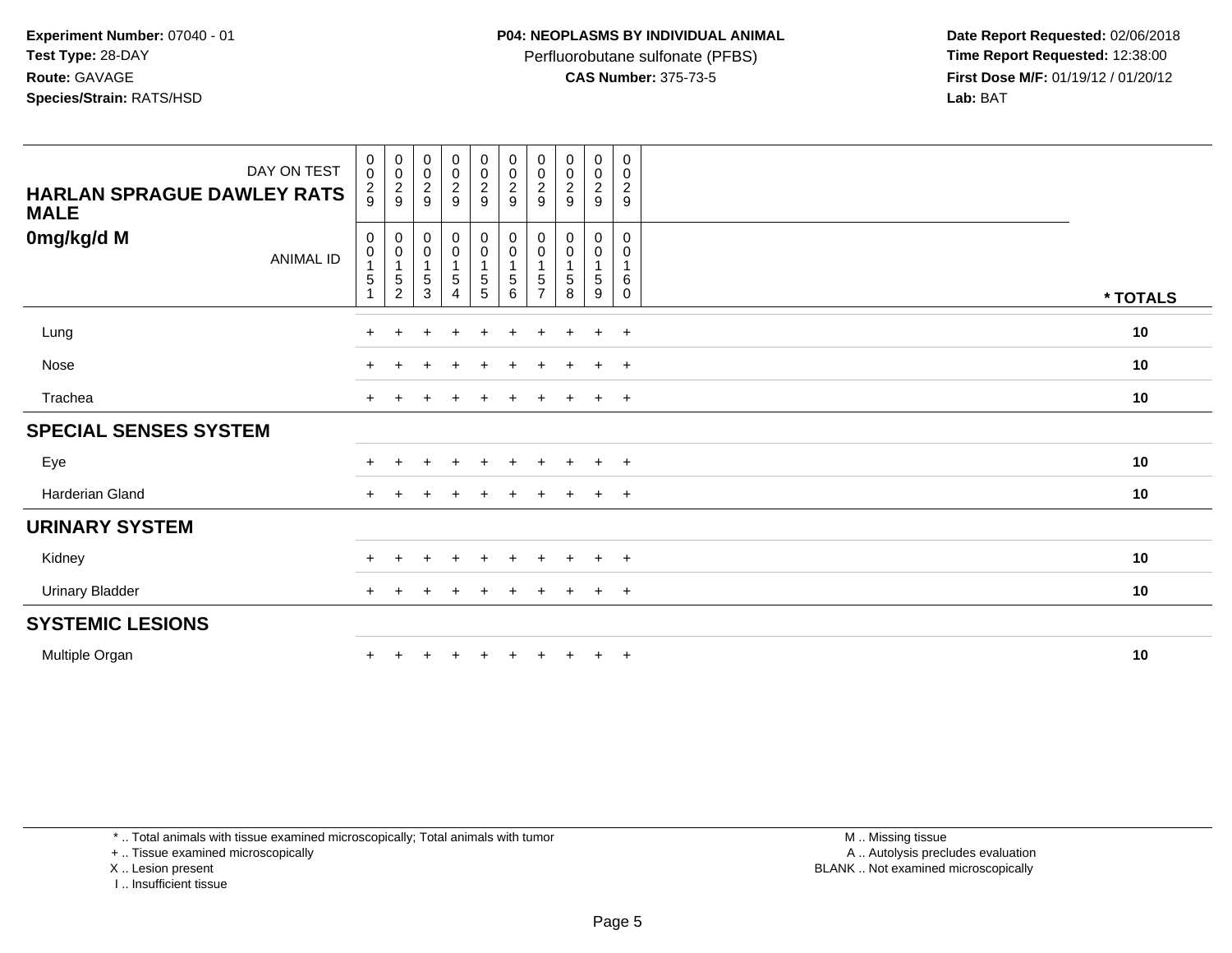Perfluorobutane sulfonate (PFBS)<br>**CAS Number:** 375-73-5

 **Date Report Requested:** 02/06/2018 **First Dose M/F:** 01/19/12 / 01/20/12<br>**Lab:** BAT **Lab:** BAT

| DAY ON TEST<br><b>HARLAN SPRAGUE DAWLEY RATS</b><br><b>MALE</b> | $\begin{smallmatrix}0\\0\end{smallmatrix}$<br>$\frac{2}{9}$ | $_{\rm 0}^{\rm 0}$<br>$\frac{2}{9}$                                   | $_{\rm 0}^{\rm 0}$<br>$\frac{2}{9}$        | $_0^0$<br>$\frac{2}{9}$      | $\begin{array}{c} 0 \\ 0 \\ 2 \\ 9 \end{array}$     | $\begin{array}{c} 0 \\ 0 \\ 2 \\ 9 \end{array}$                               | $_{\rm 0}^{\rm 0}$<br>$\frac{2}{9}$             | $\begin{matrix} 0 \\ 0 \\ 2 \end{matrix}$<br>9 | 0<br>$\pmb{0}$<br>$\frac{2}{9}$      | $\mathbf 0$<br>0<br>$\frac{2}{9}$ |          |  |
|-----------------------------------------------------------------|-------------------------------------------------------------|-----------------------------------------------------------------------|--------------------------------------------|------------------------------|-----------------------------------------------------|-------------------------------------------------------------------------------|-------------------------------------------------|------------------------------------------------|--------------------------------------|-----------------------------------|----------|--|
| 0mg/kg/d M<br><b>ANIMAL ID</b>                                  | $\mathbf 0$<br>$\pmb{0}$<br>1<br>$\sqrt{5}$                 | 0<br>$\begin{smallmatrix}0\1\end{smallmatrix}$<br>5<br>$\overline{c}$ | 0<br>$\pmb{0}$<br>$\overline{1}$<br>5<br>3 | $_{\rm 0}^{\rm 0}$<br>5<br>4 | $_{\rm 0}^{\rm 0}$<br>$\mathbf{1}$<br>$\frac{5}{5}$ | $_{\rm 0}^{\rm 0}$<br>$\overline{1}$<br>$\begin{array}{c} 5 \\ 6 \end{array}$ | 0<br>0<br>$\overline{1}$<br>5<br>$\overline{7}$ | 0<br>0<br>1<br>5<br>8                          | 0<br>$\mathbf 0$<br>$\,$ 5 $\,$<br>9 | 0<br>0<br>$\mathbf{1}$<br>6<br>0  | * TOTALS |  |
| Lung                                                            | $+$                                                         | $\ddot{}$                                                             | $\ddot{}$                                  | $\ddot{}$                    | $+$                                                 | $+$                                                                           | $+$                                             | $+$                                            | $\ddot{}$                            | $+$                               | 10       |  |
| Nose                                                            |                                                             |                                                                       |                                            |                              |                                                     |                                                                               |                                                 |                                                | $\div$                               | $+$                               | 10       |  |
| Trachea                                                         | $+$                                                         | $\overline{+}$                                                        | ÷                                          | $\ddot{}$                    | $+$                                                 | $+$                                                                           | $+$                                             | $+$                                            | $+$                                  | $+$                               | 10       |  |
| <b>SPECIAL SENSES SYSTEM</b>                                    |                                                             |                                                                       |                                            |                              |                                                     |                                                                               |                                                 |                                                |                                      |                                   |          |  |
| Eye                                                             |                                                             |                                                                       |                                            |                              |                                                     |                                                                               |                                                 |                                                |                                      | $+$                               | 10       |  |
| Harderian Gland                                                 | $+$                                                         |                                                                       |                                            |                              |                                                     |                                                                               | $\pm$                                           | $\pm$                                          | $\ddot{}$                            | $+$                               | 10       |  |
| <b>URINARY SYSTEM</b>                                           |                                                             |                                                                       |                                            |                              |                                                     |                                                                               |                                                 |                                                |                                      |                                   |          |  |
| Kidney                                                          |                                                             |                                                                       |                                            |                              |                                                     |                                                                               |                                                 |                                                | $\ddot{}$                            | $+$                               | 10       |  |
| <b>Urinary Bladder</b>                                          | $\ddot{}$                                                   |                                                                       |                                            | $\overline{ }$               | $\pm$                                               | $\pm$                                                                         | $\pm$                                           | $\pm$                                          | $\ddot{}$                            | $+$                               | 10       |  |
| <b>SYSTEMIC LESIONS</b>                                         |                                                             |                                                                       |                                            |                              |                                                     |                                                                               |                                                 |                                                |                                      |                                   |          |  |
| Multiple Organ                                                  |                                                             |                                                                       |                                            |                              |                                                     |                                                                               |                                                 | $+$                                            | $+$                                  | $+$                               | 10       |  |

\* .. Total animals with tissue examined microscopically; Total animals with tumor

+ .. Tissue examined microscopically

X .. Lesion present

I .. Insufficient tissue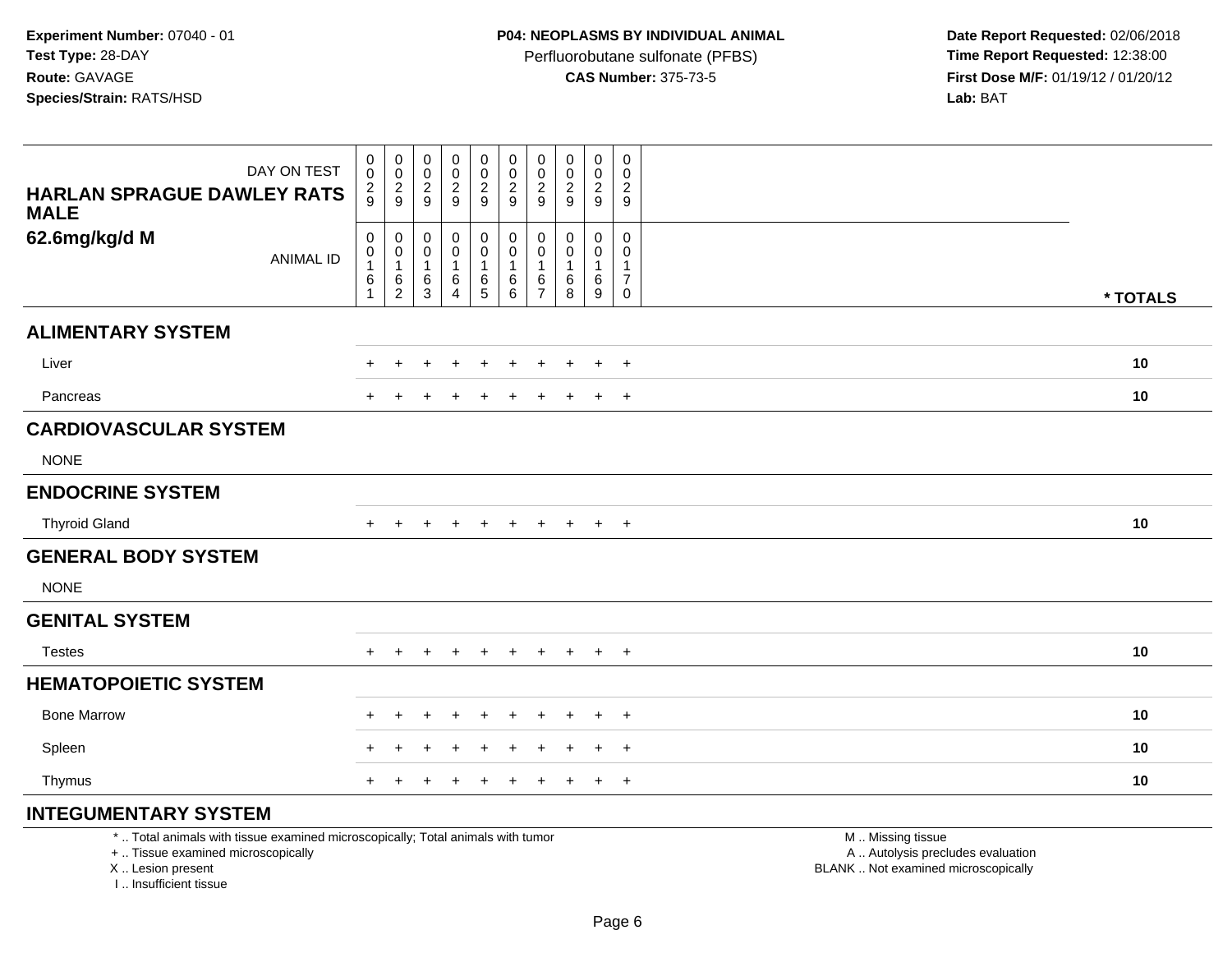I .. Insufficient tissue

Perfluorobutane sulfonate (PFBS)<br>**CAS Number:** 375-73-5

 **Date Report Requested:** 02/06/2018 **First Dose M/F:** 01/19/12 / 01/20/12<br>**Lab:** BAT **Lab:** BAT

| DAY ON TEST                                                                                                                               | 0<br>$\mathbf 0$                                  | $\mathbf 0$<br>$\mathsf 0$<br>$\overline{c}$            | 0<br>0<br>$\overline{c}$    | $\mathbf 0$<br>$\pmb{0}$<br>$\sqrt{2}$           | $\pmb{0}$<br>$\pmb{0}$              | $\mathbf 0$<br>$\mathbf 0$<br>$\overline{c}$               | 0<br>0<br>2                          | $\pmb{0}$<br>$\mathbf 0$<br>$\overline{c}$     | 0<br>$\mathbf 0$<br>$\overline{2}$          | $\mathbf 0$<br>$\mathbf 0$<br>$\mathbf{2}$                   |                                                                                               |          |
|-------------------------------------------------------------------------------------------------------------------------------------------|---------------------------------------------------|---------------------------------------------------------|-----------------------------|--------------------------------------------------|-------------------------------------|------------------------------------------------------------|--------------------------------------|------------------------------------------------|---------------------------------------------|--------------------------------------------------------------|-----------------------------------------------------------------------------------------------|----------|
| <b>HARLAN SPRAGUE DAWLEY RATS</b><br><b>MALE</b>                                                                                          | $\frac{2}{9}$                                     | $9\,$                                                   | 9                           | 9                                                | $\frac{2}{9}$                       | 9                                                          | 9                                    | 9                                              | 9                                           | 9                                                            |                                                                                               |          |
| 62.6mg/kg/d M<br><b>ANIMAL ID</b>                                                                                                         | $\mathbf 0$<br>$\mathbf 0$<br>6<br>$\overline{1}$ | $\mathbf 0$<br>0<br>$\mathbf{1}$<br>6<br>$\overline{2}$ | 0<br>0<br>6<br>$\mathbf{3}$ | $\mathbf 0$<br>$\mathbf 0$<br>1<br>6<br>$\Delta$ | 0<br>$\mathbf 0$<br>1<br>$6\over 5$ | $\mathbf 0$<br>$\mathbf 0$<br>$\overline{1}$<br>$\,6$<br>6 | 0<br>$\Omega$<br>6<br>$\overline{7}$ | $\mathbf 0$<br>$\Omega$<br>6<br>$\overline{8}$ | $\Omega$<br>$\Omega$<br>6<br>$\overline{9}$ | $\mathbf 0$<br>$\Omega$<br>-1<br>$\overline{7}$<br>$\pmb{0}$ |                                                                                               | * TOTALS |
| <b>ALIMENTARY SYSTEM</b>                                                                                                                  |                                                   |                                                         |                             |                                                  |                                     |                                                            |                                      |                                                |                                             |                                                              |                                                                                               |          |
| Liver                                                                                                                                     |                                                   | $\pm$                                                   |                             |                                                  |                                     |                                                            |                                      |                                                | $\ddot{}$                                   | $\overline{+}$                                               |                                                                                               | 10       |
| Pancreas                                                                                                                                  |                                                   |                                                         |                             |                                                  | $\pm$                               |                                                            | $\pm$                                |                                                | $\ddot{}$                                   | $+$                                                          |                                                                                               | 10       |
| <b>CARDIOVASCULAR SYSTEM</b>                                                                                                              |                                                   |                                                         |                             |                                                  |                                     |                                                            |                                      |                                                |                                             |                                                              |                                                                                               |          |
| <b>NONE</b>                                                                                                                               |                                                   |                                                         |                             |                                                  |                                     |                                                            |                                      |                                                |                                             |                                                              |                                                                                               |          |
| <b>ENDOCRINE SYSTEM</b>                                                                                                                   |                                                   |                                                         |                             |                                                  |                                     |                                                            |                                      |                                                |                                             |                                                              |                                                                                               |          |
| <b>Thyroid Gland</b>                                                                                                                      | $+$                                               | $\pm$                                                   | $\pm$                       | $\pm$                                            | $+$                                 | $+$                                                        | $+$                                  | $+$                                            | $+$                                         | $+$                                                          |                                                                                               | 10       |
| <b>GENERAL BODY SYSTEM</b>                                                                                                                |                                                   |                                                         |                             |                                                  |                                     |                                                            |                                      |                                                |                                             |                                                              |                                                                                               |          |
| <b>NONE</b>                                                                                                                               |                                                   |                                                         |                             |                                                  |                                     |                                                            |                                      |                                                |                                             |                                                              |                                                                                               |          |
| <b>GENITAL SYSTEM</b>                                                                                                                     |                                                   |                                                         |                             |                                                  |                                     |                                                            |                                      |                                                |                                             |                                                              |                                                                                               |          |
| <b>Testes</b>                                                                                                                             |                                                   |                                                         |                             |                                                  |                                     |                                                            |                                      |                                                | $\pm$                                       | $+$                                                          |                                                                                               | 10       |
| <b>HEMATOPOIETIC SYSTEM</b>                                                                                                               |                                                   |                                                         |                             |                                                  |                                     |                                                            |                                      |                                                |                                             |                                                              |                                                                                               |          |
| <b>Bone Marrow</b>                                                                                                                        |                                                   | $\ddot{}$                                               | +                           | $\overline{ }$                                   | $\ddot{}$                           |                                                            |                                      |                                                | $\overline{+}$                              | $+$                                                          |                                                                                               | 10       |
| Spleen                                                                                                                                    |                                                   |                                                         |                             |                                                  |                                     |                                                            |                                      |                                                |                                             | $\ddot{}$                                                    |                                                                                               | 10       |
| Thymus                                                                                                                                    | $+$                                               | $\pm$                                                   |                             | $\pm$                                            | $\ddot{}$                           | $\ddot{}$                                                  | $\ddot{}$                            |                                                | $+$                                         | $+$                                                          |                                                                                               | 10       |
| <b>INTEGUMENTARY SYSTEM</b>                                                                                                               |                                                   |                                                         |                             |                                                  |                                     |                                                            |                                      |                                                |                                             |                                                              |                                                                                               |          |
| *  Total animals with tissue examined microscopically; Total animals with tumor<br>+  Tissue examined microscopically<br>X Lesion present |                                                   |                                                         |                             |                                                  |                                     |                                                            |                                      |                                                |                                             |                                                              | M  Missing tissue<br>A  Autolysis precludes evaluation<br>BLANK  Not examined microscopically |          |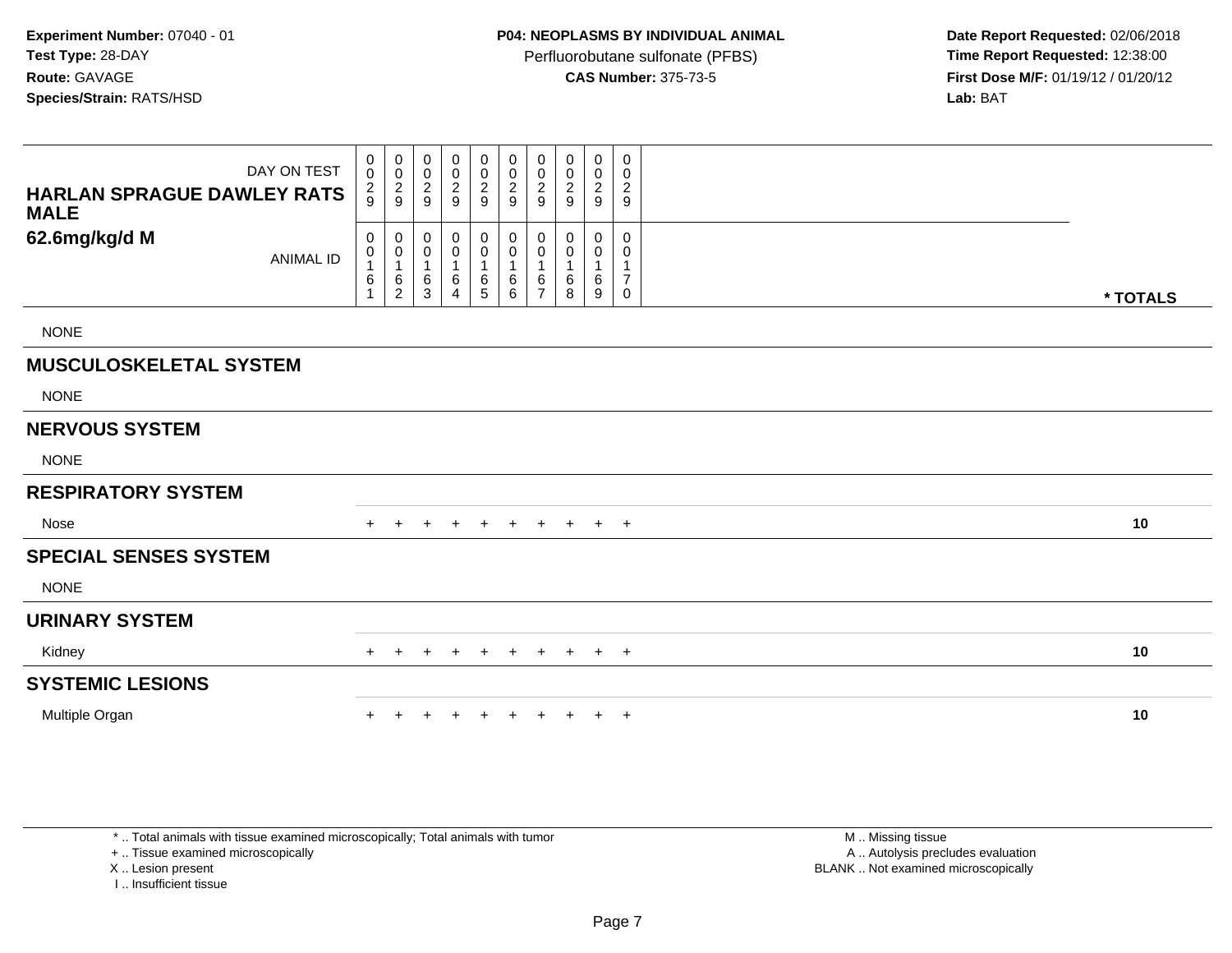**Date Report Requested:** 02/06/2018 **First Dose M/F:** 01/19/12 / 01/20/12<br>**Lab:** BAT **Lab:** BAT

| DAY ON TEST<br><b>HARLAN SPRAGUE DAWLEY RATS</b><br><b>MALE</b> | $\boldsymbol{0}$<br>$\mathbf 0$<br>$\frac{2}{9}$ | $\begin{smallmatrix}0\0\0\end{smallmatrix}$<br>$\frac{2}{9}$ | 0<br>$\pmb{0}$<br>$\boldsymbol{2}$<br>9  | $_{\rm 0}^{\rm 0}$<br>$\boldsymbol{2}$<br>9 | $\mathbf 0$<br>$\pmb{0}$<br>$\frac{2}{9}$ | $\boldsymbol{0}$<br>$\pmb{0}$<br>$\overline{c}$<br>9 | 0<br>0<br>$\overline{c}$<br>9 | $\mathbf 0$<br>0<br>$\overline{\mathbf{c}}$<br>9 | 0<br>$\pmb{0}$<br>$\overline{c}$<br>9 | 0<br>$\mathbf 0$<br>$\overline{c}$<br>9                 |          |
|-----------------------------------------------------------------|--------------------------------------------------|--------------------------------------------------------------|------------------------------------------|---------------------------------------------|-------------------------------------------|------------------------------------------------------|-------------------------------|--------------------------------------------------|---------------------------------------|---------------------------------------------------------|----------|
| 62.6mg/kg/d M<br><b>ANIMAL ID</b>                               | $\mathbf 0$<br>0<br>6                            | 0<br>$\pmb{0}$<br>$\mathbf{1}$<br>6<br>$\overline{c}$        | 0<br>$\pmb{0}$<br>$\mathbf{1}$<br>6<br>3 | 0<br>$\pmb{0}$<br>$\,6\,$<br>$\overline{4}$ | 0<br>$\pmb{0}$<br>1<br>$6\over 5$         | $\pmb{0}$<br>$\pmb{0}$<br>1<br>6<br>6                | 0<br>0<br>6<br>$\overline{7}$ | 0<br>0<br>6<br>8                                 | 0<br>0<br>6<br>9                      | $\mathbf 0$<br>0<br>$\mathbf{1}$<br>$\overline{7}$<br>0 | * TOTALS |
| <b>NONE</b>                                                     |                                                  |                                                              |                                          |                                             |                                           |                                                      |                               |                                                  |                                       |                                                         |          |
| <b>MUSCULOSKELETAL SYSTEM</b>                                   |                                                  |                                                              |                                          |                                             |                                           |                                                      |                               |                                                  |                                       |                                                         |          |
| <b>NONE</b>                                                     |                                                  |                                                              |                                          |                                             |                                           |                                                      |                               |                                                  |                                       |                                                         |          |
| <b>NERVOUS SYSTEM</b>                                           |                                                  |                                                              |                                          |                                             |                                           |                                                      |                               |                                                  |                                       |                                                         |          |
| <b>NONE</b>                                                     |                                                  |                                                              |                                          |                                             |                                           |                                                      |                               |                                                  |                                       |                                                         |          |
| <b>RESPIRATORY SYSTEM</b>                                       |                                                  |                                                              |                                          |                                             |                                           |                                                      |                               |                                                  |                                       |                                                         |          |
| Nose                                                            |                                                  |                                                              | $\pm$                                    | $\pm$                                       | $+$                                       | $+$                                                  | $+$                           | $+$                                              | $+$ $+$                               |                                                         | 10       |
| <b>SPECIAL SENSES SYSTEM</b>                                    |                                                  |                                                              |                                          |                                             |                                           |                                                      |                               |                                                  |                                       |                                                         |          |
| <b>NONE</b>                                                     |                                                  |                                                              |                                          |                                             |                                           |                                                      |                               |                                                  |                                       |                                                         |          |
| <b>URINARY SYSTEM</b>                                           |                                                  |                                                              |                                          |                                             |                                           |                                                      |                               |                                                  |                                       |                                                         |          |
| Kidney                                                          | $^+$                                             | $\pm$                                                        |                                          |                                             | $\ddot{}$                                 | $\ddot{}$                                            | $+$                           | $+$                                              | $+$ $+$                               |                                                         | 10       |
| <b>SYSTEMIC LESIONS</b>                                         |                                                  |                                                              |                                          |                                             |                                           |                                                      |                               |                                                  |                                       |                                                         |          |
| Multiple Organ                                                  |                                                  |                                                              |                                          |                                             |                                           |                                                      |                               |                                                  | $+$                                   | $+$                                                     | 10       |

\* .. Total animals with tissue examined microscopically; Total animals with tumor

+ .. Tissue examined microscopically

X .. Lesion present

I .. Insufficient tissue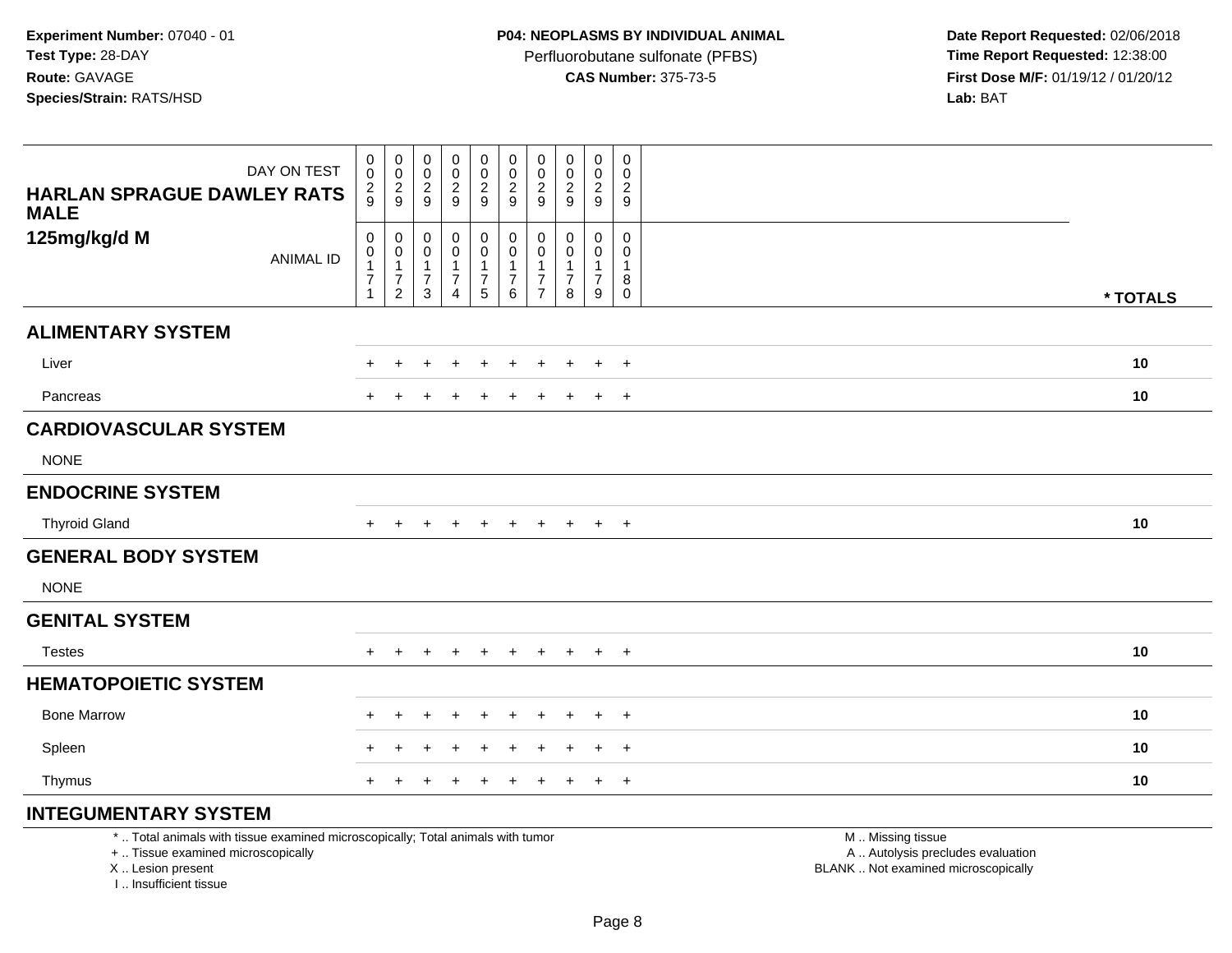Perfluorobutane sulfonate (PFBS)<br>**CAS Number:** 375-73-5

 **Date Report Requested:** 02/06/2018 **First Dose M/F:** 01/19/12 / 01/20/12<br>**Lab:** BAT **Lab:** BAT

| DAY ON TEST                                                                                                           | $\mathbf 0$<br>0                                                       | $\pmb{0}$                                                                  | $\mathbf 0$<br>0                                        | $\mathbf 0$<br>$\mathbf 0$                                                     | $\mathbf 0$<br>$\mathbf 0$                                                   | $\mathbf 0$<br>$\mathbf 0$                         | 0<br>0                                          | 0<br>0                                         | $\pmb{0}$<br>$\pmb{0}$                                          | $\mathbf 0$<br>$\mathbf 0$                        |                                                        |          |
|-----------------------------------------------------------------------------------------------------------------------|------------------------------------------------------------------------|----------------------------------------------------------------------------|---------------------------------------------------------|--------------------------------------------------------------------------------|------------------------------------------------------------------------------|----------------------------------------------------|-------------------------------------------------|------------------------------------------------|-----------------------------------------------------------------|---------------------------------------------------|--------------------------------------------------------|----------|
| <b>HARLAN SPRAGUE DAWLEY RATS</b><br><b>MALE</b>                                                                      | $\frac{2}{9}$                                                          | $\begin{smallmatrix} 0\\2\\9 \end{smallmatrix}$                            | $\boldsymbol{2}$<br>9                                   | $\overline{2}$<br>9                                                            | $\frac{2}{9}$                                                                | $\boldsymbol{2}$<br>$\overline{9}$                 | $\boldsymbol{2}$<br>9                           | $\overline{c}$<br>9                            | $\overline{2}$<br>9                                             | $\overline{2}$<br>9                               |                                                        |          |
| 125mg/kg/d M<br><b>ANIMAL ID</b>                                                                                      | $\mathsf 0$<br>0<br>$\overline{1}$<br>$\overline{7}$<br>$\overline{1}$ | $\pmb{0}$<br>$\pmb{0}$<br>$\mathbf{1}$<br>$\overline{7}$<br>$\overline{c}$ | $\mathbf 0$<br>0<br>$\mathbf{1}$<br>$\overline{7}$<br>3 | $\mathbf 0$<br>$\pmb{0}$<br>$\overline{1}$<br>$\overline{7}$<br>$\overline{4}$ | 0<br>$\mathsf{O}\xspace$<br>$\mathbf{1}$<br>$\overline{7}$<br>$\overline{5}$ | $\pmb{0}$<br>$\pmb{0}$<br>1<br>$\overline{7}$<br>6 | 0<br>0<br>1<br>$\overline{7}$<br>$\overline{7}$ | $\mathbf 0$<br>$\Omega$<br>$\overline{7}$<br>8 | $\mathsf{O}\xspace$<br>0<br>$\mathbf{1}$<br>$\overline{7}$<br>9 | $\mathbf 0$<br>$\Omega$<br>-1<br>8<br>$\mathbf 0$ |                                                        | * TOTALS |
| <b>ALIMENTARY SYSTEM</b>                                                                                              |                                                                        |                                                                            |                                                         |                                                                                |                                                                              |                                                    |                                                 |                                                |                                                                 |                                                   |                                                        |          |
| Liver                                                                                                                 |                                                                        | $\ddot{}$                                                                  | $+$                                                     |                                                                                | $\ddot{}$                                                                    |                                                    | $\ddot{}$                                       |                                                | $\ddot{}$                                                       | $+$                                               |                                                        | 10       |
| Pancreas                                                                                                              | $\pm$                                                                  |                                                                            |                                                         |                                                                                |                                                                              |                                                    |                                                 |                                                | $\ddot{}$                                                       | $+$                                               |                                                        | 10       |
| <b>CARDIOVASCULAR SYSTEM</b>                                                                                          |                                                                        |                                                                            |                                                         |                                                                                |                                                                              |                                                    |                                                 |                                                |                                                                 |                                                   |                                                        |          |
| <b>NONE</b>                                                                                                           |                                                                        |                                                                            |                                                         |                                                                                |                                                                              |                                                    |                                                 |                                                |                                                                 |                                                   |                                                        |          |
| <b>ENDOCRINE SYSTEM</b>                                                                                               |                                                                        |                                                                            |                                                         |                                                                                |                                                                              |                                                    |                                                 |                                                |                                                                 |                                                   |                                                        |          |
| <b>Thyroid Gland</b>                                                                                                  | $+$                                                                    | $+$                                                                        |                                                         |                                                                                | $+$                                                                          | $\div$                                             | $\div$                                          | $+$                                            | $+$                                                             | $+$                                               |                                                        | 10       |
| <b>GENERAL BODY SYSTEM</b>                                                                                            |                                                                        |                                                                            |                                                         |                                                                                |                                                                              |                                                    |                                                 |                                                |                                                                 |                                                   |                                                        |          |
| <b>NONE</b>                                                                                                           |                                                                        |                                                                            |                                                         |                                                                                |                                                                              |                                                    |                                                 |                                                |                                                                 |                                                   |                                                        |          |
| <b>GENITAL SYSTEM</b>                                                                                                 |                                                                        |                                                                            |                                                         |                                                                                |                                                                              |                                                    |                                                 |                                                |                                                                 |                                                   |                                                        |          |
| <b>Testes</b>                                                                                                         | $+$                                                                    | $\div$                                                                     | $+$                                                     | $\div$                                                                         | $+$                                                                          | $\ddot{}$                                          | $\pm$                                           | $+$                                            | $+$                                                             | $+$                                               |                                                        | 10       |
| <b>HEMATOPOIETIC SYSTEM</b>                                                                                           |                                                                        |                                                                            |                                                         |                                                                                |                                                                              |                                                    |                                                 |                                                |                                                                 |                                                   |                                                        |          |
| <b>Bone Marrow</b>                                                                                                    | $\div$                                                                 |                                                                            |                                                         |                                                                                |                                                                              |                                                    |                                                 |                                                | $\mathbf +$                                                     | $+$                                               |                                                        | 10       |
| Spleen                                                                                                                |                                                                        |                                                                            |                                                         |                                                                                |                                                                              |                                                    |                                                 |                                                |                                                                 | $\overline{ }$                                    |                                                        | 10       |
| Thymus                                                                                                                |                                                                        |                                                                            |                                                         |                                                                                |                                                                              |                                                    |                                                 |                                                | $\pm$                                                           | $+$                                               |                                                        | 10       |
| <b>INTEGUMENTARY SYSTEM</b>                                                                                           |                                                                        |                                                                            |                                                         |                                                                                |                                                                              |                                                    |                                                 |                                                |                                                                 |                                                   |                                                        |          |
| *  Total animals with tissue examined microscopically; Total animals with tumor<br>+  Tissue examined microscopically |                                                                        |                                                                            |                                                         |                                                                                |                                                                              |                                                    |                                                 |                                                |                                                                 |                                                   | M  Missing tissue<br>A  Autolysis precludes evaluation |          |

X .. Lesion present

I .. Insufficient tissue

Lesion present BLANK .. Not examined microscopically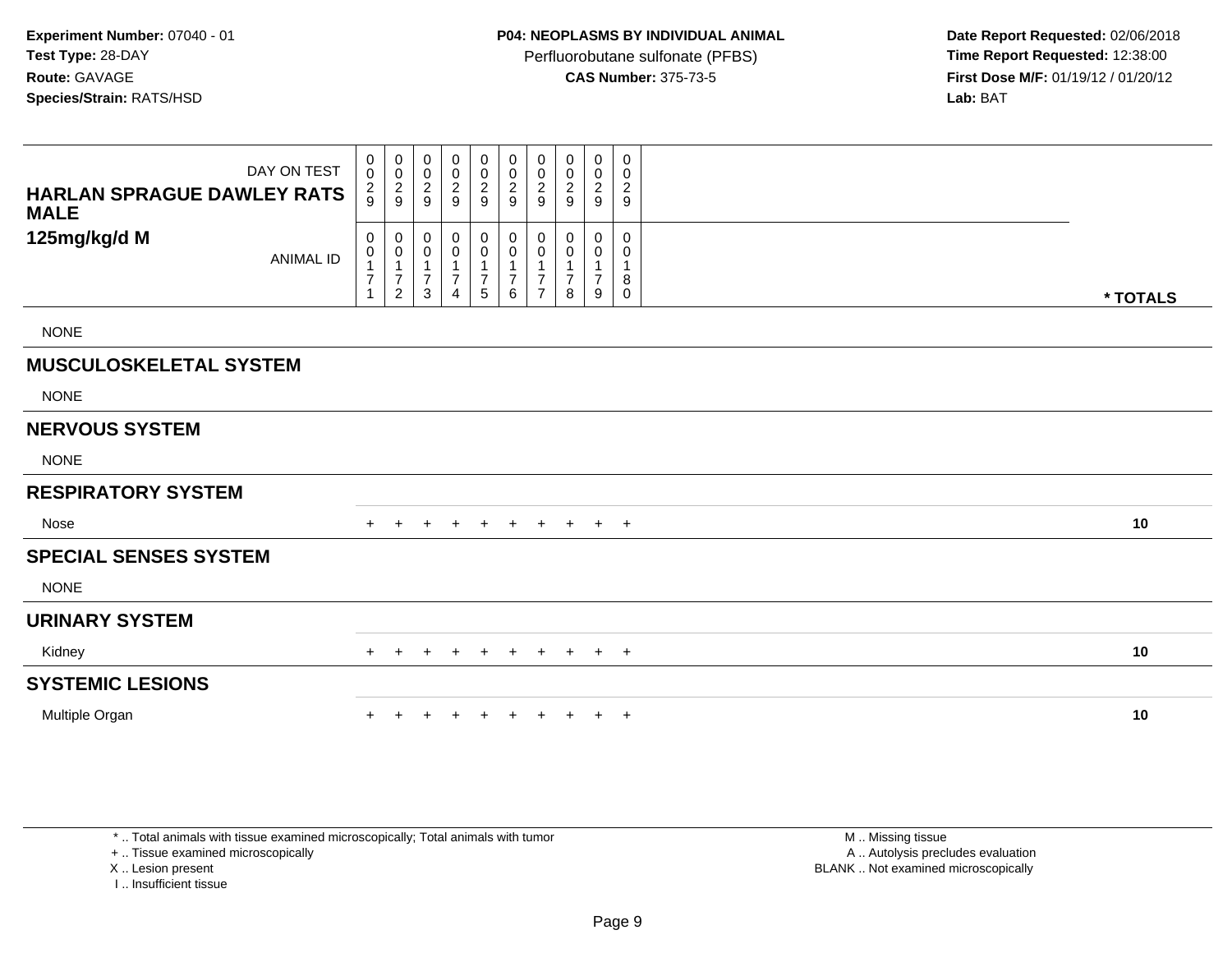**Date Report Requested:** 02/06/2018 **First Dose M/F:** 01/19/12 / 01/20/12<br>**Lab:** BAT

| DAY ON TEST<br><b>HARLAN SPRAGUE DAWLEY RATS</b><br><b>MALE</b> | 0<br>$\mathbf 0$<br>$\frac{2}{9}$                                     | $\begin{smallmatrix}0\0\0\end{smallmatrix}$<br>$\frac{2}{9}$ | 0<br>$\,0\,$<br>$\boldsymbol{2}$<br>9                         | $_{\rm 0}^{\rm 0}$<br>$\frac{2}{9}$       | $\begin{smallmatrix}0\0\end{smallmatrix}$<br>$\frac{2}{9}$                                   | $\boldsymbol{0}$<br>$\pmb{0}$<br>$\overline{c}$<br>9 | 0<br>0<br>$\overline{c}$<br>9 | $\mathbf 0$<br>0<br>$\overline{\mathbf{c}}$<br>9 | 0<br>$\pmb{0}$<br>$\sqrt{2}$<br>9 | 0<br>$\mathbf 0$<br>$\overline{c}$<br>9             |          |
|-----------------------------------------------------------------|-----------------------------------------------------------------------|--------------------------------------------------------------|---------------------------------------------------------------|-------------------------------------------|----------------------------------------------------------------------------------------------|------------------------------------------------------|-------------------------------|--------------------------------------------------|-----------------------------------|-----------------------------------------------------|----------|
| 125mg/kg/d M<br><b>ANIMAL ID</b>                                | $\mathbf 0$<br>$\mathbf 0$<br>$\overline{\mathbf{7}}$<br>$\mathbf{1}$ | 0<br>$\pmb{0}$<br>1<br>$\overline{7}$<br>$\overline{c}$      | $\pmb{0}$<br>0<br>$\mathbf 1$<br>$\overline{7}$<br>$\sqrt{3}$ | $_{\rm 0}^{\rm 0}$<br>$\overline{7}$<br>4 | $\begin{smallmatrix}0\0\0\end{smallmatrix}$<br>$\mathbf 1$<br>$\boldsymbol{7}$<br>$\sqrt{5}$ | $\pmb{0}$<br>$\pmb{0}$<br>$\frac{1}{7}$<br>6         | 0<br>0<br>7<br>$\overline{7}$ | 0<br>0<br>$\overline{7}$<br>8                    | 0<br>0<br>$\overline{7}$<br>9     | $\mathbf 0$<br>0<br>$\mathbf 1$<br>8<br>$\mathbf 0$ | * TOTALS |
| <b>NONE</b>                                                     |                                                                       |                                                              |                                                               |                                           |                                                                                              |                                                      |                               |                                                  |                                   |                                                     |          |
| <b>MUSCULOSKELETAL SYSTEM</b>                                   |                                                                       |                                                              |                                                               |                                           |                                                                                              |                                                      |                               |                                                  |                                   |                                                     |          |
| <b>NONE</b>                                                     |                                                                       |                                                              |                                                               |                                           |                                                                                              |                                                      |                               |                                                  |                                   |                                                     |          |
| <b>NERVOUS SYSTEM</b>                                           |                                                                       |                                                              |                                                               |                                           |                                                                                              |                                                      |                               |                                                  |                                   |                                                     |          |
| <b>NONE</b>                                                     |                                                                       |                                                              |                                                               |                                           |                                                                                              |                                                      |                               |                                                  |                                   |                                                     |          |
| <b>RESPIRATORY SYSTEM</b>                                       |                                                                       |                                                              |                                                               |                                           |                                                                                              |                                                      |                               |                                                  |                                   |                                                     |          |
| Nose                                                            |                                                                       |                                                              | $\pm$                                                         | $\pm$                                     | $+$                                                                                          | $+$                                                  | $+$                           | $+$                                              | $+$ $+$                           |                                                     | 10       |
| <b>SPECIAL SENSES SYSTEM</b>                                    |                                                                       |                                                              |                                                               |                                           |                                                                                              |                                                      |                               |                                                  |                                   |                                                     |          |
| <b>NONE</b>                                                     |                                                                       |                                                              |                                                               |                                           |                                                                                              |                                                      |                               |                                                  |                                   |                                                     |          |
| <b>URINARY SYSTEM</b>                                           |                                                                       |                                                              |                                                               |                                           |                                                                                              |                                                      |                               |                                                  |                                   |                                                     |          |
| Kidney                                                          | $+$                                                                   | $\ddot{}$                                                    |                                                               | $\overline{1}$                            | $\ddot{}$                                                                                    | $+$                                                  | $+$                           | $+$                                              | $+$ $+$                           |                                                     | 10       |
| <b>SYSTEMIC LESIONS</b>                                         |                                                                       |                                                              |                                                               |                                           |                                                                                              |                                                      |                               |                                                  |                                   |                                                     |          |
| Multiple Organ                                                  |                                                                       |                                                              |                                                               |                                           |                                                                                              |                                                      |                               |                                                  | $+$                               | $+$                                                 | 10       |

\* .. Total animals with tissue examined microscopically; Total animals with tumor

+ .. Tissue examined microscopically

X .. Lesion present

I .. Insufficient tissue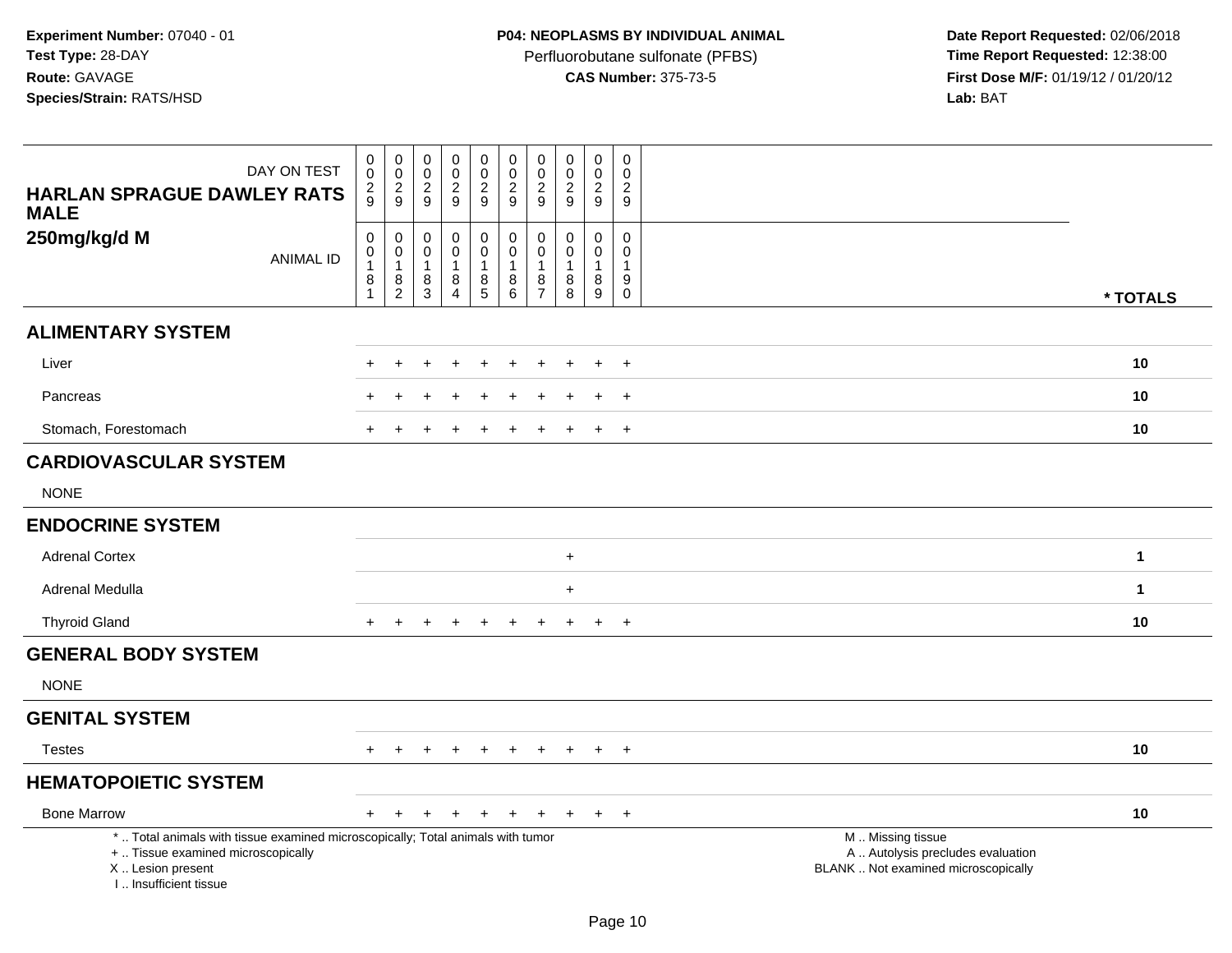Perfluorobutane sulfonate (PFBS)<br>**CAS Number:** 375-73-5

 **Date Report Requested:** 02/06/2018 **First Dose M/F:** 01/19/12 / 01/20/12<br>Lab: BAT **Lab:** BAT

| DAY ON TEST<br><b>HARLAN SPRAGUE DAWLEY RATS</b><br><b>MALE</b>                                                                                                     | 0<br>$\ddot{\mathbf{0}}$<br>$\frac{2}{9}$             | $\mathbf 0$<br>$\mathbf 0$<br>$\overline{c}$<br>9 | 0<br>0<br>$\overline{c}$<br>9   | $\pmb{0}$<br>$\pmb{0}$<br>$\boldsymbol{2}$<br>9         | $\pmb{0}$<br>$\pmb{0}$<br>$\frac{2}{9}$                | $\mathbf 0$<br>$\mathbf 0$<br>$\sqrt{2}$<br>9                      | $\pmb{0}$<br>$\mathbf 0$<br>$\overline{2}$<br>9         | $\mathbf 0$<br>$\mathbf 0$<br>$\sqrt{2}$<br>9        | $\mathsf{O}\xspace$<br>0<br>$\overline{2}$<br>9 | $\mathsf 0$<br>$\Omega$<br>$\overline{2}$<br>9 |                                                                                               |              |
|---------------------------------------------------------------------------------------------------------------------------------------------------------------------|-------------------------------------------------------|---------------------------------------------------|---------------------------------|---------------------------------------------------------|--------------------------------------------------------|--------------------------------------------------------------------|---------------------------------------------------------|------------------------------------------------------|-------------------------------------------------|------------------------------------------------|-----------------------------------------------------------------------------------------------|--------------|
| 250mg/kg/d M<br><b>ANIMAL ID</b>                                                                                                                                    | $\pmb{0}$<br>$\overline{0}$<br>$\mathbf{1}$<br>8<br>1 | 0<br>0<br>$\mathbf{1}$<br>$\frac{8}{2}$           | 0<br>0<br>$\mathbf 1$<br>$^8_3$ | 0<br>$\mathbf 0$<br>$\mathbf{1}$<br>8<br>$\overline{A}$ | $\mathbf 0$<br>$\mathbf 0$<br>$\overline{1}$<br>$^8$ 5 | $\mathbf 0$<br>$\mathbf 0$<br>$\mathbf{1}$<br>8<br>$6\phantom{1}6$ | $\mathbf 0$<br>$\mathbf 0$<br>-1<br>8<br>$\overline{7}$ | $\mathbf 0$<br>$\mathbf 0$<br>$\mathbf{1}$<br>8<br>8 | $\mathbf 0$<br>0<br>1<br>8<br>$\overline{9}$    | 0<br>$\Omega$<br>1<br>9<br>$\bar{0}$           |                                                                                               | * TOTALS     |
| <b>ALIMENTARY SYSTEM</b>                                                                                                                                            |                                                       |                                                   |                                 |                                                         |                                                        |                                                                    |                                                         |                                                      |                                                 |                                                |                                                                                               |              |
| Liver                                                                                                                                                               |                                                       |                                                   |                                 |                                                         |                                                        |                                                                    |                                                         |                                                      |                                                 | $\ddot{}$                                      |                                                                                               | 10           |
| Pancreas                                                                                                                                                            |                                                       |                                                   |                                 |                                                         |                                                        |                                                                    |                                                         |                                                      |                                                 | $\div$                                         |                                                                                               | 10           |
| Stomach, Forestomach                                                                                                                                                | $+$                                                   | $\div$                                            | ÷                               | $\div$                                                  | $\pm$                                                  | $\div$                                                             |                                                         |                                                      | $\overline{+}$                                  | $+$                                            |                                                                                               | 10           |
| <b>CARDIOVASCULAR SYSTEM</b>                                                                                                                                        |                                                       |                                                   |                                 |                                                         |                                                        |                                                                    |                                                         |                                                      |                                                 |                                                |                                                                                               |              |
| <b>NONE</b>                                                                                                                                                         |                                                       |                                                   |                                 |                                                         |                                                        |                                                                    |                                                         |                                                      |                                                 |                                                |                                                                                               |              |
| <b>ENDOCRINE SYSTEM</b>                                                                                                                                             |                                                       |                                                   |                                 |                                                         |                                                        |                                                                    |                                                         |                                                      |                                                 |                                                |                                                                                               |              |
| <b>Adrenal Cortex</b>                                                                                                                                               |                                                       |                                                   |                                 |                                                         |                                                        |                                                                    |                                                         | $\ddot{}$                                            |                                                 |                                                |                                                                                               | $\mathbf{1}$ |
| Adrenal Medulla                                                                                                                                                     |                                                       |                                                   |                                 |                                                         |                                                        |                                                                    |                                                         | $\ddot{}$                                            |                                                 |                                                |                                                                                               | $\mathbf{1}$ |
| <b>Thyroid Gland</b>                                                                                                                                                |                                                       | $\ddot{}$                                         |                                 |                                                         | $\ddot{}$                                              | $\div$                                                             | $\ddot{}$                                               | ÷.                                                   | $\ddot{}$                                       | $+$                                            |                                                                                               | 10           |
| <b>GENERAL BODY SYSTEM</b>                                                                                                                                          |                                                       |                                                   |                                 |                                                         |                                                        |                                                                    |                                                         |                                                      |                                                 |                                                |                                                                                               |              |
| <b>NONE</b>                                                                                                                                                         |                                                       |                                                   |                                 |                                                         |                                                        |                                                                    |                                                         |                                                      |                                                 |                                                |                                                                                               |              |
| <b>GENITAL SYSTEM</b>                                                                                                                                               |                                                       |                                                   |                                 |                                                         |                                                        |                                                                    |                                                         |                                                      |                                                 |                                                |                                                                                               |              |
| <b>Testes</b>                                                                                                                                                       | $+$                                                   | $+$                                               | $+$                             | $+$                                                     | $+$                                                    | $+$                                                                | $+$                                                     | $\ddot{}$                                            | $+$                                             | $+$                                            |                                                                                               | 10           |
| <b>HEMATOPOIETIC SYSTEM</b>                                                                                                                                         |                                                       |                                                   |                                 |                                                         |                                                        |                                                                    |                                                         |                                                      |                                                 |                                                |                                                                                               |              |
| <b>Bone Marrow</b>                                                                                                                                                  |                                                       | $\overline{+}$                                    | $+$                             | $\ddot{}$                                               | $\div$                                                 | $\ddot{}$                                                          | $\div$                                                  | $\ddot{}$                                            | $+$                                             | $+$                                            |                                                                                               | 10           |
| *  Total animals with tissue examined microscopically; Total animals with tumor<br>+  Tissue examined microscopically<br>X  Lesion present<br>I Insufficient tissue |                                                       |                                                   |                                 |                                                         |                                                        |                                                                    |                                                         |                                                      |                                                 |                                                | M  Missing tissue<br>A  Autolysis precludes evaluation<br>BLANK  Not examined microscopically |              |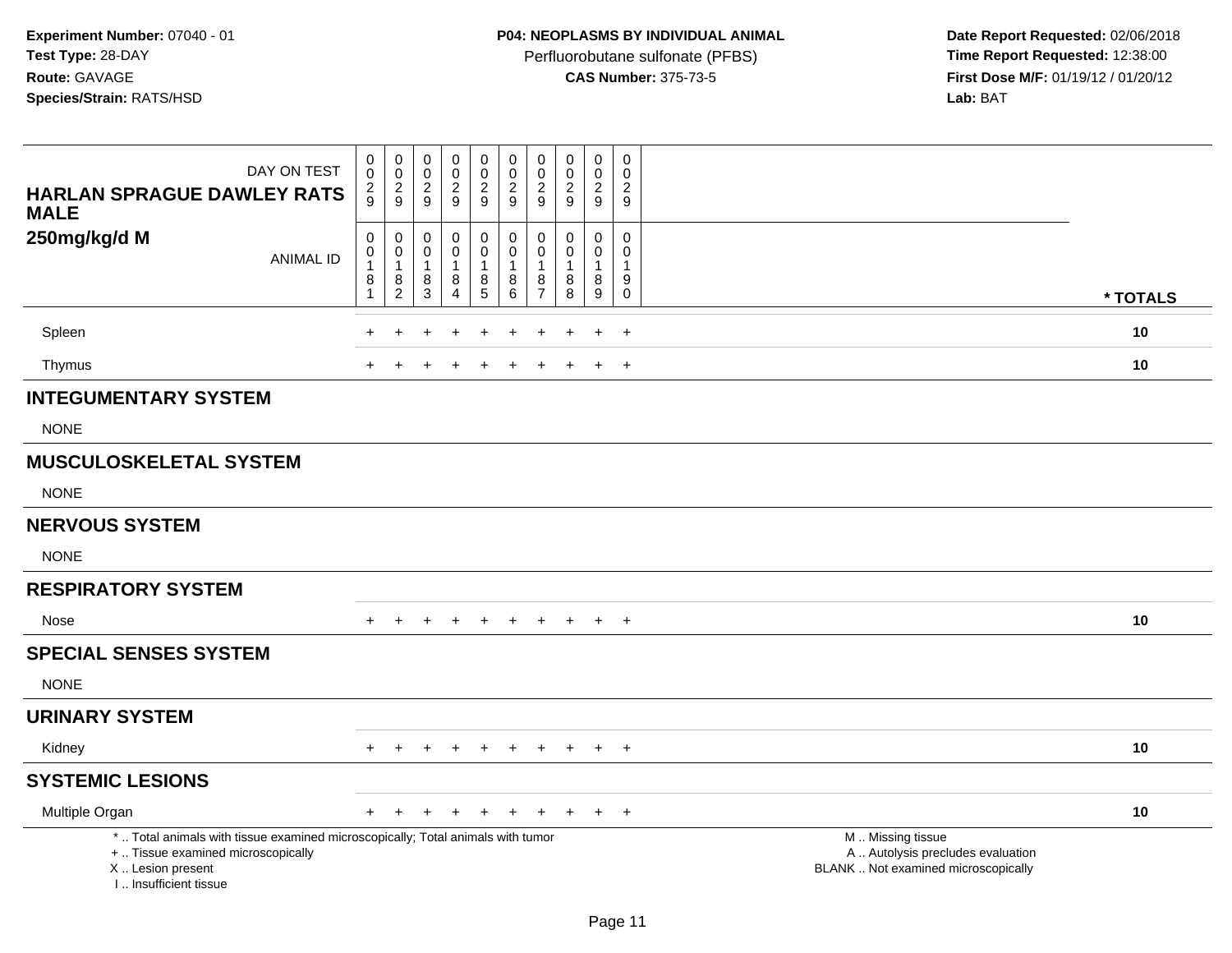Perfluorobutane sulfonate (PFBS)<br>**CAS Number:** 375-73-5

 **Date Report Requested:** 02/06/2018 **First Dose M/F:** 01/19/12 / 01/20/12<br>**Lab:** BAT **Lab:** BAT

| DAY ON TEST<br><b>HARLAN SPRAGUE DAWLEY RATS</b><br><b>MALE</b>                                                                                                     | 0<br>$\pmb{0}$<br>$\frac{2}{9}$                        | $\overline{0}$<br>$\mathbf 0$<br>$\frac{2}{9}$            | $\pmb{0}$<br>$\mathbf 0$<br>$\frac{2}{9}$                        | 0<br>$\frac{0}{2}$                            | $\pmb{0}$<br>$\frac{0}{2}$                        | $\pmb{0}$<br>$\pmb{0}$<br>$\boldsymbol{2}$<br>$\overline{9}$ | 0<br>$\mathbf 0$<br>$\overline{c}$<br>$9\,$ | $\pmb{0}$<br>$\mathbf 0$<br>$\sqrt{2}$<br>9 | $\pmb{0}$<br>$\mathbf 0$<br>$\frac{2}{9}$            | $\mathsf{O}\xspace$<br>$\pmb{0}$<br>$\overline{c}$<br>$\boldsymbol{9}$       |                                                                                               |          |
|---------------------------------------------------------------------------------------------------------------------------------------------------------------------|--------------------------------------------------------|-----------------------------------------------------------|------------------------------------------------------------------|-----------------------------------------------|---------------------------------------------------|--------------------------------------------------------------|---------------------------------------------|---------------------------------------------|------------------------------------------------------|------------------------------------------------------------------------------|-----------------------------------------------------------------------------------------------|----------|
| 250mg/kg/d M<br><b>ANIMAL ID</b>                                                                                                                                    | $\mathbf 0$<br>$\mathbf 0$<br>1<br>8<br>$\overline{1}$ | $\pmb{0}$<br>$\mathbf 0$<br>$\mathbf{1}$<br>$\frac{8}{2}$ | $\pmb{0}$<br>$\mathbf 0$<br>$\mathbf{1}$<br>$\bf8$<br>$\sqrt{3}$ | 0<br>0<br>$\mathbf{1}$<br>8<br>$\overline{4}$ | $\pmb{0}$<br>$\mathbf 0$<br>$\mathbf 1$<br>$^8$ 5 | $\mathbf 0$<br>$\mathbf 0$<br>$\overline{1}$<br>$\bf 8$<br>6 | 0<br>$\mathbf 0$<br>8<br>$\overline{7}$     | $\mathbf 0$<br>$\Omega$<br>1<br>8<br>8      | 0<br>$\mathbf 0$<br>$\mathbf{1}$<br>$\bf 8$<br>$9\,$ | $\mathbf 0$<br>$\mathbf 0$<br>$\mathbf 1$<br>$\boldsymbol{9}$<br>$\mathbf 0$ |                                                                                               | * TOTALS |
| Spleen                                                                                                                                                              |                                                        |                                                           |                                                                  |                                               | $\pm$                                             |                                                              | ÷                                           |                                             | $\div$                                               | $\ddot{}$                                                                    |                                                                                               | 10       |
| Thymus                                                                                                                                                              |                                                        |                                                           |                                                                  |                                               |                                                   |                                                              |                                             |                                             | $\pm$                                                | $+$                                                                          |                                                                                               | 10       |
| <b>INTEGUMENTARY SYSTEM</b>                                                                                                                                         |                                                        |                                                           |                                                                  |                                               |                                                   |                                                              |                                             |                                             |                                                      |                                                                              |                                                                                               |          |
| <b>NONE</b>                                                                                                                                                         |                                                        |                                                           |                                                                  |                                               |                                                   |                                                              |                                             |                                             |                                                      |                                                                              |                                                                                               |          |
| <b>MUSCULOSKELETAL SYSTEM</b>                                                                                                                                       |                                                        |                                                           |                                                                  |                                               |                                                   |                                                              |                                             |                                             |                                                      |                                                                              |                                                                                               |          |
| <b>NONE</b>                                                                                                                                                         |                                                        |                                                           |                                                                  |                                               |                                                   |                                                              |                                             |                                             |                                                      |                                                                              |                                                                                               |          |
| <b>NERVOUS SYSTEM</b>                                                                                                                                               |                                                        |                                                           |                                                                  |                                               |                                                   |                                                              |                                             |                                             |                                                      |                                                                              |                                                                                               |          |
| <b>NONE</b>                                                                                                                                                         |                                                        |                                                           |                                                                  |                                               |                                                   |                                                              |                                             |                                             |                                                      |                                                                              |                                                                                               |          |
| <b>RESPIRATORY SYSTEM</b>                                                                                                                                           |                                                        |                                                           |                                                                  |                                               |                                                   |                                                              |                                             |                                             |                                                      |                                                                              |                                                                                               |          |
| Nose                                                                                                                                                                | $+$                                                    | $\ddot{}$                                                 |                                                                  | $\ddot{}$                                     | $\ddot{}$                                         | $+$                                                          | $+$                                         | $\ddot{}$                                   | $+$                                                  | $+$                                                                          |                                                                                               | 10       |
| <b>SPECIAL SENSES SYSTEM</b><br><b>NONE</b>                                                                                                                         |                                                        |                                                           |                                                                  |                                               |                                                   |                                                              |                                             |                                             |                                                      |                                                                              |                                                                                               |          |
| <b>URINARY SYSTEM</b>                                                                                                                                               |                                                        |                                                           |                                                                  |                                               |                                                   |                                                              |                                             |                                             |                                                      |                                                                              |                                                                                               |          |
| Kidney                                                                                                                                                              | $+$                                                    | $+$                                                       | $+$                                                              | $+$                                           | $+$                                               |                                                              |                                             | $+ + + + +$                                 |                                                      | $+$                                                                          |                                                                                               | 10       |
| <b>SYSTEMIC LESIONS</b>                                                                                                                                             |                                                        |                                                           |                                                                  |                                               |                                                   |                                                              |                                             |                                             |                                                      |                                                                              |                                                                                               |          |
| Multiple Organ                                                                                                                                                      | $+$                                                    | $\overline{+}$                                            | $\div$                                                           | $\ddot{}$                                     | $\ddot{}$                                         | $+$                                                          | $+$                                         | $+$                                         | $+$                                                  | $+$                                                                          |                                                                                               | 10       |
| *  Total animals with tissue examined microscopically; Total animals with tumor<br>+  Tissue examined microscopically<br>X  Lesion present<br>I Insufficient tissue |                                                        |                                                           |                                                                  |                                               |                                                   |                                                              |                                             |                                             |                                                      |                                                                              | M  Missing tissue<br>A  Autolysis precludes evaluation<br>BLANK  Not examined microscopically |          |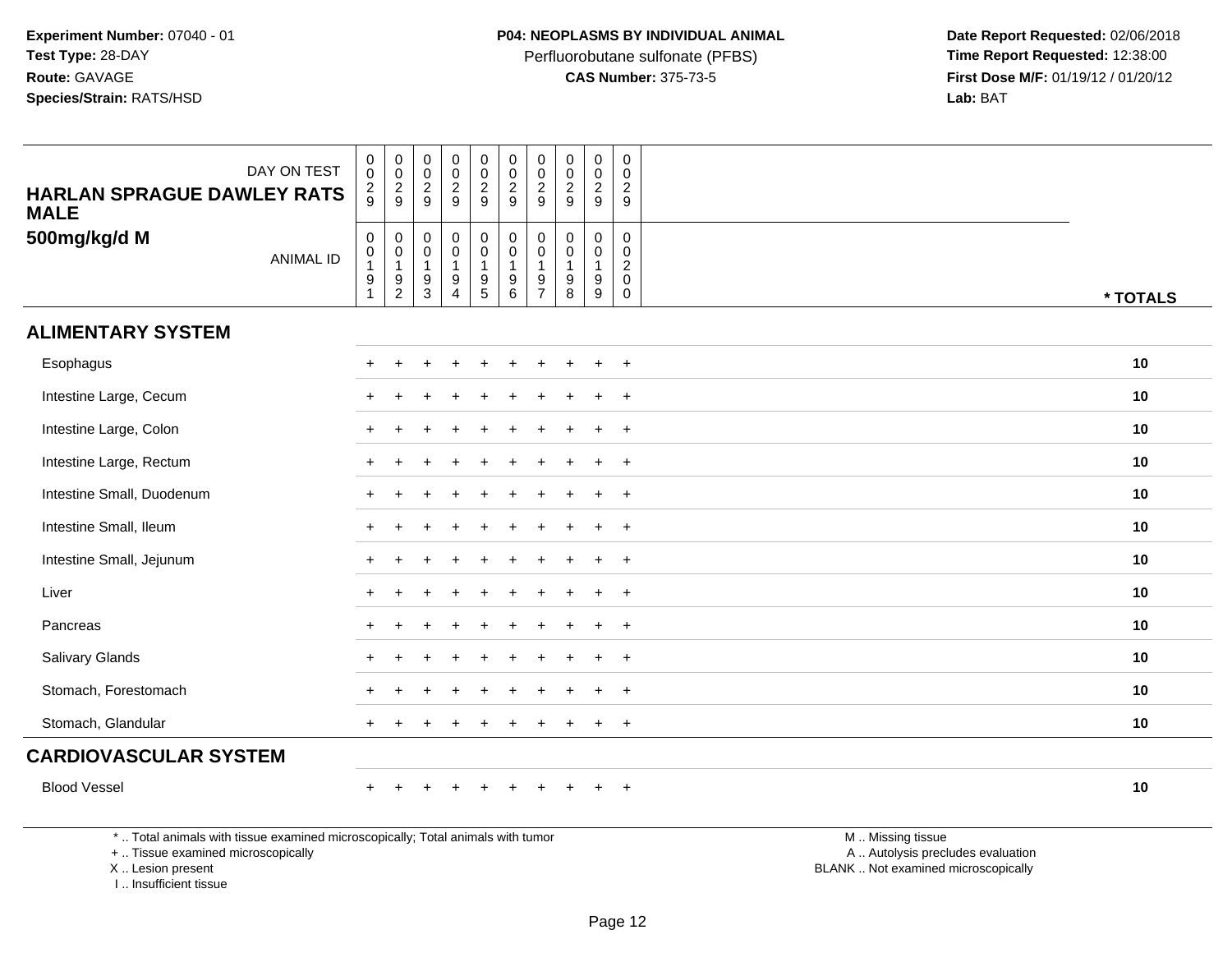Perfluorobutane sulfonate (PFBS)<br>**CAS Number:** 375-73-5

 **Date Report Requested:** 02/06/2018 **First Dose M/F:** 01/19/12 / 01/20/12<br>**Lab:** BAT **Lab:** BAT

| <b>HARLAN SPRAGUE DAWLEY RATS</b>                                               | DAY ON TEST      | $\mathsf{O}\xspace$<br>$\mathbf 0$<br>$\frac{2}{9}$                                   | $\mathbf 0$<br>$\mathbf 0$<br>$\frac{2}{9}$ | $_{\rm 0}^{\rm 0}$<br>$\frac{2}{9}$                     | $\mathbf 0$<br>$\pmb{0}$<br>$\frac{2}{9}$                              | $\pmb{0}$<br>$\mathbf 0$<br>$\frac{2}{9}$                                           | $\pmb{0}$<br>$\frac{0}{2}$                             | $\pmb{0}$<br>$\mathbf 0$<br>$\overline{2}$ | $\mathsf{O}\xspace$<br>$\mathbf 0$<br>$\overline{c}$         | $\mathbf 0$<br>$\mathbf 0$<br>$\overline{c}$ | $\mathbf 0$<br>$\mathbf 0$<br>$\overline{2}$                        |                   |          |
|---------------------------------------------------------------------------------|------------------|---------------------------------------------------------------------------------------|---------------------------------------------|---------------------------------------------------------|------------------------------------------------------------------------|-------------------------------------------------------------------------------------|--------------------------------------------------------|--------------------------------------------|--------------------------------------------------------------|----------------------------------------------|---------------------------------------------------------------------|-------------------|----------|
| <b>MALE</b>                                                                     |                  |                                                                                       |                                             |                                                         |                                                                        |                                                                                     |                                                        | 9                                          | 9                                                            | 9                                            | 9                                                                   |                   |          |
| 500mg/kg/d M                                                                    | <b>ANIMAL ID</b> | $\mathsf{O}\xspace$<br>$\begin{smallmatrix}0\\1\end{smallmatrix}$<br>$\boldsymbol{9}$ | 0<br>$\mathbf 0$<br>$\mathbf{1}$<br>9       | $\pmb{0}$<br>$\pmb{0}$<br>$\mathbf{1}$<br>$\frac{9}{3}$ | $\mathbf 0$<br>$\mathsf{O}\xspace$<br>$\mathbf{1}$<br>$\boldsymbol{9}$ | $\overline{0}$<br>$\mathsf{O}\xspace$<br>1<br>$\begin{array}{c} 9 \\ 5 \end{array}$ | $_{\rm 0}^{\rm 0}$<br>$\mathbf{1}$<br>$\boldsymbol{9}$ | 0<br>$\mathbf 0$<br>$\overline{1}$<br>9    | $\mathsf{O}\xspace$<br>$\mathbf 0$<br>-1<br>$\boldsymbol{9}$ | $\mathbf 0$<br>0<br>$\mathbf{1}$<br>9        | $\mathsf{O}\xspace$<br>$\mathbf 0$<br>$\overline{2}$<br>$\mathbf 0$ |                   |          |
|                                                                                 |                  | $\mathbf{1}$                                                                          | $\overline{c}$                              |                                                         | $\overline{4}$                                                         |                                                                                     | $\,6\,$                                                | $\overline{7}$                             | 8                                                            | $\boldsymbol{9}$                             | $\mathbf 0$                                                         |                   | * TOTALS |
| <b>ALIMENTARY SYSTEM</b>                                                        |                  |                                                                                       |                                             |                                                         |                                                                        |                                                                                     |                                                        |                                            |                                                              |                                              |                                                                     |                   |          |
| Esophagus                                                                       |                  |                                                                                       |                                             |                                                         |                                                                        |                                                                                     |                                                        |                                            |                                                              |                                              | $\ddot{}$                                                           |                   | 10       |
| Intestine Large, Cecum                                                          |                  |                                                                                       |                                             |                                                         |                                                                        |                                                                                     |                                                        |                                            |                                                              | $\ddot{}$                                    | $+$                                                                 |                   | 10       |
| Intestine Large, Colon                                                          |                  |                                                                                       |                                             |                                                         |                                                                        |                                                                                     |                                                        |                                            |                                                              | $\ddot{}$                                    | $\overline{+}$                                                      |                   | 10       |
| Intestine Large, Rectum                                                         |                  |                                                                                       |                                             |                                                         |                                                                        |                                                                                     |                                                        |                                            |                                                              | $\div$                                       | $\overline{+}$                                                      |                   | 10       |
| Intestine Small, Duodenum                                                       |                  |                                                                                       |                                             |                                                         |                                                                        |                                                                                     |                                                        |                                            |                                                              |                                              | $\overline{+}$                                                      |                   | 10       |
| Intestine Small, Ileum                                                          |                  |                                                                                       |                                             |                                                         |                                                                        |                                                                                     |                                                        |                                            |                                                              | $\ddot{}$                                    | $\ddot{}$                                                           |                   | 10       |
| Intestine Small, Jejunum                                                        |                  |                                                                                       |                                             |                                                         |                                                                        |                                                                                     |                                                        |                                            |                                                              | $\ddot{}$                                    | $+$                                                                 |                   | 10       |
| Liver                                                                           |                  |                                                                                       |                                             |                                                         |                                                                        |                                                                                     |                                                        |                                            |                                                              | $\ddot{}$                                    | $\ddot{}$                                                           |                   | 10       |
| Pancreas                                                                        |                  |                                                                                       |                                             |                                                         |                                                                        |                                                                                     |                                                        |                                            |                                                              |                                              | $\overline{+}$                                                      |                   | 10       |
| Salivary Glands                                                                 |                  |                                                                                       |                                             |                                                         |                                                                        |                                                                                     |                                                        |                                            |                                                              |                                              | $\ddot{}$                                                           |                   | 10       |
| Stomach, Forestomach                                                            |                  |                                                                                       |                                             |                                                         |                                                                        |                                                                                     |                                                        |                                            |                                                              | $\ddot{}$                                    | $+$                                                                 |                   | 10       |
| Stomach, Glandular                                                              |                  |                                                                                       |                                             |                                                         |                                                                        |                                                                                     |                                                        |                                            |                                                              | $\ddot{}$                                    | $+$                                                                 |                   | 10       |
| <b>CARDIOVASCULAR SYSTEM</b>                                                    |                  |                                                                                       |                                             |                                                         |                                                                        |                                                                                     |                                                        |                                            |                                                              |                                              |                                                                     |                   |          |
| <b>Blood Vessel</b>                                                             |                  | $\pm$                                                                                 |                                             |                                                         | $\div$                                                                 | $\ddot{}$                                                                           | $\ddot{}$                                              |                                            |                                                              | $\ddot{}$                                    | $+$                                                                 |                   | 10       |
| *  Total animals with tissue examined microscopically; Total animals with tumor |                  |                                                                                       |                                             |                                                         |                                                                        |                                                                                     |                                                        |                                            |                                                              |                                              |                                                                     | M  Missing tissue |          |

+ .. Tissue examined microscopically

X .. Lesion present

I .. Insufficient tissue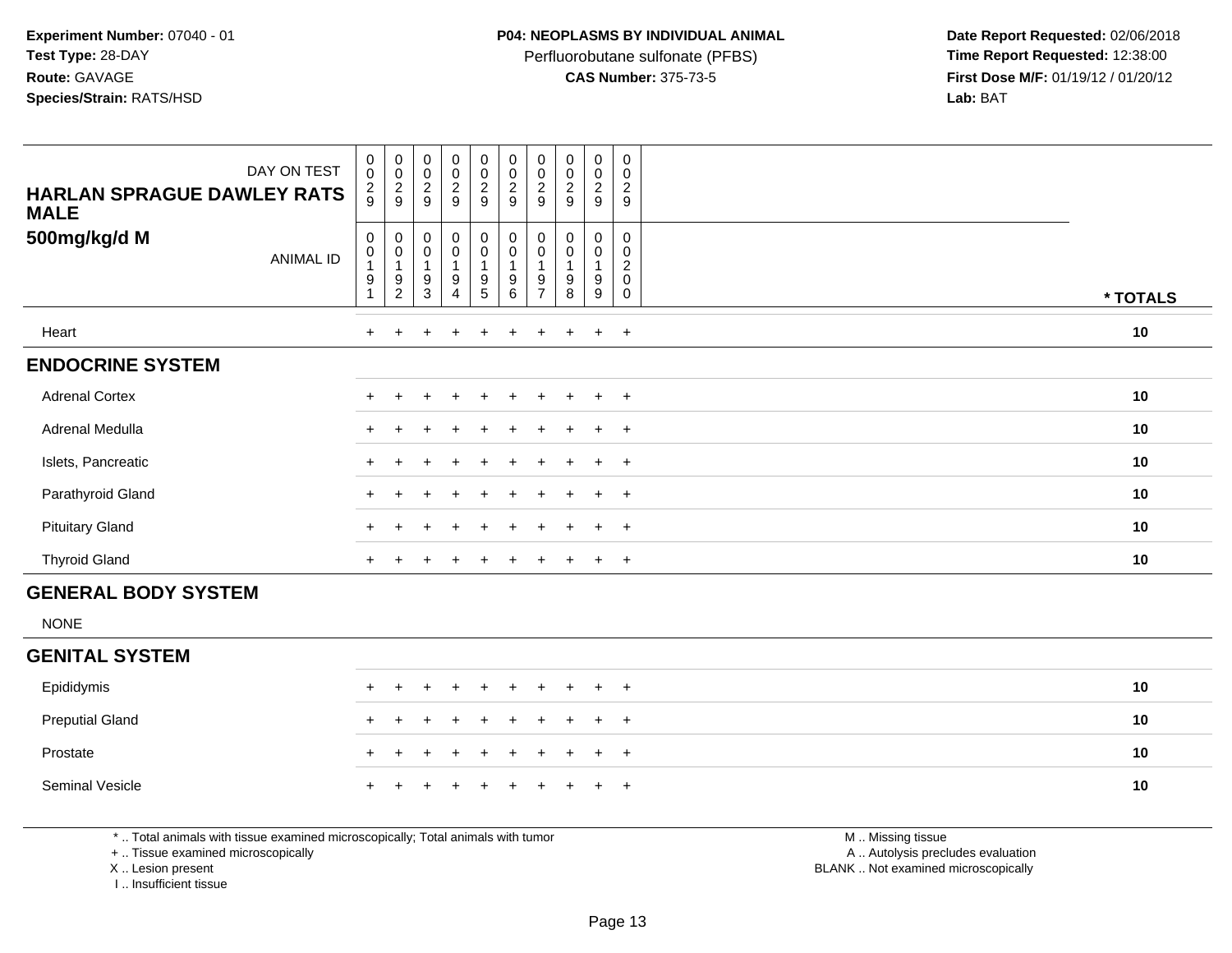Perfluorobutane sulfonate (PFBS)<br>**CAS Number:** 375-73-5

 **Date Report Requested:** 02/06/2018 **First Dose M/F:** 01/19/12 / 01/20/12<br>**Lab:** BAT **Lab:** BAT

| <b>HARLAN SPRAGUE DAWLEY RATS</b><br><b>MALE</b> | DAY ON TEST      | $_{\rm 0}^{\rm 0}$<br>$\frac{2}{9}$ | 00029                                           | $_{\rm 0}^{\rm 0}$<br>$\frac{2}{9}$   | $\begin{smallmatrix}0\0\0\end{smallmatrix}$<br>$\frac{2}{9}$ | $\begin{smallmatrix}0\0\end{smallmatrix}$<br>$\frac{2}{9}$ | 00029                                                      | 00029                                                                                          | 00029                 | $_0^0$<br>$\frac{2}{9}$  | 0<br>$\mathbf 0$<br>$\overline{\mathbf{c}}$<br>9      |          |
|--------------------------------------------------|------------------|-------------------------------------|-------------------------------------------------|---------------------------------------|--------------------------------------------------------------|------------------------------------------------------------|------------------------------------------------------------|------------------------------------------------------------------------------------------------|-----------------------|--------------------------|-------------------------------------------------------|----------|
| 500mg/kg/d M                                     | <b>ANIMAL ID</b> | 0<br>0<br>9                         | $\mathbf 0$<br>$\pmb{0}$<br>9<br>$\overline{c}$ | $\pmb{0}$<br>$\pmb{0}$<br>1<br>9<br>3 | $\mathbf 0$<br>$\pmb{0}$<br>9<br>$\overline{4}$              | $\begin{smallmatrix} 0\\0 \end{smallmatrix}$<br>9<br>5     | $\begin{smallmatrix}0\\0\end{smallmatrix}$<br>9<br>$\,6\,$ | $\begin{smallmatrix} 0\\0 \end{smallmatrix}$<br>$\overline{\mathbf{1}}$<br>9<br>$\overline{7}$ | 0<br>0<br>1<br>9<br>8 | 0<br>$\pmb{0}$<br>9<br>9 | 0<br>0<br>$\overline{\mathbf{c}}$<br>$\mathbf 0$<br>0 | * TOTALS |
| Heart                                            |                  | $\ddot{}$                           |                                                 |                                       | $\mathbf +$                                                  | $\ddot{}$                                                  | $\ddot{}$                                                  | $+$                                                                                            | $\ddot{}$             | $\ddot{}$                | $+$                                                   | 10       |
| <b>ENDOCRINE SYSTEM</b>                          |                  |                                     |                                                 |                                       |                                                              |                                                            |                                                            |                                                                                                |                       |                          |                                                       |          |
| <b>Adrenal Cortex</b>                            |                  | $+$                                 |                                                 |                                       | $\pm$                                                        | $\pm$                                                      |                                                            |                                                                                                | $\pm$                 | $\pm$                    | $+$                                                   | $10$     |
| Adrenal Medulla                                  |                  |                                     |                                                 |                                       |                                                              |                                                            |                                                            |                                                                                                |                       | $\ddot{}$                | $+$                                                   | 10       |
| Islets, Pancreatic                               |                  |                                     |                                                 |                                       |                                                              |                                                            | $\div$                                                     |                                                                                                | $\pm$                 | $\ddot{}$                | $+$                                                   | 10       |
| Parathyroid Gland                                |                  |                                     |                                                 |                                       |                                                              |                                                            |                                                            |                                                                                                |                       |                          | $+$                                                   | 10       |
| <b>Pituitary Gland</b>                           |                  | $\pm$                               |                                                 |                                       | $\div$                                                       | $\pm$                                                      | $\pm$                                                      |                                                                                                | $\pm$                 | $+$                      | $+$                                                   | 10       |
| <b>Thyroid Gland</b>                             |                  | $+$                                 |                                                 | ÷                                     | $\div$                                                       | $\ddot{}$                                                  | $\ddot{}$                                                  | $+$                                                                                            | $\overline{+}$        | $+$                      | $+$                                                   | 10       |
| <b>GENERAL BODY SYSTEM</b>                       |                  |                                     |                                                 |                                       |                                                              |                                                            |                                                            |                                                                                                |                       |                          |                                                       |          |
|                                                  |                  |                                     |                                                 |                                       |                                                              |                                                            |                                                            |                                                                                                |                       |                          |                                                       |          |

NONE

### **GENITAL SYSTEM**

| Epididymis             |  | + + + + + + + + + + |  |  |  |  | 10 |
|------------------------|--|---------------------|--|--|--|--|----|
| <b>Preputial Gland</b> |  | + + + + + + + + + + |  |  |  |  | 10 |
| Prostate               |  | + + + + + + + + + + |  |  |  |  | 10 |
| Seminal Vesicle        |  | + + + + + + + + + + |  |  |  |  | 10 |

\* .. Total animals with tissue examined microscopically; Total animals with tumor

+ .. Tissue examined microscopically

X .. Lesion present

I .. Insufficient tissue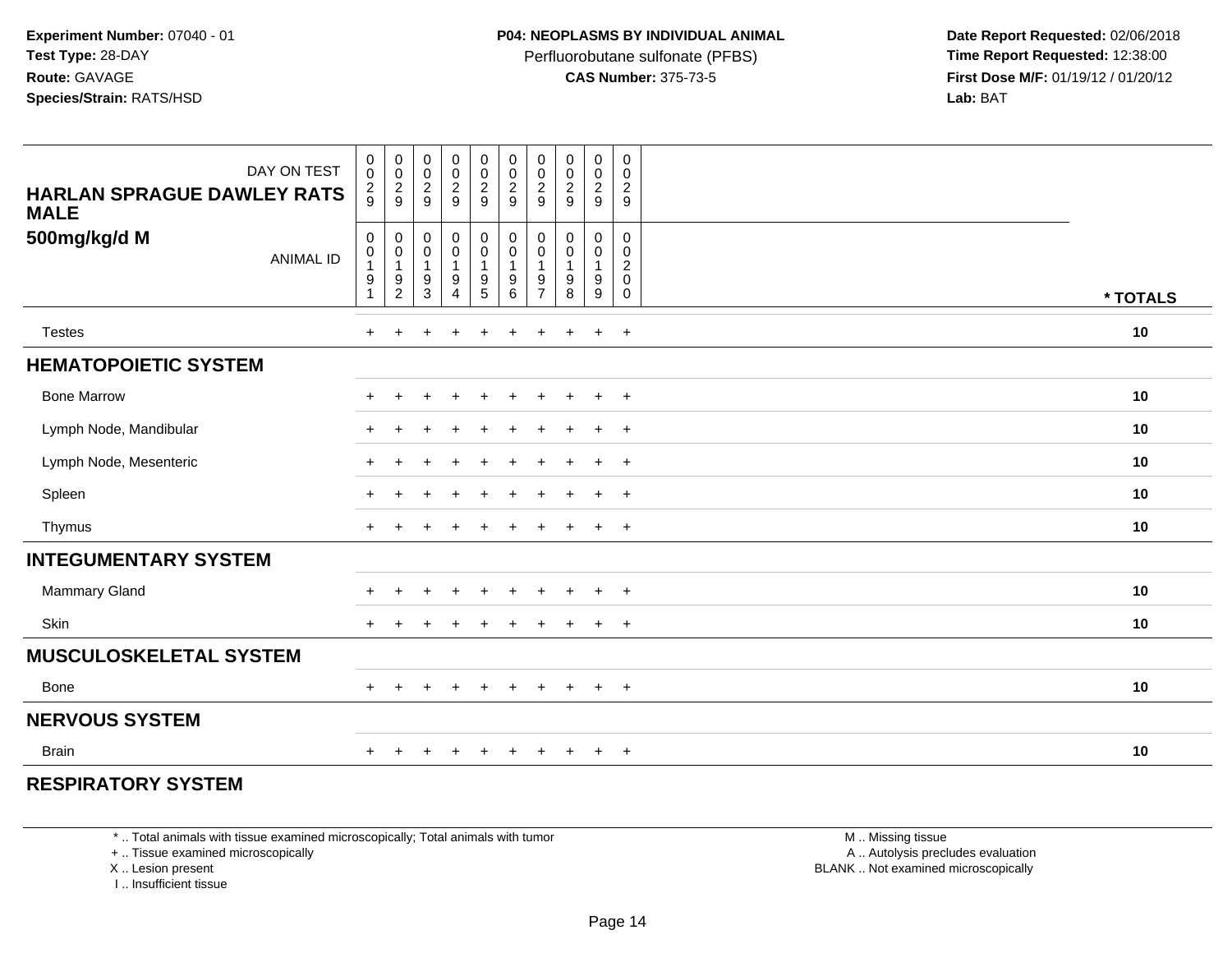Perfluorobutane sulfonate (PFBS)<br>**CAS Number:** 375-73-5

 **Date Report Requested:** 02/06/2018 **First Dose M/F:** 01/19/12 / 01/20/12<br>**Lab:** BAT **Lab:** BAT

| DAY ON TEST<br><b>HARLAN SPRAGUE DAWLEY RATS</b><br><b>MALE</b> | 0<br>$\ddot{\mathbf{0}}$<br>$\frac{2}{9}$ | $_{\rm 0}^{\rm 0}$<br>$\frac{2}{9}$                                      | $\begin{array}{c} 0 \\ 0 \\ 2 \\ 9 \end{array}$                            | 00029                                                                      | $\begin{smallmatrix} 0\\0 \end{smallmatrix}$<br>$\frac{2}{9}$             | $\begin{smallmatrix} 0\\0 \end{smallmatrix}$<br>$\frac{2}{9}$ | $_{\rm 0}^{\rm 0}$<br>$\frac{2}{9}$                           | $\begin{array}{c} 0 \\ 0 \\ 2 \\ 9 \end{array}$  | $\begin{smallmatrix}0\0\0\end{smallmatrix}$<br>$\frac{2}{9}$ | $\pmb{0}$<br>$\overline{0}$<br>$\frac{2}{9}$             |          |
|-----------------------------------------------------------------|-------------------------------------------|--------------------------------------------------------------------------|----------------------------------------------------------------------------|----------------------------------------------------------------------------|---------------------------------------------------------------------------|---------------------------------------------------------------|---------------------------------------------------------------|--------------------------------------------------|--------------------------------------------------------------|----------------------------------------------------------|----------|
| 500mg/kg/d M<br><b>ANIMAL ID</b>                                | 0<br>$\pmb{0}$<br>9<br>1                  | $\pmb{0}$<br>$\begin{smallmatrix}0\\1\end{smallmatrix}$<br>$\frac{9}{2}$ | $\pmb{0}$<br>$\pmb{0}$<br>$\mathbf{1}$<br>$\boldsymbol{9}$<br>$\mathbf{3}$ | $_{\rm 0}^{\rm 0}$<br>$\overline{1}$<br>$\boldsymbol{9}$<br>$\overline{4}$ | $\pmb{0}$<br>$\overline{0}$<br>1<br>$\begin{array}{c} 9 \\ 5 \end{array}$ | 0<br>0<br>9<br>6                                              | $\pmb{0}$<br>$\pmb{0}$<br>$\mathbf{1}$<br>9<br>$\overline{7}$ | 0<br>$\pmb{0}$<br>$\mathbf{1}$<br>$_{8}^{\rm 9}$ | 0<br>$\mathbf 0$<br>9<br>9                                   | $\mathbf 0$<br>$\pmb{0}$<br>$\frac{2}{0}$<br>$\mathbf 0$ | * TOTALS |
| <b>Testes</b>                                                   | $+$                                       | $+$                                                                      | $\ddot{}$                                                                  | $\ddot{}$                                                                  | $\ddot{}$                                                                 | $\ddot{}$                                                     | $\pm$                                                         | $\ddot{}$                                        | $+$                                                          | $+$                                                      | 10       |
| <b>HEMATOPOIETIC SYSTEM</b>                                     |                                           |                                                                          |                                                                            |                                                                            |                                                                           |                                                               |                                                               |                                                  |                                                              |                                                          |          |
| <b>Bone Marrow</b>                                              | $+$                                       | $\ddot{}$                                                                | $\overline{1}$                                                             | $+$                                                                        | $+$                                                                       | $\ddot{}$                                                     | $\ddot{}$                                                     | $+$                                              | $+$                                                          | $+$                                                      | 10       |
| Lymph Node, Mandibular                                          | $+$                                       | $\ddot{}$                                                                | $\overline{1}$                                                             | $\ddot{}$                                                                  | $\ddot{}$                                                                 | $\div$                                                        |                                                               | $\ddot{}$                                        | $\ddot{}$                                                    | $+$                                                      | 10       |
| Lymph Node, Mesenteric                                          | $\pm$                                     |                                                                          |                                                                            |                                                                            | $\div$                                                                    | $\div$                                                        |                                                               | $+$                                              | $\ddot{}$                                                    | $+$                                                      | 10       |
| Spleen                                                          | $\ddot{}$                                 |                                                                          | $\ddot{}$                                                                  |                                                                            |                                                                           |                                                               |                                                               | $\overline{+}$                                   | $\ddot{}$                                                    | $+$                                                      | 10       |
| Thymus                                                          | $\div$                                    |                                                                          |                                                                            |                                                                            |                                                                           |                                                               |                                                               |                                                  | $\pm$                                                        | $^{+}$                                                   | 10       |
| <b>INTEGUMENTARY SYSTEM</b>                                     |                                           |                                                                          |                                                                            |                                                                            |                                                                           |                                                               |                                                               |                                                  |                                                              |                                                          |          |
| <b>Mammary Gland</b>                                            | $\pm$                                     | $\ddot{}$                                                                | $\ddot{}$                                                                  | $\ddot{}$                                                                  | $\ddot{}$                                                                 | $\div$                                                        |                                                               | $\ddot{}$                                        | $\ddot{}$                                                    | $^{+}$                                                   | 10       |
| Skin                                                            | $+$                                       | $\pm$                                                                    | $\pm$                                                                      |                                                                            | $\pm$                                                                     | ÷                                                             |                                                               | $\overline{+}$                                   | $\ddot{}$                                                    | $+$                                                      | 10       |
| <b>MUSCULOSKELETAL SYSTEM</b>                                   |                                           |                                                                          |                                                                            |                                                                            |                                                                           |                                                               |                                                               |                                                  |                                                              |                                                          |          |
| <b>Bone</b>                                                     | $+$                                       | $\pm$                                                                    | $\pm$                                                                      | $+$                                                                        | $\overline{+}$                                                            | $\ddot{}$                                                     | $+$                                                           | $+$                                              | $+$                                                          | $+$                                                      | 10       |
| <b>NERVOUS SYSTEM</b>                                           |                                           |                                                                          |                                                                            |                                                                            |                                                                           |                                                               |                                                               |                                                  |                                                              |                                                          |          |
| <b>Brain</b>                                                    | ÷                                         |                                                                          |                                                                            |                                                                            |                                                                           |                                                               |                                                               | $\pm$                                            | $\ddot{}$                                                    | $^{+}$                                                   | 10       |

## **RESPIRATORY SYSTEM**

\* .. Total animals with tissue examined microscopically; Total animals with tumor

+ .. Tissue examined microscopically

X .. Lesion present

I .. Insufficient tissue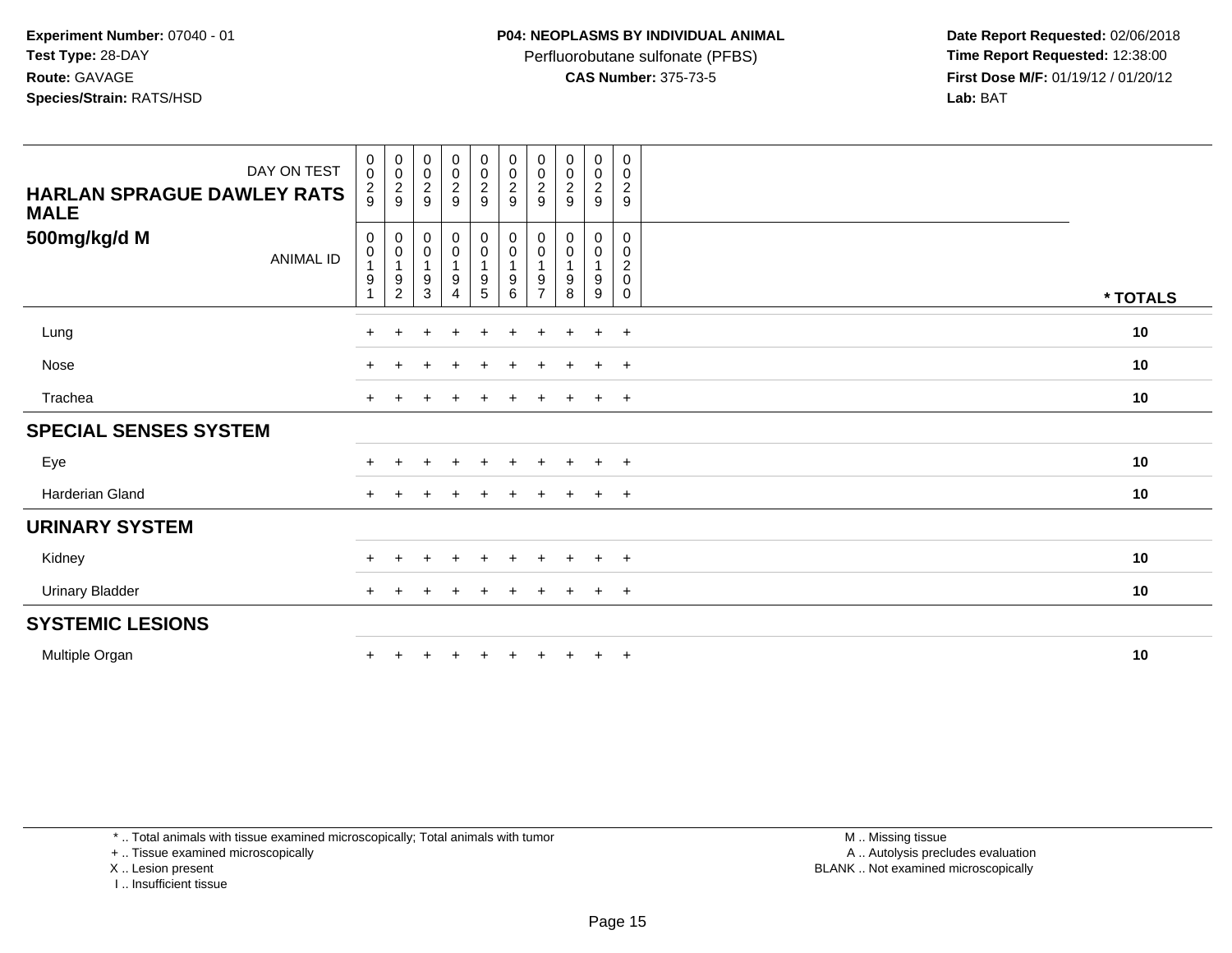Perfluorobutane sulfonate (PFBS)<br>**CAS Number:** 375-73-5

 **Date Report Requested:** 02/06/2018 **First Dose M/F:** 01/19/12 / 01/20/12<br>**Lab:** BAT **Lab:** BAT

| DAY ON TEST<br><b>HARLAN SPRAGUE DAWLEY RATS</b><br><b>MALE</b> | $\begin{smallmatrix}0\0\0\end{smallmatrix}$<br>$\frac{2}{9}$ | 00029                                                                              | $_{\rm 0}^{\rm 0}$<br>$\frac{2}{9}$                                                        | $\begin{smallmatrix}0\0\0\end{smallmatrix}$<br>$\frac{2}{9}$    | $\begin{array}{c} 0 \\ 0 \\ 2 \\ 9 \end{array}$   | 00029                                                         | 00029                                                                          | $\begin{smallmatrix} 0\\0 \end{smallmatrix}$<br>$\frac{2}{9}$     | $\begin{smallmatrix} 0\\0 \end{smallmatrix}$<br>$\frac{2}{9}$ | $\,0\,$<br>$\mathbf 0$<br>$\frac{2}{9}$                                    |          |
|-----------------------------------------------------------------|--------------------------------------------------------------|------------------------------------------------------------------------------------|--------------------------------------------------------------------------------------------|-----------------------------------------------------------------|---------------------------------------------------|---------------------------------------------------------------|--------------------------------------------------------------------------------|-------------------------------------------------------------------|---------------------------------------------------------------|----------------------------------------------------------------------------|----------|
| 500mg/kg/d M<br><b>ANIMAL ID</b>                                | $\pmb{0}$<br>$\pmb{0}$<br>9                                  | $\pmb{0}$<br>$\begin{smallmatrix}0\\1\end{smallmatrix}$<br>$9\,$<br>$\overline{2}$ | $\,0\,$<br>$\begin{smallmatrix} 0\\ 1 \end{smallmatrix}$<br>$\boldsymbol{9}$<br>$\sqrt{3}$ | 0<br>$\mathsf{O}\xspace$<br>$\mathbf{1}$<br>9<br>$\overline{4}$ | 0<br>0<br>$\overline{1}$<br>$\boldsymbol{9}$<br>5 | 0<br>$\pmb{0}$<br>$\overline{1}$<br>$\boldsymbol{9}$<br>$\,6$ | $\pmb{0}$<br>$\begin{smallmatrix}0\\1\end{smallmatrix}$<br>9<br>$\overline{7}$ | $\pmb{0}$<br>$\begin{smallmatrix}0\\1\end{smallmatrix}$<br>9<br>8 | 0<br>$\mathbf 0$<br>$\mathbf{1}$<br>$\boldsymbol{9}$<br>9     | $\mathbf 0$<br>$\pmb{0}$<br>$\boldsymbol{2}$<br>$\mathbf 0$<br>$\mathbf 0$ | * TOTALS |
| Lung                                                            | $\pm$                                                        |                                                                                    |                                                                                            | $\div$                                                          | $\ddot{}$                                         | $\ddot{}$                                                     | $\pm$                                                                          | ÷                                                                 | $\ddot{}$                                                     | $+$                                                                        | 10       |
| Nose                                                            | $\div$                                                       |                                                                                    |                                                                                            |                                                                 |                                                   |                                                               |                                                                                |                                                                   | $\div$                                                        | $+$                                                                        | 10       |
| Trachea                                                         | $\ddot{}$                                                    |                                                                                    |                                                                                            |                                                                 | $+$                                               | $+$                                                           | $+$                                                                            | $+$                                                               | $+$                                                           | $+$                                                                        | 10       |
| <b>SPECIAL SENSES SYSTEM</b>                                    |                                                              |                                                                                    |                                                                                            |                                                                 |                                                   |                                                               |                                                                                |                                                                   |                                                               |                                                                            |          |
| Eye                                                             |                                                              |                                                                                    |                                                                                            |                                                                 |                                                   |                                                               |                                                                                |                                                                   | ÷                                                             | $\pm$                                                                      | 10       |
| Harderian Gland                                                 | $+$                                                          |                                                                                    |                                                                                            | ÷                                                               |                                                   | $\ddot{}$                                                     |                                                                                | $\ddot{}$                                                         | $\ddot{}$                                                     | $+$                                                                        | 10       |
| <b>URINARY SYSTEM</b>                                           |                                                              |                                                                                    |                                                                                            |                                                                 |                                                   |                                                               |                                                                                |                                                                   |                                                               |                                                                            |          |
| Kidney                                                          |                                                              |                                                                                    |                                                                                            |                                                                 |                                                   |                                                               |                                                                                |                                                                   | ٠                                                             | $\pm$                                                                      | $10$     |
| <b>Urinary Bladder</b>                                          | $+$                                                          |                                                                                    |                                                                                            | $\overline{1}$                                                  | $\pm$                                             | $\pm$                                                         | $\pm$                                                                          | $\pm$                                                             | $\ddot{}$                                                     | $+$                                                                        | 10       |
| <b>SYSTEMIC LESIONS</b>                                         |                                                              |                                                                                    |                                                                                            |                                                                 |                                                   |                                                               |                                                                                |                                                                   |                                                               |                                                                            |          |
| Multiple Organ                                                  |                                                              |                                                                                    |                                                                                            |                                                                 |                                                   |                                                               |                                                                                | $\ddot{}$                                                         | $\ddot{}$                                                     | $+$                                                                        | 10       |

\* .. Total animals with tissue examined microscopically; Total animals with tumor

+ .. Tissue examined microscopically

X .. Lesion present

I .. Insufficient tissue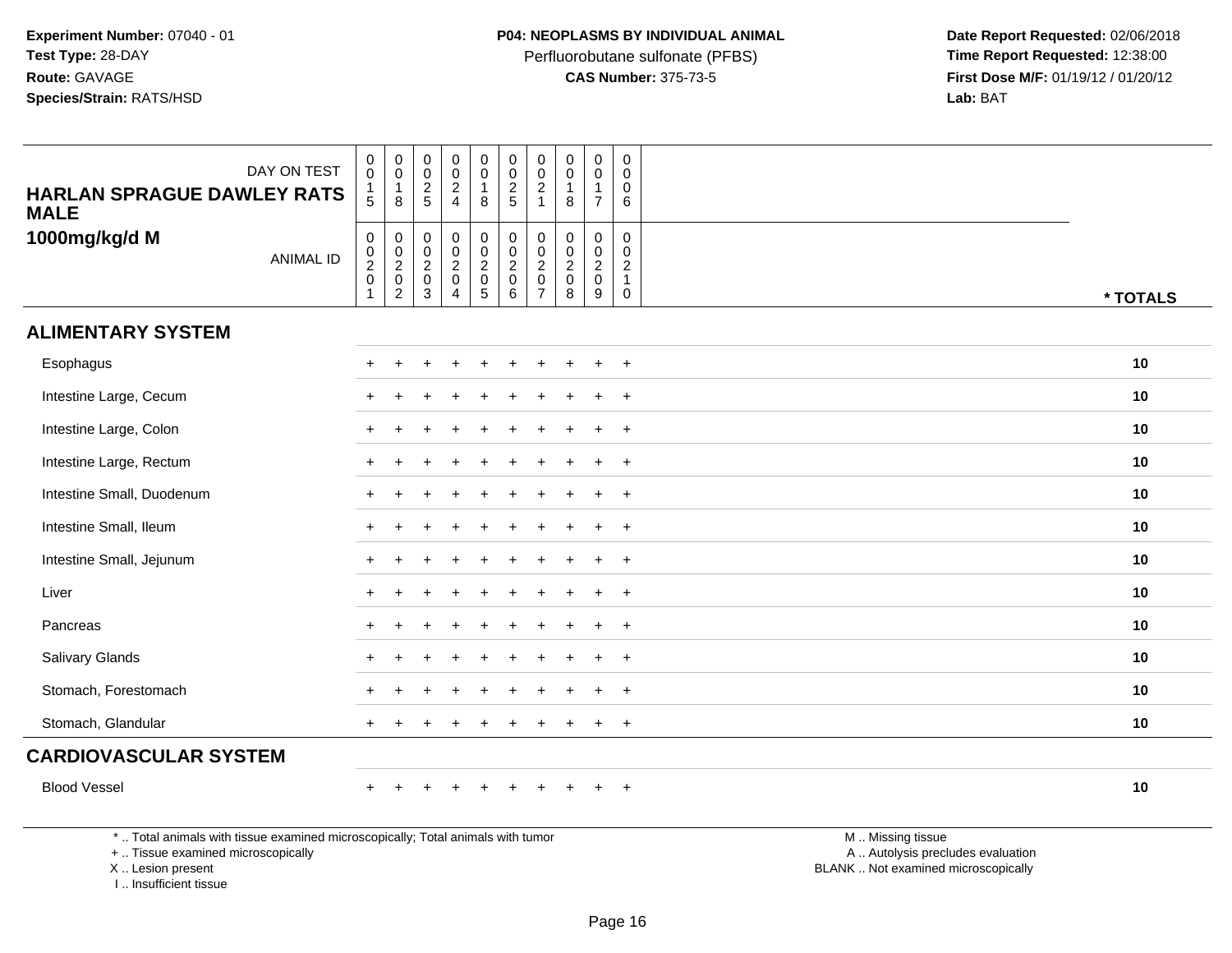Perfluorobutane sulfonate (PFBS)<br>**CAS Number:** 375-73-5

 **Date Report Requested:** 02/06/2018 **First Dose M/F:** 01/19/12 / 01/20/12<br>**Lab:** BAT **Lab:** BAT

| <b>HARLAN SPRAGUE DAWLEY RATS</b><br><b>MALE</b>                                | DAY ON TEST      | $\mathbf 0$<br>$\mathbf 0$<br>$\mathbf{1}$<br>5 | $\pmb{0}$<br>$\mathbf 0$<br>$\overline{1}$<br>8           | $\pmb{0}$<br>$\pmb{0}$<br>$rac{2}{5}$                            | $\pmb{0}$<br>$\mathsf{O}\xspace$<br>$\frac{2}{4}$   | $\mathsf{O}\xspace$<br>$\mathbf 0$<br>$\overline{1}$<br>8                       | $\pmb{0}$<br>$\pmb{0}$<br>$\overline{c}$<br>$\overline{5}$ | $\mathbf 0$<br>$\mathbf 0$<br>$\sqrt{2}$<br>$\overline{1}$                      | $\mathsf 0$<br>$\mathbf 0$<br>$\mathbf{1}$<br>8                  | $\pmb{0}$<br>$\pmb{0}$<br>$\mathbf{1}$<br>$\overline{7}$      | $\pmb{0}$<br>$\Omega$<br>0<br>6                                               |                   |          |
|---------------------------------------------------------------------------------|------------------|-------------------------------------------------|-----------------------------------------------------------|------------------------------------------------------------------|-----------------------------------------------------|---------------------------------------------------------------------------------|------------------------------------------------------------|---------------------------------------------------------------------------------|------------------------------------------------------------------|---------------------------------------------------------------|-------------------------------------------------------------------------------|-------------------|----------|
| 1000mg/kg/d M                                                                   | <b>ANIMAL ID</b> | $\mathbf 0$<br>$\frac{0}{2}$<br>$\overline{1}$  | $\mathbf 0$<br>$\mathbf 0$<br>$\frac{2}{0}$<br>$\sqrt{2}$ | $\boldsymbol{0}$<br>$\mathbf 0$<br>$\frac{2}{0}$<br>$\mathbf{3}$ | $\mathbf 0$<br>$\overline{0}$<br>$\frac{2}{0}$<br>4 | $\begin{smallmatrix} 0\\0 \end{smallmatrix}$<br>$\frac{2}{0}$<br>$\overline{5}$ | $\pmb{0}$<br>$\overline{0}$<br>$\frac{2}{0}$<br>$\,6\,$    | $\mathbf 0$<br>$\mathbf 0$<br>$\boldsymbol{2}$<br>$\mathbf 0$<br>$\overline{7}$ | $\mathbf 0$<br>$\mathbf 0$<br>$\overline{2}$<br>$\mathbf 0$<br>8 | 0<br>$\mathsf{O}\xspace$<br>$\frac{2}{0}$<br>$\boldsymbol{9}$ | $\mathbf 0$<br>$\mathbf 0$<br>$\overline{c}$<br>$\overline{1}$<br>$\mathbf 0$ |                   | * TOTALS |
| <b>ALIMENTARY SYSTEM</b>                                                        |                  |                                                 |                                                           |                                                                  |                                                     |                                                                                 |                                                            |                                                                                 |                                                                  |                                                               |                                                                               |                   |          |
| Esophagus                                                                       |                  |                                                 |                                                           |                                                                  |                                                     |                                                                                 |                                                            |                                                                                 |                                                                  |                                                               | $\div$                                                                        |                   | 10       |
| Intestine Large, Cecum                                                          |                  |                                                 |                                                           |                                                                  |                                                     |                                                                                 |                                                            |                                                                                 |                                                                  | $\ddot{}$                                                     | $+$                                                                           |                   | 10       |
| Intestine Large, Colon                                                          |                  |                                                 |                                                           |                                                                  |                                                     |                                                                                 |                                                            |                                                                                 |                                                                  | $\ddot{}$                                                     | $\overline{+}$                                                                |                   | 10       |
| Intestine Large, Rectum                                                         |                  |                                                 |                                                           |                                                                  |                                                     |                                                                                 |                                                            |                                                                                 |                                                                  | $\ddot{}$                                                     | $+$                                                                           |                   | 10       |
| Intestine Small, Duodenum                                                       |                  |                                                 |                                                           |                                                                  |                                                     |                                                                                 |                                                            |                                                                                 |                                                                  |                                                               | $\overline{1}$                                                                |                   | 10       |
| Intestine Small, Ileum                                                          |                  |                                                 |                                                           |                                                                  |                                                     |                                                                                 |                                                            |                                                                                 |                                                                  | $\div$                                                        | $\ddot{}$                                                                     |                   | 10       |
| Intestine Small, Jejunum                                                        |                  |                                                 |                                                           |                                                                  |                                                     |                                                                                 |                                                            |                                                                                 |                                                                  | $\ddot{}$                                                     | $\div$                                                                        |                   | 10       |
| Liver                                                                           |                  |                                                 |                                                           |                                                                  |                                                     |                                                                                 |                                                            |                                                                                 |                                                                  | $\ddot{}$                                                     | $\overline{+}$                                                                |                   | 10       |
| Pancreas                                                                        |                  |                                                 |                                                           |                                                                  |                                                     |                                                                                 |                                                            |                                                                                 |                                                                  |                                                               | $\overline{ }$                                                                |                   | 10       |
| Salivary Glands                                                                 |                  |                                                 |                                                           |                                                                  |                                                     |                                                                                 |                                                            |                                                                                 |                                                                  |                                                               | $\ddot{}$                                                                     |                   | 10       |
| Stomach, Forestomach                                                            |                  |                                                 |                                                           |                                                                  |                                                     |                                                                                 |                                                            |                                                                                 |                                                                  | $\div$                                                        | $\overline{ }$                                                                |                   | 10       |
| Stomach, Glandular                                                              |                  | $+$                                             |                                                           |                                                                  |                                                     |                                                                                 |                                                            |                                                                                 |                                                                  | $\ddot{}$                                                     | $+$                                                                           |                   | 10       |
| <b>CARDIOVASCULAR SYSTEM</b>                                                    |                  |                                                 |                                                           |                                                                  |                                                     |                                                                                 |                                                            |                                                                                 |                                                                  |                                                               |                                                                               |                   |          |
| <b>Blood Vessel</b>                                                             |                  |                                                 |                                                           |                                                                  | $\div$                                              | $\pm$                                                                           |                                                            |                                                                                 |                                                                  | $\ddot{}$                                                     | $+$                                                                           |                   | 10       |
| *  Total animals with tissue examined microscopically; Total animals with tumor |                  |                                                 |                                                           |                                                                  |                                                     |                                                                                 |                                                            |                                                                                 |                                                                  |                                                               |                                                                               | M  Missing tissue |          |

+ .. Tissue examined microscopically

X .. Lesion present

I .. Insufficient tissue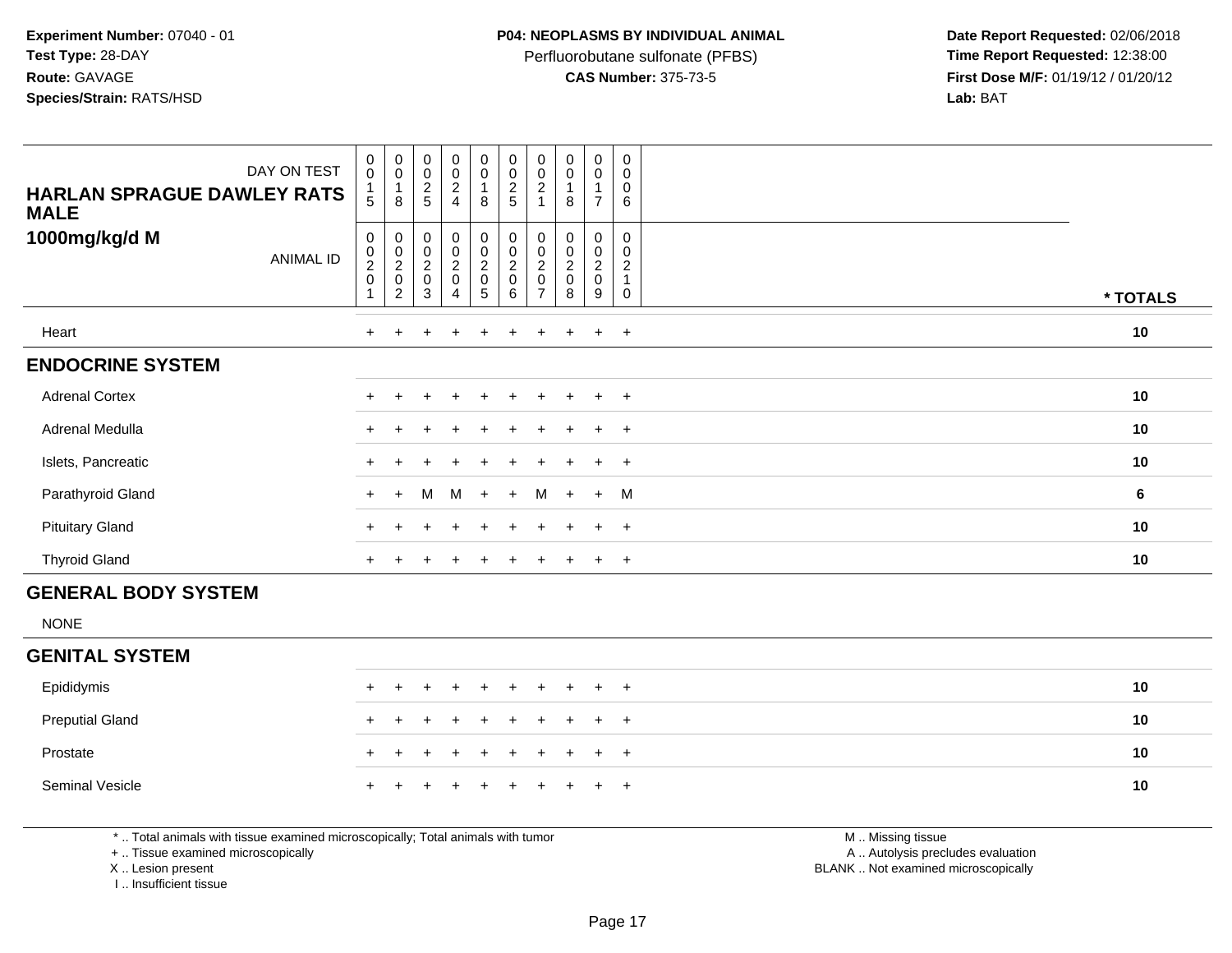Perfluorobutane sulfonate (PFBS)<br>**CAS Number:** 375-73-5

 **Date Report Requested:** 02/06/2018 **First Dose M/F:** 01/19/12 / 01/20/12<br>**Lab:** BAT **Lab:** BAT

| DAY ON TEST                                      | $\mathbf 0$<br>$\mathbf 0$      | 0<br>$\pmb{0}$                                                         | $\begin{smallmatrix} 0\\0 \end{smallmatrix}$                   | $_{\rm 0}^{\rm 0}$    | $_{\rm 0}^{\rm 0}$                                          | 0<br>$\pmb{0}$                        | 0<br>0                                                    | $\begin{smallmatrix} 0\\0 \end{smallmatrix}$       | $\begin{smallmatrix} 0\\0 \end{smallmatrix}$ | 0<br>0                                        |          |
|--------------------------------------------------|---------------------------------|------------------------------------------------------------------------|----------------------------------------------------------------|-----------------------|-------------------------------------------------------------|---------------------------------------|-----------------------------------------------------------|----------------------------------------------------|----------------------------------------------|-----------------------------------------------|----------|
| <b>HARLAN SPRAGUE DAWLEY RATS</b><br><b>MALE</b> | 5                               | $\mathbf{1}$<br>8                                                      | $\frac{2}{5}$                                                  | $\frac{2}{4}$         | $\mathbf{1}$<br>$\, 8$                                      | $rac{2}{5}$                           | $\overline{c}$                                            | 8                                                  | $\overline{1}$<br>$\overline{7}$             | 0<br>6                                        |          |
| 1000mg/kg/d M<br><b>ANIMAL ID</b>                | 0<br>0<br>$\boldsymbol{2}$<br>0 | 0<br>$\begin{smallmatrix} 0\\2\\0 \end{smallmatrix}$<br>$\overline{2}$ | $\begin{matrix} 0 \\ 0 \\ 2 \\ 0 \end{matrix}$<br>$\mathbf{3}$ | 0<br>0<br>2<br>0<br>4 | $\pmb{0}$<br>$\begin{matrix} 0 \\ 2 \\ 0 \end{matrix}$<br>5 | 0<br>$\mathbf 0$<br>$^2_{\rm 0}$<br>6 | 0<br>0<br>$\boldsymbol{2}$<br>$\pmb{0}$<br>$\overline{7}$ | 0<br>$\pmb{0}$<br>$\overline{2}$<br>$\pmb{0}$<br>8 | 0<br>$\frac{0}{2}$<br>9                      | 0<br>0<br>$\overline{2}$<br>$\mathbf{1}$<br>0 | * TOTALS |
| Heart                                            | $+$                             | $+$                                                                    | $\ddot{}$                                                      | $+$                   | $+$                                                         | $+$                                   | $+$                                                       | $+$                                                | $+$                                          | $+$                                           | 10       |
| <b>ENDOCRINE SYSTEM</b>                          |                                 |                                                                        |                                                                |                       |                                                             |                                       |                                                           |                                                    |                                              |                                               |          |
| <b>Adrenal Cortex</b>                            | $\ddot{}$                       | $\pm$                                                                  |                                                                | $\div$                |                                                             |                                       | $\pm$                                                     | $\pm$                                              | $\ddot{}$                                    | $+$                                           | 10       |
| Adrenal Medulla                                  | $\ddot{}$                       | $+$                                                                    |                                                                | $\ddot{}$             | $\pm$                                                       | $\ddot{}$                             | $+$                                                       | $\pm$                                              | $+$                                          | $+$                                           | 10       |
| Islets, Pancreatic                               | $\pm$                           |                                                                        |                                                                |                       |                                                             |                                       |                                                           |                                                    | $\pm$                                        | $^{+}$                                        | 10       |
| Parathyroid Gland                                | $+$                             | $+$                                                                    | M                                                              | M                     | $+$                                                         | $+$                                   | M                                                         | $+$                                                | $+$                                          | M                                             | 6        |
| <b>Pituitary Gland</b>                           |                                 |                                                                        |                                                                | $\pm$                 |                                                             |                                       |                                                           | $\div$                                             | $+$                                          | $+$                                           | 10       |
| <b>Thyroid Gland</b>                             | $\ddot{}$                       | $^+$                                                                   |                                                                | $\ddot{}$             | $\ddot{}$                                                   | $\ddot{}$                             | $+$                                                       | $^{+}$                                             | $+$                                          | $+$                                           | 10       |
| <b>GENERAL BODY SYSTEM</b>                       |                                 |                                                                        |                                                                |                       |                                                             |                                       |                                                           |                                                    |                                              |                                               |          |
| <b>NONE</b>                                      |                                 |                                                                        |                                                                |                       |                                                             |                                       |                                                           |                                                    |                                              |                                               |          |
| <b>GENITAL SYSTEM</b>                            |                                 |                                                                        |                                                                |                       |                                                             |                                       |                                                           |                                                    |                                              |                                               |          |

| Epididymis             |  | + + + + + + + + + + |  |  |  |  | 10 |
|------------------------|--|---------------------|--|--|--|--|----|
| <b>Preputial Gland</b> |  | + + + + + + + + + + |  |  |  |  | 10 |
| Prostate               |  | + + + + + + + + + + |  |  |  |  | 10 |
| Seminal Vesicle        |  | + + + + + + + + + + |  |  |  |  | 10 |

\* .. Total animals with tissue examined microscopically; Total animals with tumor

+ .. Tissue examined microscopically

X .. Lesion present

I .. Insufficient tissue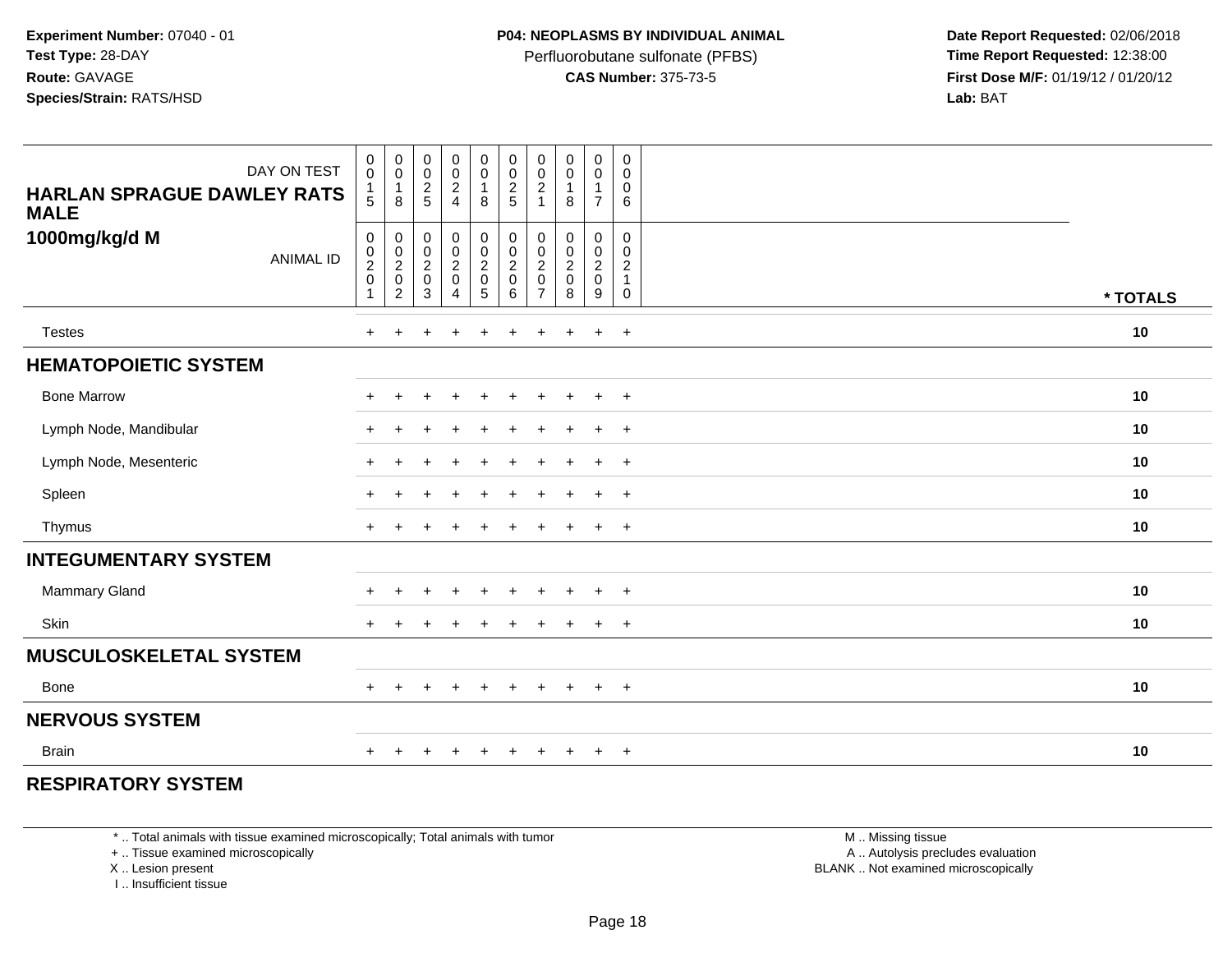Perfluorobutane sulfonate (PFBS)<br>**CAS Number:** 375-73-5

 **Date Report Requested:** 02/06/2018 **First Dose M/F:** 01/19/12 / 01/20/12<br>**Lab:** BAT **Lab:** BAT

| DAY ON TEST<br><b>HARLAN SPRAGUE DAWLEY RATS</b><br><b>MALE</b> | $\begin{smallmatrix}0\0\0\end{smallmatrix}$<br>$\mathbf{1}$<br>5           | $\begin{smallmatrix} 0\\0 \end{smallmatrix}$<br>$\mathbf{1}$<br>8              | $\begin{array}{c} 0 \\ 0 \\ 2 \\ 5 \end{array}$ | $\begin{array}{c} 0 \\ 0 \\ 2 \\ 4 \end{array}$ | $\begin{smallmatrix} 0\\0 \end{smallmatrix}$<br>$\mathbf{1}$<br>$\bf8$ | $\begin{smallmatrix} 0\\0 \end{smallmatrix}$<br>$\frac{2}{5}$    | $\mathbf 0$<br>$\pmb{0}$<br>$\boldsymbol{2}$<br>$\overline{1}$                        | $_{\rm 0}^{\rm 0}$<br>$\mathbf{1}$<br>8 | $\mathbf 0$<br>$\mathbf 0$<br>$\mathbf{1}$<br>$\overline{7}$ | $\mathbf 0$<br>$\mathbf 0$<br>$\mathbf 0$<br>6                                        |          |
|-----------------------------------------------------------------|----------------------------------------------------------------------------|--------------------------------------------------------------------------------|-------------------------------------------------|-------------------------------------------------|------------------------------------------------------------------------|------------------------------------------------------------------|---------------------------------------------------------------------------------------|-----------------------------------------|--------------------------------------------------------------|---------------------------------------------------------------------------------------|----------|
| 1000mg/kg/d M<br><b>ANIMAL ID</b>                               | $\mathsf{O}\xspace$<br>$\boldsymbol{0}$<br>$\frac{2}{0}$<br>$\overline{1}$ | $\pmb{0}$<br>$\begin{smallmatrix} 0\\2\\0 \end{smallmatrix}$<br>$\overline{c}$ | $\pmb{0}$<br>$\frac{0}{2}$<br>$\mathbf{3}$      | 0<br>$\frac{0}{2}$<br>$\overline{4}$            | $\pmb{0}$<br>$\frac{0}{2}$<br>$\overline{5}$                           | $\pmb{0}$<br>$\mathbf 0$<br>$\boldsymbol{2}$<br>$\mathbf 0$<br>6 | $\mathsf{O}\xspace$<br>$\mathbf 0$<br>$\boldsymbol{2}$<br>$\pmb{0}$<br>$\overline{7}$ | $\pmb{0}$<br>$\frac{0}{2}$<br>8         | $\mathbf 0$<br>$\frac{0}{2}$<br>$\boldsymbol{9}$             | $\mathbf 0$<br>$\mathbf 0$<br>$\overline{c}$<br>$\overline{1}$<br>$\mathsf{O}\xspace$ | * TOTALS |
| <b>Testes</b>                                                   | $+$                                                                        | $+$                                                                            | $\ddot{}$                                       | $+$                                             | $\ddot{}$                                                              | $\ddot{}$                                                        | $+$                                                                                   | $\ddot{}$                               | $+$                                                          | $+$                                                                                   | 10       |
| <b>HEMATOPOIETIC SYSTEM</b>                                     |                                                                            |                                                                                |                                                 |                                                 |                                                                        |                                                                  |                                                                                       |                                         |                                                              |                                                                                       |          |
| <b>Bone Marrow</b>                                              | $\ddot{}$                                                                  | $+$                                                                            | ٠                                               | $\pm$                                           | $\pm$                                                                  | ÷                                                                | $\pm$                                                                                 | $\pm$                                   | $+$                                                          | $+$                                                                                   | 10       |
| Lymph Node, Mandibular                                          | $+$                                                                        | $\pm$                                                                          |                                                 | $\pm$                                           | $\ddot{}$                                                              | ÷                                                                | $\pm$                                                                                 | $\overline{+}$                          | $+$                                                          | $+$                                                                                   | 10       |
| Lymph Node, Mesenteric                                          | $+$                                                                        | $\pm$                                                                          |                                                 | $\ddot{}$                                       | $\ddot{}$                                                              | $\ddot{}$                                                        | $\pm$                                                                                 | $\ddot{}$                               | $+$                                                          | $+$                                                                                   | 10       |
| Spleen                                                          | $+$                                                                        | $\ddot{}$                                                                      |                                                 | $\ddot{}$                                       | $\ddot{}$                                                              | $\div$                                                           | $\ddot{}$                                                                             | $+$                                     | $+$                                                          | $+$                                                                                   | 10       |
| Thymus                                                          | $+$                                                                        |                                                                                |                                                 |                                                 |                                                                        |                                                                  |                                                                                       |                                         | $\ddot{}$                                                    | $+$                                                                                   | 10       |
| <b>INTEGUMENTARY SYSTEM</b>                                     |                                                                            |                                                                                |                                                 |                                                 |                                                                        |                                                                  |                                                                                       |                                         |                                                              |                                                                                       |          |
| Mammary Gland                                                   | $\pm$                                                                      | $\pm$                                                                          |                                                 | $\pm$                                           | $\ddot{}$                                                              | ÷                                                                |                                                                                       | $\ddot{}$                               | $+$                                                          | $+$                                                                                   | 10       |
| Skin                                                            | $+$                                                                        | $\ddot{}$                                                                      |                                                 |                                                 |                                                                        |                                                                  |                                                                                       | $\ddot{}$                               | $+$                                                          | $+$                                                                                   | 10       |
| <b>MUSCULOSKELETAL SYSTEM</b>                                   |                                                                            |                                                                                |                                                 |                                                 |                                                                        |                                                                  |                                                                                       |                                         |                                                              |                                                                                       |          |
| Bone                                                            | $+$                                                                        | $+$                                                                            | $\pm$                                           | $\pm$                                           | $\pm$                                                                  | $\ddot{}$                                                        | $+$                                                                                   | $\pm$                                   | $+$                                                          | $+$                                                                                   | 10       |
| <b>NERVOUS SYSTEM</b>                                           |                                                                            |                                                                                |                                                 |                                                 |                                                                        |                                                                  |                                                                                       |                                         |                                                              |                                                                                       |          |
| <b>Brain</b>                                                    | $\ddot{}$                                                                  |                                                                                |                                                 |                                                 |                                                                        |                                                                  |                                                                                       |                                         | $\ddot{}$                                                    | $+$                                                                                   | 10       |

## **RESPIRATORY SYSTEM**

\* .. Total animals with tissue examined microscopically; Total animals with tumor

+ .. Tissue examined microscopically

X .. Lesion present

I .. Insufficient tissue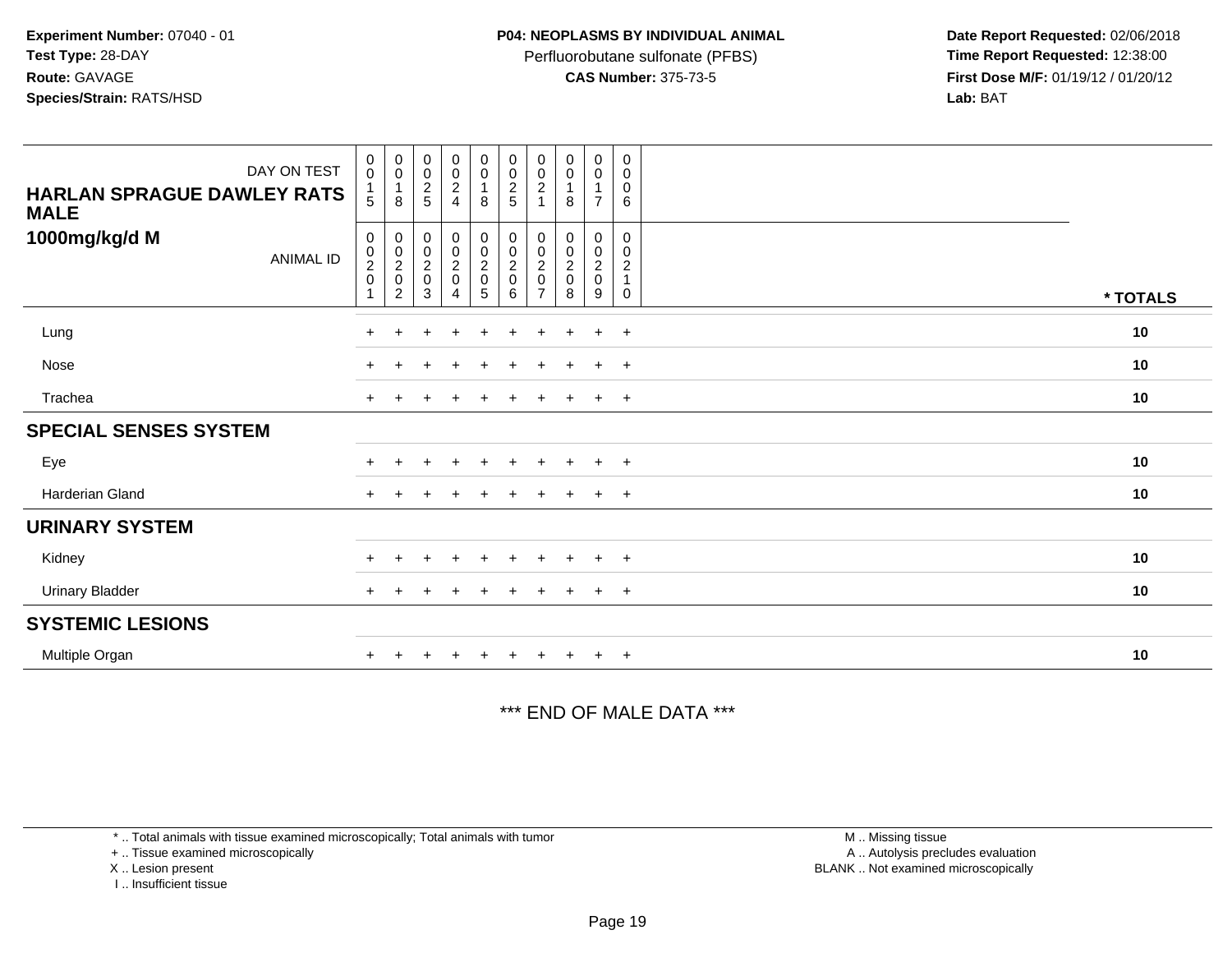Perfluorobutane sulfonate (PFBS)<br>**CAS Number:** 375-73-5

 **Date Report Requested:** 02/06/2018 **First Dose M/F:** 01/19/12 / 01/20/12<br>**Lab:** BAT **Lab:** BAT

| DAY ON TEST<br><b>HARLAN SPRAGUE DAWLEY RATS</b><br><b>MALE</b> | $_{\rm 0}^{\rm 0}$<br>5 | $_{\rm 0}^{\rm 0}$<br>$\overline{1}$<br>8                    | $_{\rm 0}^{\rm 0}$<br>$\frac{2}{5}$ | $\begin{smallmatrix}0\0\0\end{smallmatrix}$<br>$_4^2$            | $\begin{smallmatrix} 0\\0 \end{smallmatrix}$<br>$\mathbf{1}$<br>8 | $\begin{array}{c} 0 \\ 0 \\ 2 \\ 5 \end{array}$           | $_{\rm 0}^{\rm 0}$<br>$\sqrt{2}$     | $_{\rm 0}^{\rm 0}$<br>$\overline{1}$<br>8           | $_{\rm 0}^{\rm 0}$<br>$\mathbf{1}$<br>$\overline{7}$ | $\mathbf 0$<br>$\mathbf 0$<br>$\pmb{0}$<br>6                           |          |
|-----------------------------------------------------------------|-------------------------|--------------------------------------------------------------|-------------------------------------|------------------------------------------------------------------|-------------------------------------------------------------------|-----------------------------------------------------------|--------------------------------------|-----------------------------------------------------|------------------------------------------------------|------------------------------------------------------------------------|----------|
| 1000mg/kg/d M<br><b>ANIMAL ID</b>                               | 0<br>$\frac{0}{2}$      | $\begin{matrix} 0 \\ 0 \\ 2 \\ 0 \end{matrix}$<br>$\sqrt{2}$ | 3                                   | $\begin{matrix} 0 \\ 0 \\ 2 \\ 0 \end{matrix}$<br>$\overline{4}$ | $\begin{matrix} 0 \\ 0 \\ 2 \\ 0 \end{matrix}$<br>$\overline{5}$  | $\begin{matrix} 0 \\ 0 \\ 2 \\ 0 \end{matrix}$<br>$\,6\,$ | 0<br>$\frac{0}{2}$<br>$\overline{7}$ | 0<br>$\begin{matrix} 0 \\ 2 \\ 0 \end{matrix}$<br>8 | 0<br>$\frac{0}{2}$<br>9                              | 0<br>$\boldsymbol{0}$<br>$\overline{c}$<br>$\mathbf{1}$<br>$\mathbf 0$ | * TOTALS |
| Lung                                                            | $\pm$                   |                                                              |                                     | $\div$                                                           | $\ddot{}$                                                         | $\pm$                                                     | +                                    |                                                     | $+$                                                  | $+$                                                                    | 10       |
| Nose                                                            | $\pm$                   |                                                              |                                     |                                                                  |                                                                   |                                                           |                                      |                                                     | $\ddot{}$                                            | $+$                                                                    | 10       |
| Trachea                                                         | $\pm$                   |                                                              |                                     |                                                                  |                                                                   |                                                           |                                      |                                                     | $\pm$                                                | $+$                                                                    | 10       |
| <b>SPECIAL SENSES SYSTEM</b>                                    |                         |                                                              |                                     |                                                                  |                                                                   |                                                           |                                      |                                                     |                                                      |                                                                        |          |
| Eye                                                             |                         |                                                              |                                     |                                                                  |                                                                   |                                                           |                                      |                                                     | ÷                                                    | $+$                                                                    | 10       |
| Harderian Gland                                                 | $+$                     |                                                              |                                     | $\ddot{}$                                                        | $+$                                                               | $+$                                                       | $+$                                  | $\pm$                                               | $\ddot{}$                                            | $+$                                                                    | 10       |
| <b>URINARY SYSTEM</b>                                           |                         |                                                              |                                     |                                                                  |                                                                   |                                                           |                                      |                                                     |                                                      |                                                                        |          |
| Kidney                                                          |                         |                                                              |                                     |                                                                  |                                                                   |                                                           |                                      |                                                     | $\div$                                               | $^+$                                                                   | 10       |
| <b>Urinary Bladder</b>                                          | $+$                     |                                                              |                                     | +                                                                | $\div$                                                            | $\pm$                                                     | ÷                                    |                                                     | $\ddot{}$                                            | $+$                                                                    | 10       |
| <b>SYSTEMIC LESIONS</b>                                         |                         |                                                              |                                     |                                                                  |                                                                   |                                                           |                                      |                                                     |                                                      |                                                                        |          |
| Multiple Organ                                                  |                         |                                                              |                                     |                                                                  |                                                                   |                                                           |                                      |                                                     | $\ddot{}$                                            | $+$                                                                    | 10       |

### \*\*\* END OF MALE DATA \*\*\*

\* .. Total animals with tissue examined microscopically; Total animals with tumor

+ .. Tissue examined microscopically

X .. Lesion present

I .. Insufficient tissue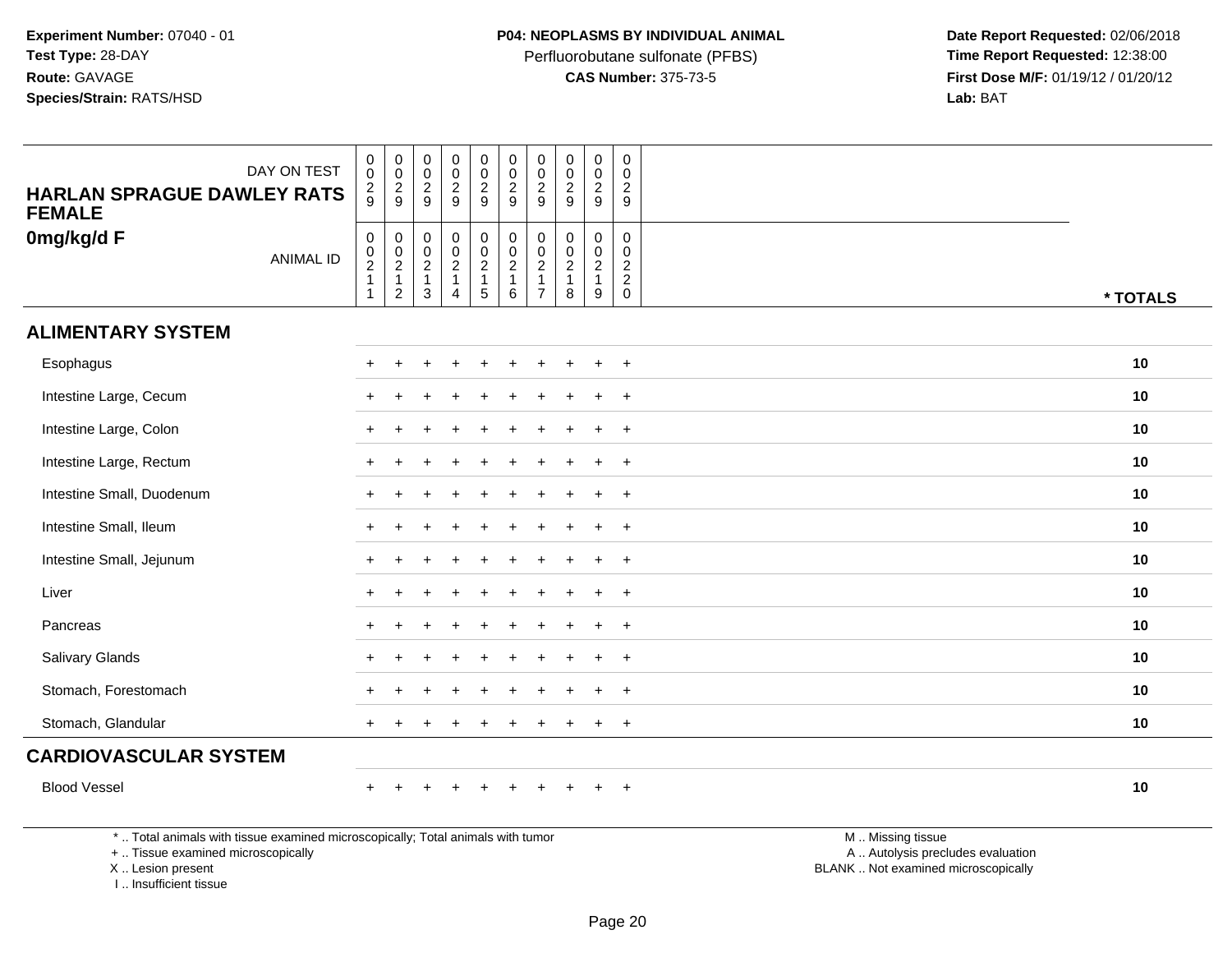Perfluorobutane sulfonate (PFBS)<br>**CAS Number:** 375-73-5

 **Date Report Requested:** 02/06/2018 **First Dose M/F:** 01/19/12 / 01/20/12<br>**Lab:** BAT **Lab:** BAT

| DAY ON TEST<br><b>HARLAN SPRAGUE DAWLEY RATS</b><br><b>FEMALE</b>               | $\begin{smallmatrix} 0\\0 \end{smallmatrix}$<br>$\frac{2}{9}$ | $\pmb{0}$<br>$\,0\,$<br>$\frac{2}{9}$                       | $\pmb{0}$<br>$\pmb{0}$<br>$\sqrt{2}$<br>9                                | $\pmb{0}$<br>$\pmb{0}$<br>$\frac{2}{9}$                   | $\pmb{0}$<br>$\mathsf{O}\xspace$<br>$\sqrt{2}$<br>9                | $\pmb{0}$<br>$\pmb{0}$<br>$\sqrt{2}$<br>$\boldsymbol{9}$        | $\pmb{0}$<br>$\pmb{0}$<br>$\sqrt{2}$<br>9                              | $\mathsf 0$<br>$\mathbf 0$<br>$\overline{c}$<br>$\boldsymbol{9}$ | $\pmb{0}$<br>$\pmb{0}$<br>$\frac{2}{9}$                 | $\pmb{0}$<br>0<br>$\overline{c}$<br>9                                  |                   |          |
|---------------------------------------------------------------------------------|---------------------------------------------------------------|-------------------------------------------------------------|--------------------------------------------------------------------------|-----------------------------------------------------------|--------------------------------------------------------------------|-----------------------------------------------------------------|------------------------------------------------------------------------|------------------------------------------------------------------|---------------------------------------------------------|------------------------------------------------------------------------|-------------------|----------|
| 0mg/kg/d F<br><b>ANIMAL ID</b>                                                  | $\mathbf 0$<br>$\frac{0}{2}$<br>1                             | $\mathbf 0$<br>$\,0\,$<br>$\frac{2}{1}$<br>$\boldsymbol{2}$ | $\pmb{0}$<br>$\pmb{0}$<br>$\overline{2}$<br>$\mathbf{1}$<br>$\mathbf{3}$ | 0<br>$\pmb{0}$<br>$\frac{2}{1}$<br>$\boldsymbol{\Lambda}$ | $\begin{array}{c} 0 \\ 0 \\ 2 \\ 1 \end{array}$<br>$5\phantom{.0}$ | $\pmb{0}$<br>$\pmb{0}$<br>$\sqrt{2}$<br>$\mathbf{1}$<br>$\,6\,$ | $\pmb{0}$<br>$\pmb{0}$<br>$\sqrt{2}$<br>$\mathbf{1}$<br>$\overline{7}$ | $\mathbf 0$<br>$\mathbf 0$<br>$\frac{2}{1}$<br>8                 | 0<br>$\mathbf 0$<br>$\overline{2}$<br>$\mathbf{1}$<br>9 | $\mathsf{O}\xspace$<br>0<br>$\begin{array}{c} 2 \\ 2 \\ 0 \end{array}$ |                   | * TOTALS |
| <b>ALIMENTARY SYSTEM</b>                                                        |                                                               |                                                             |                                                                          |                                                           |                                                                    |                                                                 |                                                                        |                                                                  |                                                         |                                                                        |                   |          |
| Esophagus                                                                       |                                                               |                                                             |                                                                          |                                                           |                                                                    |                                                                 |                                                                        |                                                                  |                                                         | $\ddot{}$                                                              |                   | 10       |
| Intestine Large, Cecum                                                          |                                                               |                                                             |                                                                          |                                                           |                                                                    |                                                                 |                                                                        |                                                                  | $\div$                                                  | $+$                                                                    |                   | 10       |
| Intestine Large, Colon                                                          |                                                               |                                                             |                                                                          |                                                           |                                                                    |                                                                 |                                                                        |                                                                  |                                                         | $^{+}$                                                                 |                   | 10       |
| Intestine Large, Rectum                                                         |                                                               |                                                             |                                                                          |                                                           |                                                                    |                                                                 |                                                                        |                                                                  |                                                         | $+$                                                                    |                   | 10       |
| Intestine Small, Duodenum                                                       |                                                               |                                                             |                                                                          |                                                           |                                                                    |                                                                 |                                                                        |                                                                  |                                                         | $\ddot{}$                                                              |                   | 10       |
| Intestine Small, Ileum                                                          |                                                               |                                                             |                                                                          |                                                           |                                                                    |                                                                 |                                                                        |                                                                  | $\ddot{}$                                               | $+$                                                                    |                   | 10       |
| Intestine Small, Jejunum                                                        |                                                               |                                                             |                                                                          |                                                           |                                                                    |                                                                 |                                                                        |                                                                  | $\div$                                                  | $+$                                                                    |                   | 10       |
| Liver                                                                           |                                                               |                                                             |                                                                          |                                                           |                                                                    |                                                                 |                                                                        |                                                                  |                                                         | $+$                                                                    |                   | 10       |
| Pancreas                                                                        |                                                               |                                                             |                                                                          |                                                           |                                                                    |                                                                 |                                                                        |                                                                  |                                                         | $\overline{+}$                                                         |                   | 10       |
| Salivary Glands                                                                 |                                                               |                                                             |                                                                          |                                                           |                                                                    |                                                                 |                                                                        |                                                                  |                                                         | $+$                                                                    |                   | 10       |
| Stomach, Forestomach                                                            |                                                               |                                                             |                                                                          |                                                           |                                                                    |                                                                 |                                                                        |                                                                  |                                                         | $\ddot{}$                                                              |                   | 10       |
| Stomach, Glandular                                                              | $+$                                                           |                                                             |                                                                          |                                                           |                                                                    |                                                                 |                                                                        |                                                                  | $\ddot{}$                                               | $+$                                                                    |                   | 10       |
| <b>CARDIOVASCULAR SYSTEM</b>                                                    |                                                               |                                                             |                                                                          |                                                           |                                                                    |                                                                 |                                                                        |                                                                  |                                                         |                                                                        |                   |          |
| <b>Blood Vessel</b>                                                             |                                                               |                                                             |                                                                          |                                                           |                                                                    |                                                                 |                                                                        |                                                                  |                                                         | $+$                                                                    |                   | 10       |
| *  Total animals with tissue examined microscopically; Total animals with tumor |                                                               |                                                             |                                                                          |                                                           |                                                                    |                                                                 |                                                                        |                                                                  |                                                         |                                                                        | M  Missing tissue |          |

+ .. Tissue examined microscopically

X .. Lesion present

I .. Insufficient tissue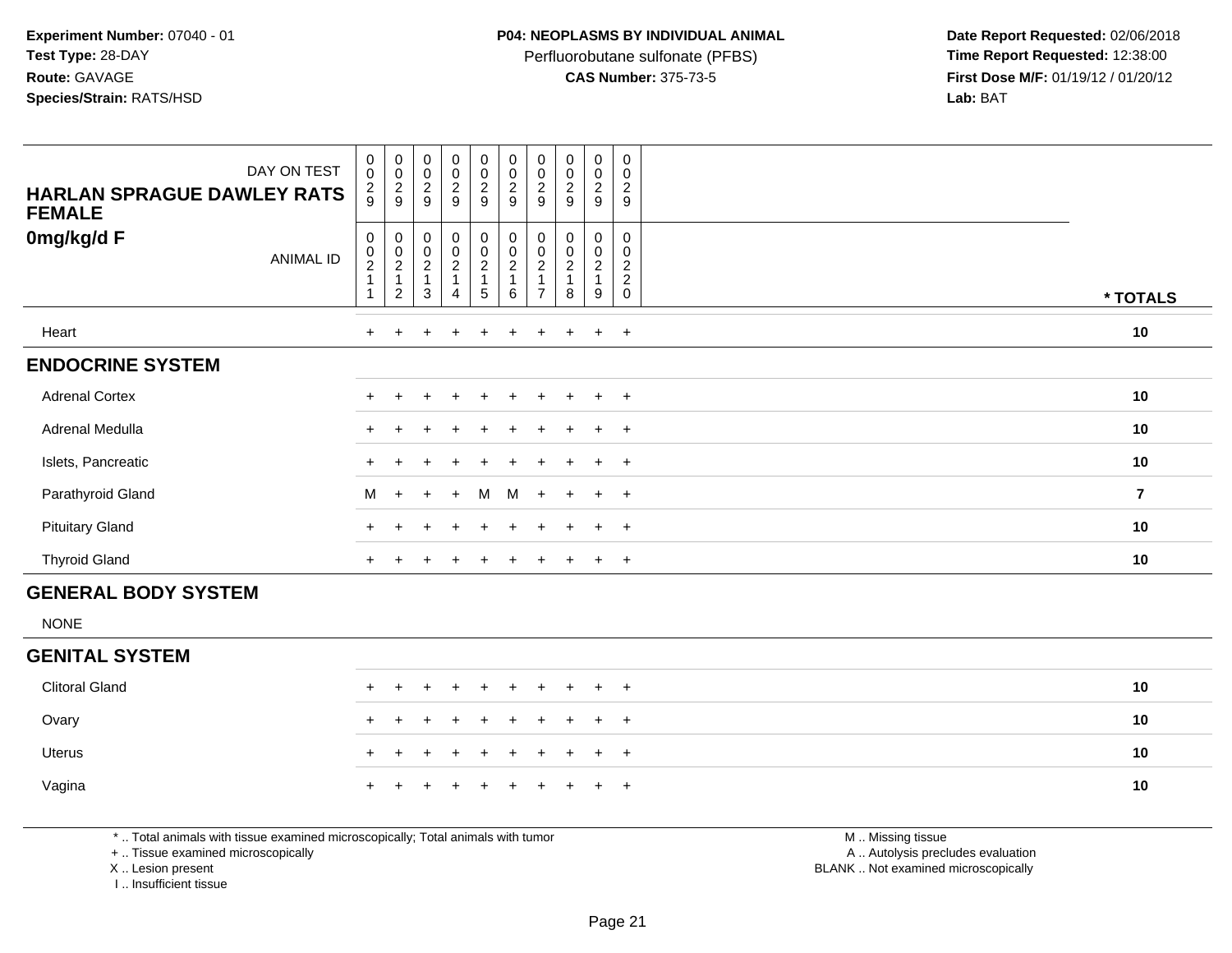Perfluorobutane sulfonate (PFBS)<br>**CAS Number:** 375-73-5

 **Date Report Requested:** 02/06/2018 **First Dose M/F:** 01/19/12 / 01/20/12<br>**Lab:** BAT **Lab:** BAT

| <b>HARLAN SPRAGUE DAWLEY RATS</b><br><b>FEMALE</b> | DAY ON TEST | $_{\rm 0}^{\rm 0}$<br>$\frac{2}{9}$ | $\begin{array}{c} 0 \\ 0 \\ 2 \\ 9 \end{array}$ | $\begin{array}{c} 0 \\ 0 \\ 2 \\ 9 \end{array}$ | $\begin{array}{c} 0 \\ 0 \\ 2 \\ 9 \end{array}$  | 00029     | $\begin{smallmatrix} 0\\0\\2 \end{smallmatrix}$<br>$\boldsymbol{9}$ | $\begin{array}{c} 0 \\ 0 \\ 2 \\ 9 \end{array}$ | $\begin{array}{c} 0 \\ 0 \\ 2 \\ 9 \end{array}$ | $_{\rm 0}^{\rm 0}$<br>$\sqrt{2}$<br>$9\,$ | $\mathbf 0$<br>$\boldsymbol{0}$<br>$\overline{\mathbf{c}}$<br>9 |                |
|----------------------------------------------------|-------------|-------------------------------------|-------------------------------------------------|-------------------------------------------------|--------------------------------------------------|-----------|---------------------------------------------------------------------|-------------------------------------------------|-------------------------------------------------|-------------------------------------------|-----------------------------------------------------------------|----------------|
| 0mg/kg/d F                                         | ANIMAL ID   | 0<br>$\frac{0}{2}$                  | 00021<br>2                                      | 00021<br>3                                      | $\mathbf 0$<br>0<br>$\overline{\mathbf{c}}$<br>4 | 0002<br>5 | $\begin{smallmatrix}0\\0\end{smallmatrix}$<br>$\boldsymbol{2}$<br>6 | 0<br>0<br>$\boldsymbol{2}$                      | 0<br>$\pmb{0}$<br>$\sqrt{2}$<br>8               | 0<br>0<br>$\overline{c}$<br>9             | 0<br>0<br>$\boldsymbol{2}$<br>$\boldsymbol{2}$<br>$\Omega$      | * TOTALS       |
| Heart                                              |             | $+$                                 |                                                 | $\pm$                                           | $\ddot{}$                                        | $\ddot{}$ | $+$                                                                 | ÷.                                              |                                                 | $\ddot{}$                                 | $+$                                                             | 10             |
| <b>ENDOCRINE SYSTEM</b>                            |             |                                     |                                                 |                                                 |                                                  |           |                                                                     |                                                 |                                                 |                                           |                                                                 |                |
| <b>Adrenal Cortex</b>                              |             |                                     |                                                 |                                                 |                                                  |           |                                                                     |                                                 |                                                 |                                           | $\overline{+}$                                                  | 10             |
| Adrenal Medulla                                    |             | $+$                                 |                                                 |                                                 | $\div$                                           |           | $+$                                                                 | ÷.                                              |                                                 | $+$                                       | $+$                                                             | 10             |
| Islets, Pancreatic                                 |             | $\pm$                               |                                                 |                                                 |                                                  |           |                                                                     |                                                 |                                                 | $\pm$                                     | $+$                                                             | 10             |
| Parathyroid Gland                                  |             | M                                   | $+$                                             | $+$                                             | $+$                                              | M         | M                                                                   | $+$                                             | $+$                                             | $+$                                       | $+$                                                             | $\overline{7}$ |
| <b>Pituitary Gland</b>                             |             | $\pm$                               |                                                 |                                                 |                                                  |           | $\pm$                                                               |                                                 |                                                 | $\pm$                                     | $^{+}$                                                          | 10             |
| <b>Thyroid Gland</b>                               |             | $+$                                 |                                                 |                                                 | $\ddot{}$                                        | $\pm$     | $+$                                                                 | $\pm$                                           | $+$                                             | $+$                                       | $+$                                                             | 10             |
| <b>GENERAL BODY SYSTEM</b>                         |             |                                     |                                                 |                                                 |                                                  |           |                                                                     |                                                 |                                                 |                                           |                                                                 |                |

NONE

### **GENITAL SYSTEM**

| Clitoral Gland |  | + + + + + + + + + + |  |  |  |  | 10 |
|----------------|--|---------------------|--|--|--|--|----|
| Ovary          |  | + + + + + + + + + + |  |  |  |  | 10 |
| Uterus         |  | + + + + + + + + + + |  |  |  |  | 10 |
| Vagina         |  | + + + + + + + + + + |  |  |  |  | 10 |

\* .. Total animals with tissue examined microscopically; Total animals with tumor

+ .. Tissue examined microscopically

X .. Lesion present

I .. Insufficient tissue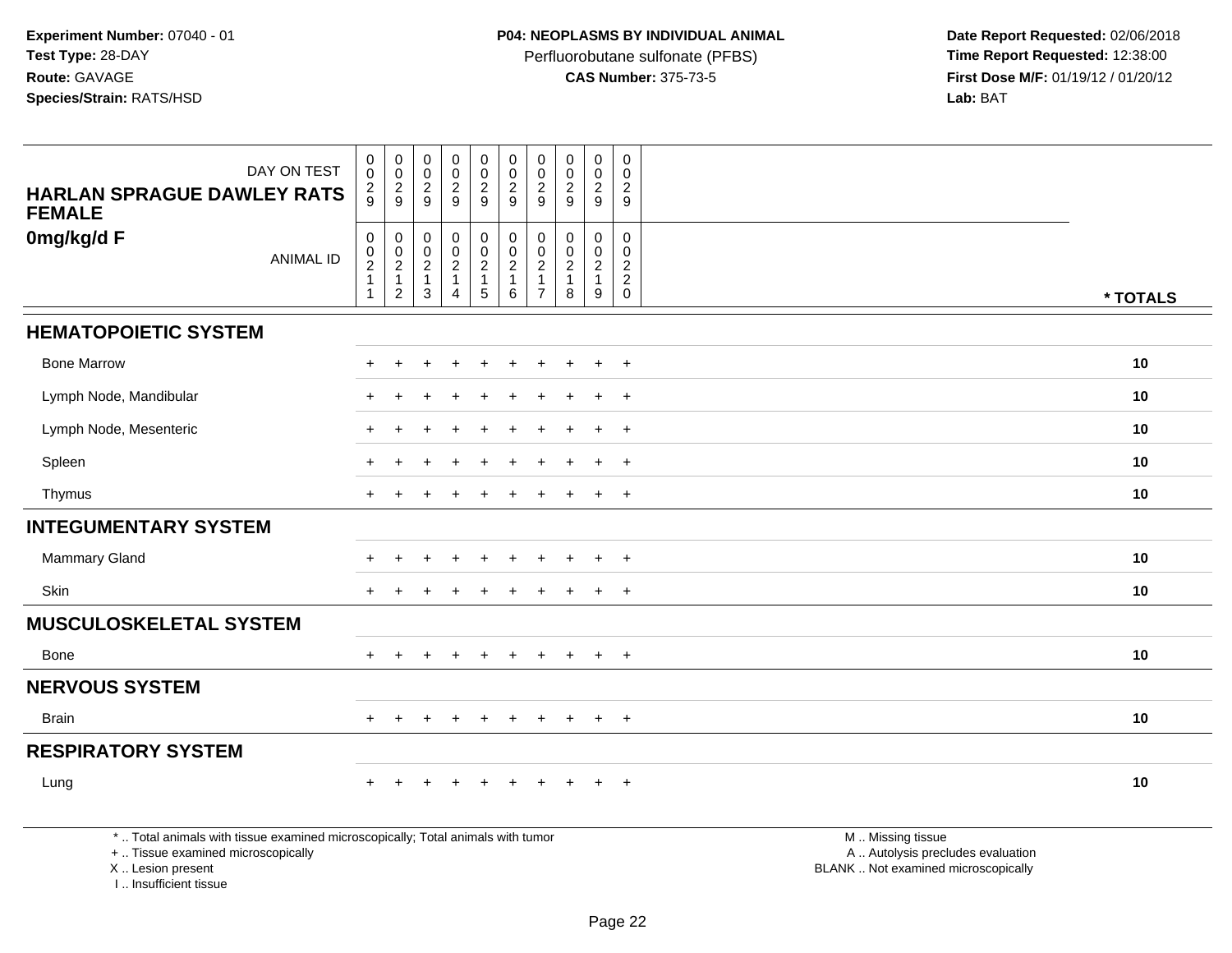Perfluorobutane sulfonate (PFBS)<br>**CAS Number:** 375-73-5

 **Date Report Requested:** 02/06/2018 **First Dose M/F:** 01/19/12 / 01/20/12<br>**Lab:** BAT **Lab:** BAT

| DAY ON TEST                                                                                                                                | $\pmb{0}$<br>$\mathbf 0$                                                 | $\boldsymbol{0}$<br>$\mathbf 0$                                              | $\pmb{0}$<br>$\mathbf 0$                                                        | $\mathbf 0$<br>$\pmb{0}$                      | $\pmb{0}$<br>$\pmb{0}$                                                | $\mathbf 0$<br>$\mathbf 0$                            | $\pmb{0}$<br>$\mathbf 0$                                                          | $\pmb{0}$<br>$\mathbf 0$                                       | $\mathbf 0$<br>$\mathbf 0$                              | $\pmb{0}$<br>$\Omega$                             |                                                                                               |          |
|--------------------------------------------------------------------------------------------------------------------------------------------|--------------------------------------------------------------------------|------------------------------------------------------------------------------|---------------------------------------------------------------------------------|-----------------------------------------------|-----------------------------------------------------------------------|-------------------------------------------------------|-----------------------------------------------------------------------------------|----------------------------------------------------------------|---------------------------------------------------------|---------------------------------------------------|-----------------------------------------------------------------------------------------------|----------|
| <b>HARLAN SPRAGUE DAWLEY RATS</b><br><b>FEMALE</b>                                                                                         | $\overline{c}$<br>$\mathbf{Q}$                                           | $\overline{c}$<br>9                                                          | $\overline{c}$<br>9                                                             | $\overline{2}$<br>9                           | $\overline{a}$<br>9                                                   | $\sqrt{2}$<br>9                                       | $\overline{c}$<br>9                                                               | $\overline{2}$<br>9                                            | $\overline{2}$<br>9                                     | 2<br>9                                            |                                                                                               |          |
| 0mg/kg/d F<br><b>ANIMAL ID</b>                                                                                                             | $\pmb{0}$<br>$\pmb{0}$<br>$\sqrt{2}$<br>$\overline{1}$<br>$\overline{1}$ | $\mathbf 0$<br>$\pmb{0}$<br>$\overline{c}$<br>$\mathbf{1}$<br>$\overline{c}$ | $\pmb{0}$<br>$\pmb{0}$<br>$\begin{array}{c} 2 \\ 1 \end{array}$<br>$\mathbf{3}$ | 0<br>0<br>$\overline{a}$<br>$\mathbf{1}$<br>4 | 0<br>$\mathbf 0$<br>$\overline{a}$<br>$\mathbf{1}$<br>$5\phantom{.0}$ | $\mathbf 0$<br>$\boldsymbol{0}$<br>$\frac{2}{1}$<br>6 | $\mathbf 0$<br>$\mathbf{0}$<br>$\overline{2}$<br>$\overline{1}$<br>$\overline{7}$ | $\mathbf 0$<br>$\Omega$<br>$\overline{c}$<br>$\mathbf{1}$<br>8 | $\mathbf 0$<br>0<br>$\overline{2}$<br>$\mathbf{1}$<br>9 | 0<br>$\Omega$<br>$\boldsymbol{2}$<br>$^2_{\rm 0}$ |                                                                                               | * TOTALS |
| <b>HEMATOPOIETIC SYSTEM</b>                                                                                                                |                                                                          |                                                                              |                                                                                 |                                               |                                                                       |                                                       |                                                                                   |                                                                |                                                         |                                                   |                                                                                               |          |
| <b>Bone Marrow</b>                                                                                                                         |                                                                          |                                                                              |                                                                                 |                                               |                                                                       |                                                       |                                                                                   |                                                                |                                                         | $\overline{+}$                                    |                                                                                               | 10       |
| Lymph Node, Mandibular                                                                                                                     |                                                                          |                                                                              |                                                                                 |                                               |                                                                       |                                                       |                                                                                   |                                                                |                                                         | $\ddot{}$                                         |                                                                                               | 10       |
| Lymph Node, Mesenteric                                                                                                                     |                                                                          |                                                                              |                                                                                 |                                               |                                                                       |                                                       |                                                                                   |                                                                |                                                         | $\ddot{}$                                         |                                                                                               | 10       |
| Spleen                                                                                                                                     |                                                                          |                                                                              |                                                                                 |                                               |                                                                       |                                                       |                                                                                   |                                                                |                                                         | $\overline{+}$                                    |                                                                                               | 10       |
| Thymus                                                                                                                                     | $+$                                                                      |                                                                              |                                                                                 |                                               |                                                                       |                                                       |                                                                                   |                                                                | $\ddot{}$                                               | $+$                                               |                                                                                               | 10       |
| <b>INTEGUMENTARY SYSTEM</b>                                                                                                                |                                                                          |                                                                              |                                                                                 |                                               |                                                                       |                                                       |                                                                                   |                                                                |                                                         |                                                   |                                                                                               |          |
| <b>Mammary Gland</b>                                                                                                                       |                                                                          |                                                                              |                                                                                 | $\div$                                        |                                                                       |                                                       |                                                                                   |                                                                | $\ddot{}$                                               | $\overline{+}$                                    |                                                                                               | 10       |
| Skin                                                                                                                                       | $+$                                                                      |                                                                              |                                                                                 |                                               |                                                                       |                                                       |                                                                                   |                                                                | $\ddot{}$                                               | $+$                                               |                                                                                               | 10       |
| <b>MUSCULOSKELETAL SYSTEM</b>                                                                                                              |                                                                          |                                                                              |                                                                                 |                                               |                                                                       |                                                       |                                                                                   |                                                                |                                                         |                                                   |                                                                                               |          |
| Bone                                                                                                                                       |                                                                          |                                                                              |                                                                                 |                                               |                                                                       |                                                       |                                                                                   |                                                                | $\ddot{}$                                               | $+$                                               |                                                                                               | 10       |
| <b>NERVOUS SYSTEM</b>                                                                                                                      |                                                                          |                                                                              |                                                                                 |                                               |                                                                       |                                                       |                                                                                   |                                                                |                                                         |                                                   |                                                                                               |          |
| <b>Brain</b>                                                                                                                               | $+$                                                                      | $\pm$                                                                        | $\ddot{}$                                                                       | $+$                                           | $+$                                                                   | $+$                                                   | $+$                                                                               | $+$                                                            | $+$                                                     | $+$                                               |                                                                                               | 10       |
| <b>RESPIRATORY SYSTEM</b>                                                                                                                  |                                                                          |                                                                              |                                                                                 |                                               |                                                                       |                                                       |                                                                                   |                                                                |                                                         |                                                   |                                                                                               |          |
| Lung                                                                                                                                       |                                                                          |                                                                              |                                                                                 |                                               |                                                                       |                                                       |                                                                                   |                                                                |                                                         | $+$                                               |                                                                                               | 10       |
| *  Total animals with tissue examined microscopically; Total animals with tumor<br>+  Tissue examined microscopically<br>X  Lesion present |                                                                          |                                                                              |                                                                                 |                                               |                                                                       |                                                       |                                                                                   |                                                                |                                                         |                                                   | M  Missing tissue<br>A  Autolysis precludes evaluation<br>BLANK  Not examined microscopically |          |

I .. Insufficient tissue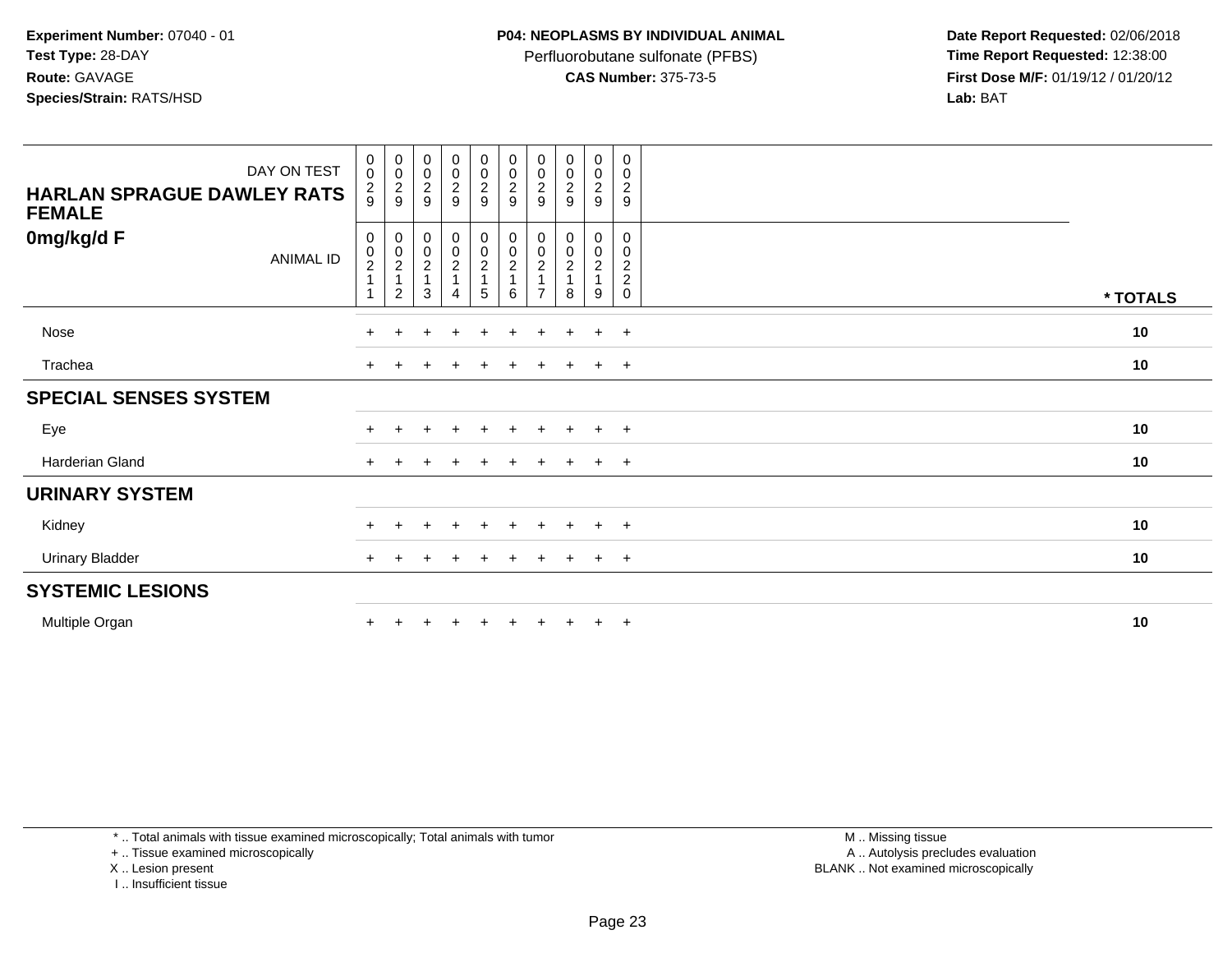Perfluorobutane sulfonate (PFBS)<br>**CAS Number:** 375-73-5

 **Date Report Requested:** 02/06/2018 **First Dose M/F:** 01/19/12 / 01/20/12<br>**Lab:** BAT **Lab:** BAT

| DAY ON TEST<br><b>HARLAN SPRAGUE DAWLEY RATS</b><br><b>FEMALE</b> | $\begin{smallmatrix}0\\0\end{smallmatrix}$<br>$\frac{2}{9}$ | $\mathbf 0$<br>$\boldsymbol{0}$<br>$\frac{2}{9}$ | $\pmb{0}$<br>$\pmb{0}$<br>$\frac{2}{9}$              | $\begin{smallmatrix}0\0\0\end{smallmatrix}$<br>$\frac{2}{9}$      | $\begin{array}{c} 0 \\ 0 \\ 2 \\ 9 \end{array}$      | $0000$<br>$29$                                                         | 0<br>$\pmb{0}$<br>$\overline{2}$<br>9 | $\pmb{0}$<br>$\pmb{0}$<br>$\overline{\mathbf{c}}$<br>9 | 0<br>$\mathbf 0$<br>$\frac{2}{9}$ | 0<br>0<br>$\overline{c}$<br>9                             |          |
|-------------------------------------------------------------------|-------------------------------------------------------------|--------------------------------------------------|------------------------------------------------------|-------------------------------------------------------------------|------------------------------------------------------|------------------------------------------------------------------------|---------------------------------------|--------------------------------------------------------|-----------------------------------|-----------------------------------------------------------|----------|
| 0mg/kg/d F<br><b>ANIMAL ID</b>                                    | 0<br>$\begin{smallmatrix} 0\\2 \end{smallmatrix}$           | 0002<br>2                                        | $\begin{array}{c} 0 \\ 0 \\ 2 \\ 1 \end{array}$<br>3 | $\begin{array}{c} 0 \\ 0 \\ 2 \\ 1 \end{array}$<br>$\overline{A}$ | $\begin{smallmatrix} 0\\0\\2 \end{smallmatrix}$<br>5 | $\begin{smallmatrix} 0\\0\\2 \end{smallmatrix}$<br>$\overline{1}$<br>6 | 0<br>$\pmb{0}$<br>$\sqrt{2}$          | 0<br>$\pmb{0}$<br>$\overline{c}$<br>8                  | 0<br>0<br>$\overline{a}$<br>9     | 0<br>0<br>$\overline{c}$<br>$\overline{c}$<br>$\mathbf 0$ | * TOTALS |
| Nose                                                              |                                                             |                                                  |                                                      | $\ddot{}$                                                         | $\ddot{}$                                            | $+$                                                                    | $\ddot{}$                             | $+$                                                    | $+$                               | $+$                                                       | 10       |
| Trachea                                                           |                                                             |                                                  |                                                      | $\div$                                                            | $^+$                                                 | $\ddot{}$                                                              | $\ddot{}$                             |                                                        | $+$                               | $+$                                                       | 10       |
| <b>SPECIAL SENSES SYSTEM</b>                                      |                                                             |                                                  |                                                      |                                                                   |                                                      |                                                                        |                                       |                                                        |                                   |                                                           |          |
| Eye                                                               |                                                             |                                                  |                                                      |                                                                   |                                                      |                                                                        |                                       |                                                        |                                   | $+$                                                       | 10       |
| Harderian Gland                                                   |                                                             |                                                  |                                                      |                                                                   | ÷.                                                   |                                                                        |                                       |                                                        | $\ddot{}$                         | $+$                                                       | 10       |
| <b>URINARY SYSTEM</b>                                             |                                                             |                                                  |                                                      |                                                                   |                                                      |                                                                        |                                       |                                                        |                                   |                                                           |          |
| Kidney                                                            |                                                             |                                                  |                                                      | $\pm$                                                             | $\pm$                                                | $+$                                                                    | $\pm$                                 | $+$                                                    | $\pm$                             | $+$                                                       | 10       |
| <b>Urinary Bladder</b>                                            |                                                             |                                                  |                                                      |                                                                   | +                                                    |                                                                        |                                       | $\pm$                                                  | $+$                               | $+$                                                       | 10       |
| <b>SYSTEMIC LESIONS</b>                                           |                                                             |                                                  |                                                      |                                                                   |                                                      |                                                                        |                                       |                                                        |                                   |                                                           |          |
| Multiple Organ                                                    |                                                             |                                                  |                                                      |                                                                   |                                                      |                                                                        |                                       |                                                        | $\ddot{}$                         | $+$                                                       | 10       |

\* .. Total animals with tissue examined microscopically; Total animals with tumor

+ .. Tissue examined microscopically

X .. Lesion present

I .. Insufficient tissue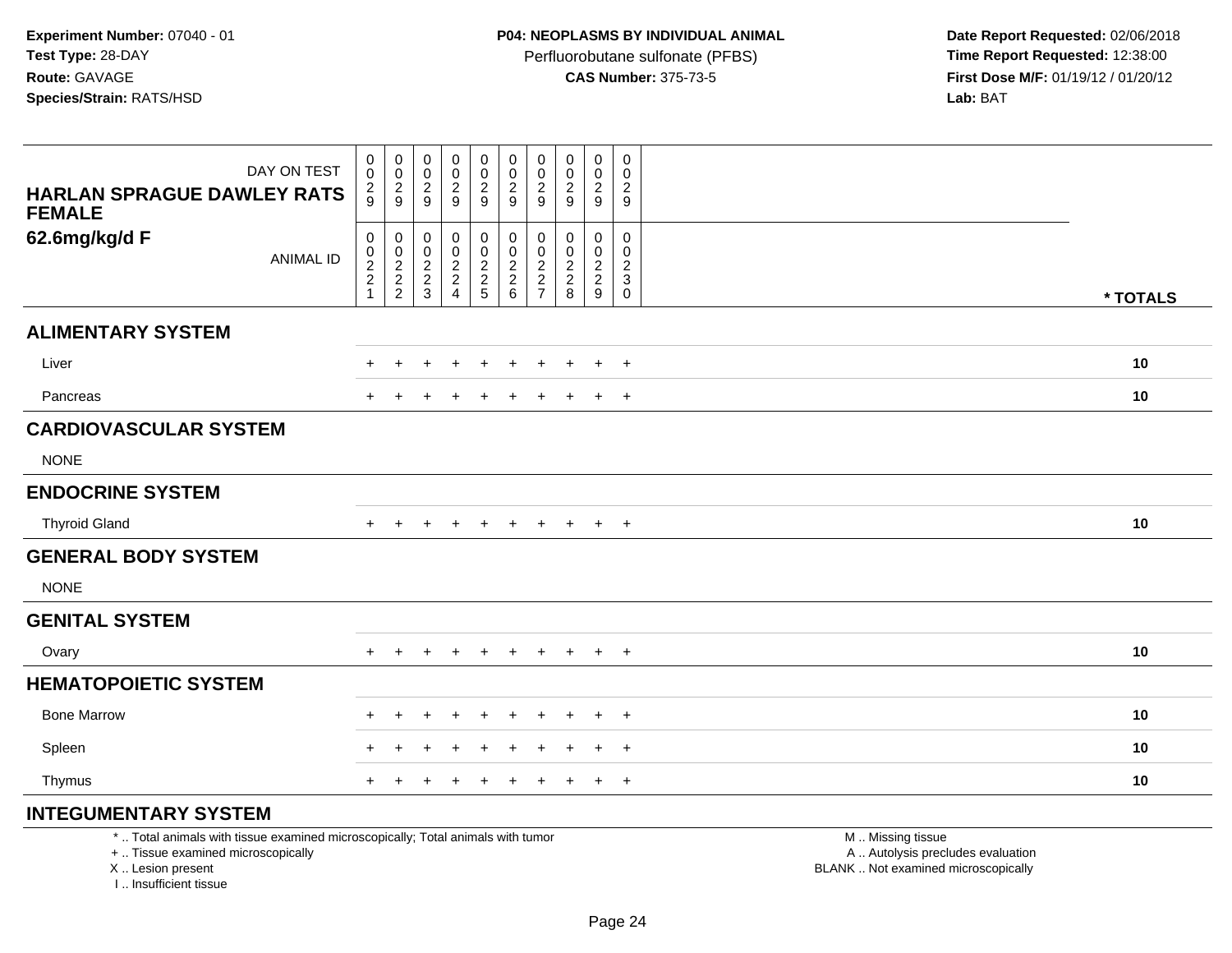Perfluorobutane sulfonate (PFBS)<br>**CAS Number:** 375-73-5

 **Date Report Requested:** 02/06/2018 **First Dose M/F:** 01/19/12 / 01/20/12<br>**Lab:** BAT **Lab:** BAT

| DAY ON TEST                                                                     | $\mathbf 0$<br>0                                | $\pmb{0}$<br>$\,0\,$            | $\pmb{0}$<br>0                                       | $\pmb{0}$<br>$\pmb{0}$                            | $\mathbf 0$<br>$\mathsf 0$        | $\pmb{0}$<br>0                             | 0<br>0                                                         | 0<br>0                                        | $\pmb{0}$<br>0                    | $\pmb{0}$<br>0                                                         |                   |
|---------------------------------------------------------------------------------|-------------------------------------------------|---------------------------------|------------------------------------------------------|---------------------------------------------------|-----------------------------------|--------------------------------------------|----------------------------------------------------------------|-----------------------------------------------|-----------------------------------|------------------------------------------------------------------------|-------------------|
| <b>HARLAN SPRAGUE DAWLEY RATS</b><br><b>FEMALE</b>                              | $\frac{2}{9}$                                   | $\overline{c}$<br>9             | $\overline{2}$<br>9                                  | $\overline{c}$<br>9                               | $\sqrt{2}$<br>9                   | $\overline{c}$<br>9                        | $\overline{2}$<br>9                                            | $\overline{c}$<br>9                           | $\overline{c}$<br>9               | $\overline{2}$<br>9                                                    |                   |
| 62.6mg/kg/d F<br><b>ANIMAL ID</b>                                               | 0<br>$\pmb{0}$<br>$\frac{2}{2}$<br>$\mathbf{1}$ | 0<br>$\pmb{0}$<br>$\frac{2}{2}$ | 0<br>0<br>$\begin{array}{c} 2 \\ 2 \\ 3 \end{array}$ | 0<br>$\pmb{0}$<br>$\frac{2}{2}$<br>$\overline{4}$ | 0<br>$\mathsf 0$<br>$\frac{2}{2}$ | 0<br>$\pmb{0}$<br>$\frac{2}{2}$<br>$\,6\,$ | 0<br>0<br>$\overline{2}$<br>$\boldsymbol{2}$<br>$\overline{7}$ | 0<br>0<br>$\boldsymbol{2}$<br>$\sqrt{2}$<br>8 | $\mathbf 0$<br>0<br>$\frac{2}{9}$ | $\Omega$<br>0<br>$\overline{\mathbf{c}}$<br>$\mathsf 3$<br>$\mathbf 0$ | * TOTALS          |
| <b>ALIMENTARY SYSTEM</b>                                                        |                                                 |                                 |                                                      |                                                   |                                   |                                            |                                                                |                                               |                                   |                                                                        |                   |
| Liver                                                                           |                                                 |                                 |                                                      |                                                   |                                   |                                            |                                                                |                                               | $\ddot{}$                         | $+$                                                                    | 10                |
| Pancreas                                                                        |                                                 |                                 |                                                      | $\div$                                            | ÷                                 | $\div$                                     | $\pm$                                                          |                                               | $\ddot{}$                         | $+$                                                                    | 10                |
| <b>CARDIOVASCULAR SYSTEM</b>                                                    |                                                 |                                 |                                                      |                                                   |                                   |                                            |                                                                |                                               |                                   |                                                                        |                   |
| <b>NONE</b>                                                                     |                                                 |                                 |                                                      |                                                   |                                   |                                            |                                                                |                                               |                                   |                                                                        |                   |
| <b>ENDOCRINE SYSTEM</b>                                                         |                                                 |                                 |                                                      |                                                   |                                   |                                            |                                                                |                                               |                                   |                                                                        |                   |
| <b>Thyroid Gland</b>                                                            | $+$                                             | $+$                             | $+$                                                  | $+$                                               | $+$                               | $+$                                        | $+$                                                            | $\pm$                                         | $+$                               | $+$                                                                    | 10                |
| <b>GENERAL BODY SYSTEM</b>                                                      |                                                 |                                 |                                                      |                                                   |                                   |                                            |                                                                |                                               |                                   |                                                                        |                   |
| <b>NONE</b>                                                                     |                                                 |                                 |                                                      |                                                   |                                   |                                            |                                                                |                                               |                                   |                                                                        |                   |
| <b>GENITAL SYSTEM</b>                                                           |                                                 |                                 |                                                      |                                                   |                                   |                                            |                                                                |                                               |                                   |                                                                        |                   |
| Ovary                                                                           |                                                 |                                 | $\pm$                                                | $\pm$                                             | $\pm$                             | $\ddot{}$                                  | $\ddot{+}$                                                     | $\pm$                                         | $\overline{+}$                    | $+$                                                                    | 10                |
| <b>HEMATOPOIETIC SYSTEM</b>                                                     |                                                 |                                 |                                                      |                                                   |                                   |                                            |                                                                |                                               |                                   |                                                                        |                   |
| <b>Bone Marrow</b>                                                              |                                                 |                                 |                                                      | $\div$                                            | $\div$                            |                                            | $\div$                                                         |                                               | $\ddot{}$                         | $+$                                                                    | 10                |
| Spleen                                                                          |                                                 |                                 |                                                      |                                                   | +                                 |                                            |                                                                |                                               | $\ddot{}$                         | $\overline{+}$                                                         | 10                |
| Thymus                                                                          |                                                 | $\ddot{}$                       | +                                                    | $\overline{+}$                                    | $\ddot{}$                         | $\ddot{}$                                  | $\ddot{}$                                                      | $\ddot{}$                                     | $+$                               | $+$                                                                    | 10                |
| <b>INTEGUMENTARY SYSTEM</b>                                                     |                                                 |                                 |                                                      |                                                   |                                   |                                            |                                                                |                                               |                                   |                                                                        |                   |
| *  Total animals with tissue examined microscopically; Total animals with tumor |                                                 |                                 |                                                      |                                                   |                                   |                                            |                                                                |                                               |                                   |                                                                        | M  Missing tissue |

+ .. Tissue examined microscopically

X .. Lesion present

I .. Insufficient tissue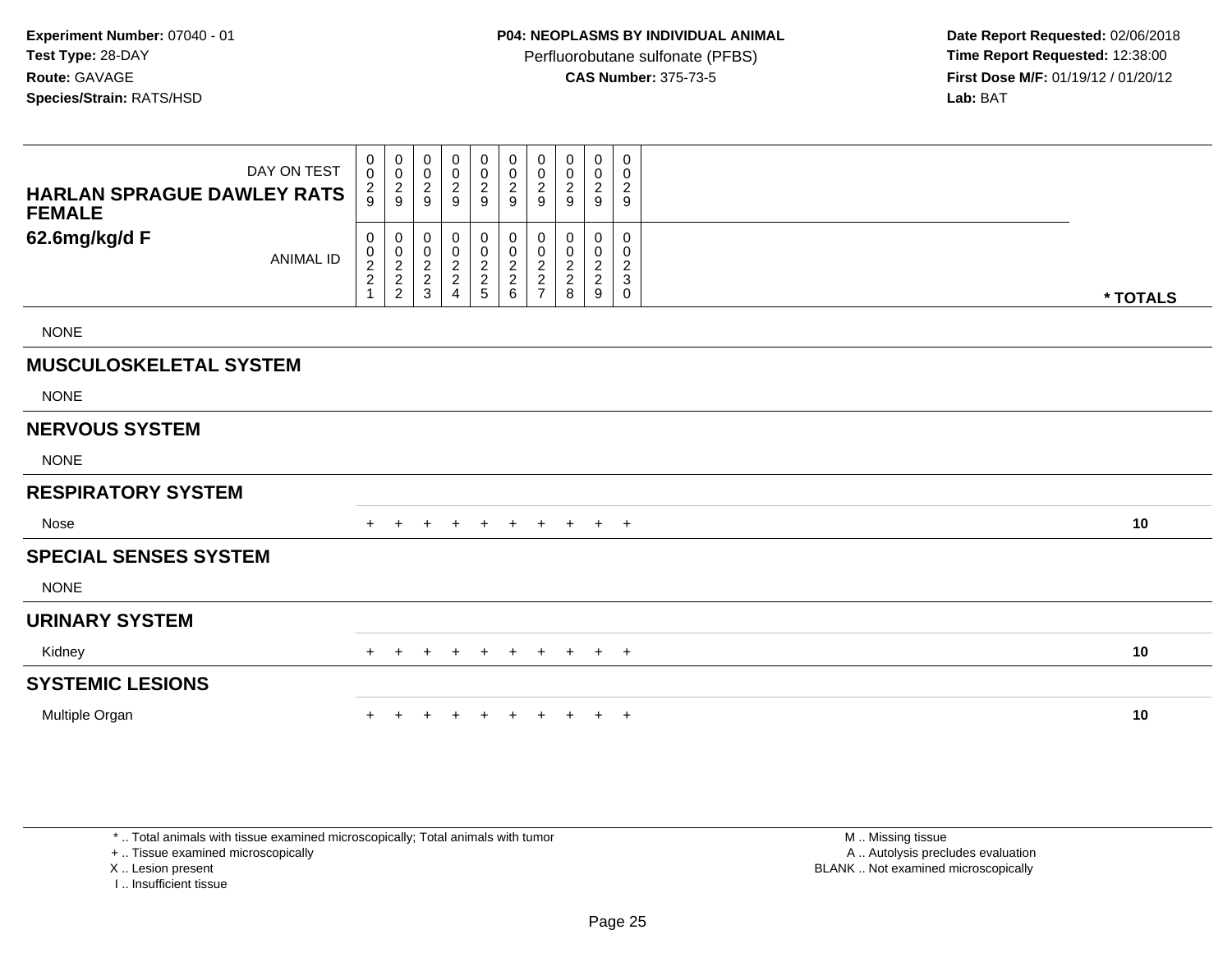Perfluorobutane sulfonate (PFBS)<br>**CAS Number:** 375-73-5

 **Date Report Requested:** 02/06/2018 **First Dose M/F:** 01/19/12 / 01/20/12<br>**Lab:** BAT **Lab:** BAT

| DAY ON TEST<br><b>HARLAN SPRAGUE DAWLEY RATS</b><br><b>FEMALE</b> | $\mathbf 0$<br>0<br>$\frac{2}{9}$       | 0<br>$\pmb{0}$<br>$\frac{2}{9}$ | 0<br>$\pmb{0}$<br>$\boldsymbol{2}$<br>9 | $_{\rm 0}^{\rm 0}$<br>$\boldsymbol{2}$<br>$\boldsymbol{9}$ | $_{\rm 0}^{\rm 0}$<br>$\frac{2}{9}$                    | $\pmb{0}$<br>$\pmb{0}$<br>$\overline{c}$<br>9 | 0<br>0<br>$\overline{\mathbf{c}}$<br>9                                | $\mathbf 0$<br>0<br>$\overline{\mathbf{c}}$<br>9             | $\pmb{0}$<br>$\pmb{0}$<br>$\overline{c}$<br>9   | $\mathbf 0$<br>$\mathbf 0$<br>$\overline{c}$<br>9                                |          |
|-------------------------------------------------------------------|-----------------------------------------|---------------------------------|-----------------------------------------|------------------------------------------------------------|--------------------------------------------------------|-----------------------------------------------|-----------------------------------------------------------------------|--------------------------------------------------------------|-------------------------------------------------|----------------------------------------------------------------------------------|----------|
| 62.6mg/kg/d F<br><b>ANIMAL ID</b>                                 | 0<br>0<br>$\frac{2}{2}$<br>$\mathbf{1}$ | 0<br>$\frac{0}{2}$<br>2<br>2    | 0<br>0<br>$\frac{2}{3}$                 | $\pmb{0}$<br>$\frac{0}{2}$<br>4                            | 0<br>$\begin{array}{c}\n0 \\ 2 \\ 2 \\ 5\n\end{array}$ | 0<br>$\pmb{0}$<br>$\frac{2}{2}$ 6             | 0<br>0<br>$\overline{\mathbf{c}}$<br>$\overline{c}$<br>$\overline{7}$ | $\Omega$<br>$\overline{\mathbf{c}}$<br>$\boldsymbol{2}$<br>8 | 0<br>0<br>$\sqrt{2}$<br>$\overline{c}$<br>$9\,$ | $\mathbf 0$<br>0<br>$\boldsymbol{2}$<br>$\ensuremath{\mathsf{3}}$<br>$\mathbf 0$ | * TOTALS |
| <b>NONE</b>                                                       |                                         |                                 |                                         |                                                            |                                                        |                                               |                                                                       |                                                              |                                                 |                                                                                  |          |
| <b>MUSCULOSKELETAL SYSTEM</b>                                     |                                         |                                 |                                         |                                                            |                                                        |                                               |                                                                       |                                                              |                                                 |                                                                                  |          |
| <b>NONE</b>                                                       |                                         |                                 |                                         |                                                            |                                                        |                                               |                                                                       |                                                              |                                                 |                                                                                  |          |
| <b>NERVOUS SYSTEM</b>                                             |                                         |                                 |                                         |                                                            |                                                        |                                               |                                                                       |                                                              |                                                 |                                                                                  |          |
| <b>NONE</b>                                                       |                                         |                                 |                                         |                                                            |                                                        |                                               |                                                                       |                                                              |                                                 |                                                                                  |          |
| <b>RESPIRATORY SYSTEM</b>                                         |                                         |                                 |                                         |                                                            |                                                        |                                               |                                                                       |                                                              |                                                 |                                                                                  |          |
| Nose                                                              |                                         | $\pm$                           | $+$                                     | $^{+}$                                                     | $+$                                                    | $+$                                           | $+$                                                                   | $+$                                                          | $+$ $+$                                         |                                                                                  | 10       |
| <b>SPECIAL SENSES SYSTEM</b>                                      |                                         |                                 |                                         |                                                            |                                                        |                                               |                                                                       |                                                              |                                                 |                                                                                  |          |
| <b>NONE</b>                                                       |                                         |                                 |                                         |                                                            |                                                        |                                               |                                                                       |                                                              |                                                 |                                                                                  |          |
| <b>URINARY SYSTEM</b>                                             |                                         |                                 |                                         |                                                            |                                                        |                                               |                                                                       |                                                              |                                                 |                                                                                  |          |
| Kidney                                                            | $+$                                     |                                 |                                         |                                                            |                                                        |                                               | $\pm$                                                                 | $+$                                                          | $+$                                             | $+$                                                                              | 10       |
| <b>SYSTEMIC LESIONS</b>                                           |                                         |                                 |                                         |                                                            |                                                        |                                               |                                                                       |                                                              |                                                 |                                                                                  |          |
| Multiple Organ                                                    |                                         |                                 |                                         |                                                            |                                                        |                                               |                                                                       |                                                              | $+$                                             | $+$                                                                              | 10       |

\* .. Total animals with tissue examined microscopically; Total animals with tumor

+ .. Tissue examined microscopically

X .. Lesion present

I .. Insufficient tissue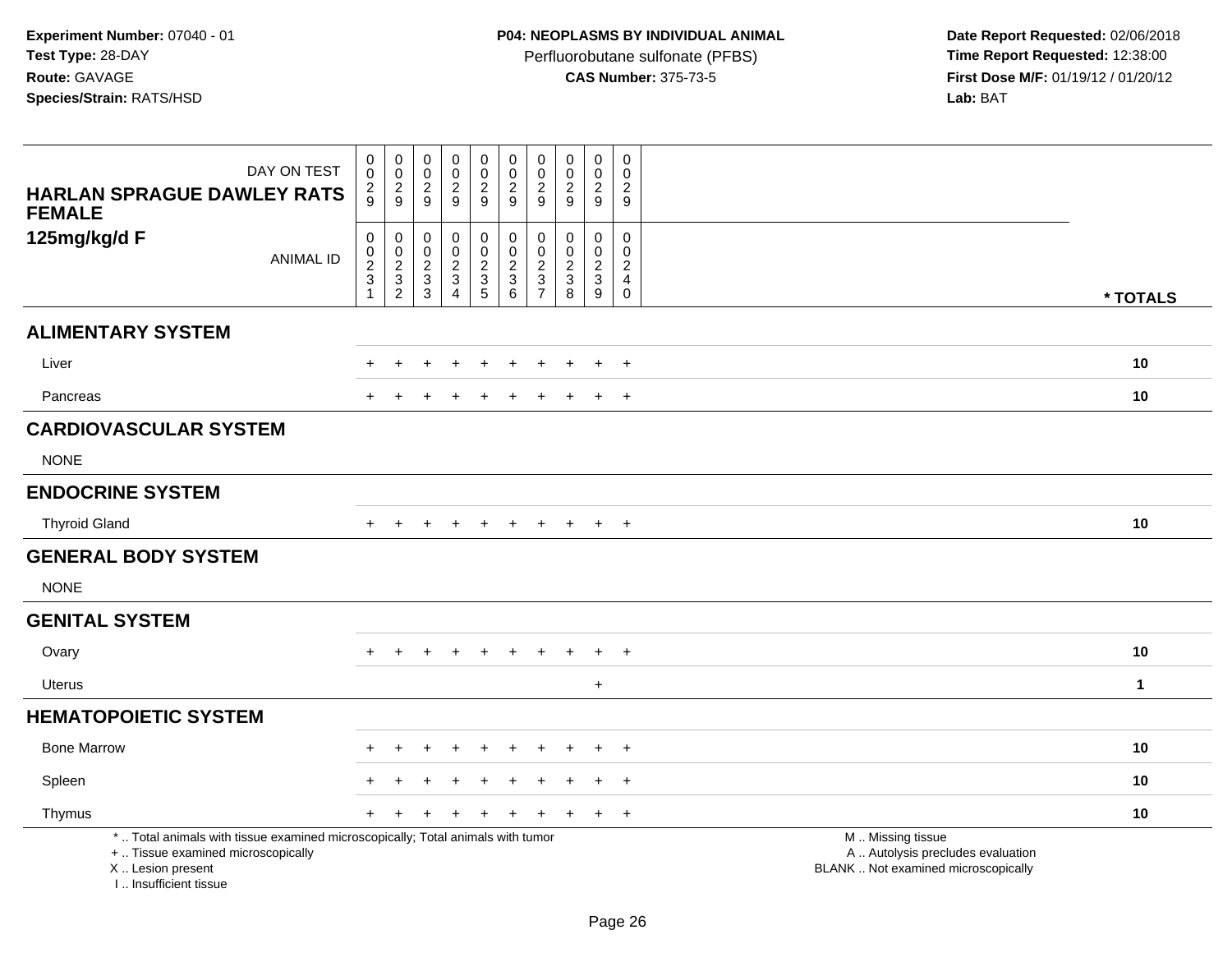Perfluorobutane sulfonate (PFBS)<br>**CAS Number:** 375-73-5

 **Date Report Requested:** 02/06/2018 **First Dose M/F:** 01/19/12 / 01/20/12<br>**Lab:** BAT **Lab:** BAT

| DAY ON TEST<br><b>HARLAN SPRAGUE DAWLEY RATS</b><br><b>FEMALE</b>                                                                                                   | $\pmb{0}$<br>$\mathbf 0$<br>$\frac{2}{9}$             | $\pmb{0}$<br>$\frac{0}{2}$                      | $\pmb{0}$<br>$\mathsf{O}\xspace$<br>$\frac{2}{9}$                                           | $\pmb{0}$<br>$\frac{0}{2}$<br>9                                                           | $\pmb{0}$<br>$\pmb{0}$<br>$\frac{2}{9}$     | $\pmb{0}$<br>$\mathbf 0$<br>$\overline{c}$<br>$\overline{9}$ | $\pmb{0}$<br>$\mathbf 0$<br>$\sqrt{2}$<br>$9\,$                                             | $\pmb{0}$<br>$\mathbf 0$<br>$\overline{2}$<br>9                                | $\mathbf 0$<br>$\mathbf 0$<br>$\overline{2}$<br>9                     | $\mathbf 0$<br>$\mathbf 0$<br>$\overline{c}$<br>9                |                                                                                               |              |
|---------------------------------------------------------------------------------------------------------------------------------------------------------------------|-------------------------------------------------------|-------------------------------------------------|---------------------------------------------------------------------------------------------|-------------------------------------------------------------------------------------------|---------------------------------------------|--------------------------------------------------------------|---------------------------------------------------------------------------------------------|--------------------------------------------------------------------------------|-----------------------------------------------------------------------|------------------------------------------------------------------|-----------------------------------------------------------------------------------------------|--------------|
| 125mg/kg/d F<br><b>ANIMAL ID</b>                                                                                                                                    | 0<br>$\pmb{0}$<br>$\overline{c}$<br>3<br>$\mathbf{1}$ | $\boldsymbol{0}$<br>$\frac{0}{2}$<br>$\sqrt{2}$ | $\mathbf 0$<br>$\mathbf 0$<br>$\overline{c}$<br>$\ensuremath{\mathsf{3}}$<br>$\mathfrak{S}$ | $\mathbf 0$<br>$\pmb{0}$<br>$\overline{2}$<br>$\ensuremath{\mathsf{3}}$<br>$\overline{4}$ | $\mathbf 0$<br>$\mathbf 0$<br>$\frac{2}{3}$ | $\pmb{0}$<br>$\pmb{0}$<br>$\frac{2}{3}$<br>$\,6\,$           | $\mathbf 0$<br>$\mathbf 0$<br>$\overline{c}$<br>$\ensuremath{\mathsf{3}}$<br>$\overline{7}$ | $\mathbf 0$<br>$\mathbf 0$<br>$\overline{2}$<br>$\ensuremath{\mathsf{3}}$<br>8 | $\mathbf 0$<br>$\mathbf 0$<br>$\overline{2}$<br>$\mathbf{3}$<br>$9\,$ | $\mathbf 0$<br>$\mathbf 0$<br>$\overline{c}$<br>4<br>$\mathbf 0$ |                                                                                               | * TOTALS     |
| <b>ALIMENTARY SYSTEM</b>                                                                                                                                            |                                                       |                                                 |                                                                                             |                                                                                           |                                             |                                                              |                                                                                             |                                                                                |                                                                       |                                                                  |                                                                                               |              |
| Liver                                                                                                                                                               |                                                       |                                                 |                                                                                             |                                                                                           |                                             |                                                              |                                                                                             |                                                                                |                                                                       | $\ddot{}$                                                        |                                                                                               | 10           |
| Pancreas                                                                                                                                                            |                                                       |                                                 |                                                                                             |                                                                                           |                                             |                                                              |                                                                                             |                                                                                |                                                                       | $\overline{+}$                                                   |                                                                                               | 10           |
| <b>CARDIOVASCULAR SYSTEM</b>                                                                                                                                        |                                                       |                                                 |                                                                                             |                                                                                           |                                             |                                                              |                                                                                             |                                                                                |                                                                       |                                                                  |                                                                                               |              |
| <b>NONE</b>                                                                                                                                                         |                                                       |                                                 |                                                                                             |                                                                                           |                                             |                                                              |                                                                                             |                                                                                |                                                                       |                                                                  |                                                                                               |              |
| <b>ENDOCRINE SYSTEM</b>                                                                                                                                             |                                                       |                                                 |                                                                                             |                                                                                           |                                             |                                                              |                                                                                             |                                                                                |                                                                       |                                                                  |                                                                                               |              |
| <b>Thyroid Gland</b>                                                                                                                                                |                                                       |                                                 |                                                                                             |                                                                                           |                                             |                                                              |                                                                                             |                                                                                | $\ddot{}$                                                             | $+$                                                              |                                                                                               | 10           |
| <b>GENERAL BODY SYSTEM</b>                                                                                                                                          |                                                       |                                                 |                                                                                             |                                                                                           |                                             |                                                              |                                                                                             |                                                                                |                                                                       |                                                                  |                                                                                               |              |
| <b>NONE</b>                                                                                                                                                         |                                                       |                                                 |                                                                                             |                                                                                           |                                             |                                                              |                                                                                             |                                                                                |                                                                       |                                                                  |                                                                                               |              |
| <b>GENITAL SYSTEM</b>                                                                                                                                               |                                                       |                                                 |                                                                                             |                                                                                           |                                             |                                                              |                                                                                             |                                                                                |                                                                       |                                                                  |                                                                                               |              |
| Ovary                                                                                                                                                               |                                                       |                                                 |                                                                                             | +                                                                                         |                                             |                                                              |                                                                                             |                                                                                | $\div$                                                                | $\ddot{}$                                                        |                                                                                               | 10           |
| <b>Uterus</b>                                                                                                                                                       |                                                       |                                                 |                                                                                             |                                                                                           |                                             |                                                              |                                                                                             |                                                                                | $+$                                                                   |                                                                  |                                                                                               | $\mathbf{1}$ |
| <b>HEMATOPOIETIC SYSTEM</b>                                                                                                                                         |                                                       |                                                 |                                                                                             |                                                                                           |                                             |                                                              |                                                                                             |                                                                                |                                                                       |                                                                  |                                                                                               |              |
| <b>Bone Marrow</b>                                                                                                                                                  |                                                       |                                                 |                                                                                             |                                                                                           | ÷                                           |                                                              |                                                                                             |                                                                                | $\ddot{+}$                                                            | $+$                                                              |                                                                                               | 10           |
| Spleen                                                                                                                                                              |                                                       |                                                 |                                                                                             |                                                                                           |                                             |                                                              |                                                                                             |                                                                                |                                                                       | $\ddot{}$                                                        |                                                                                               | 10           |
| Thymus                                                                                                                                                              |                                                       |                                                 |                                                                                             |                                                                                           |                                             |                                                              |                                                                                             |                                                                                | $\ddot{}$                                                             | $+$                                                              |                                                                                               | 10           |
| *  Total animals with tissue examined microscopically; Total animals with tumor<br>+  Tissue examined microscopically<br>X  Lesion present<br>I Insufficient tissue |                                                       |                                                 |                                                                                             |                                                                                           |                                             |                                                              |                                                                                             |                                                                                |                                                                       |                                                                  | M  Missing tissue<br>A  Autolysis precludes evaluation<br>BLANK  Not examined microscopically |              |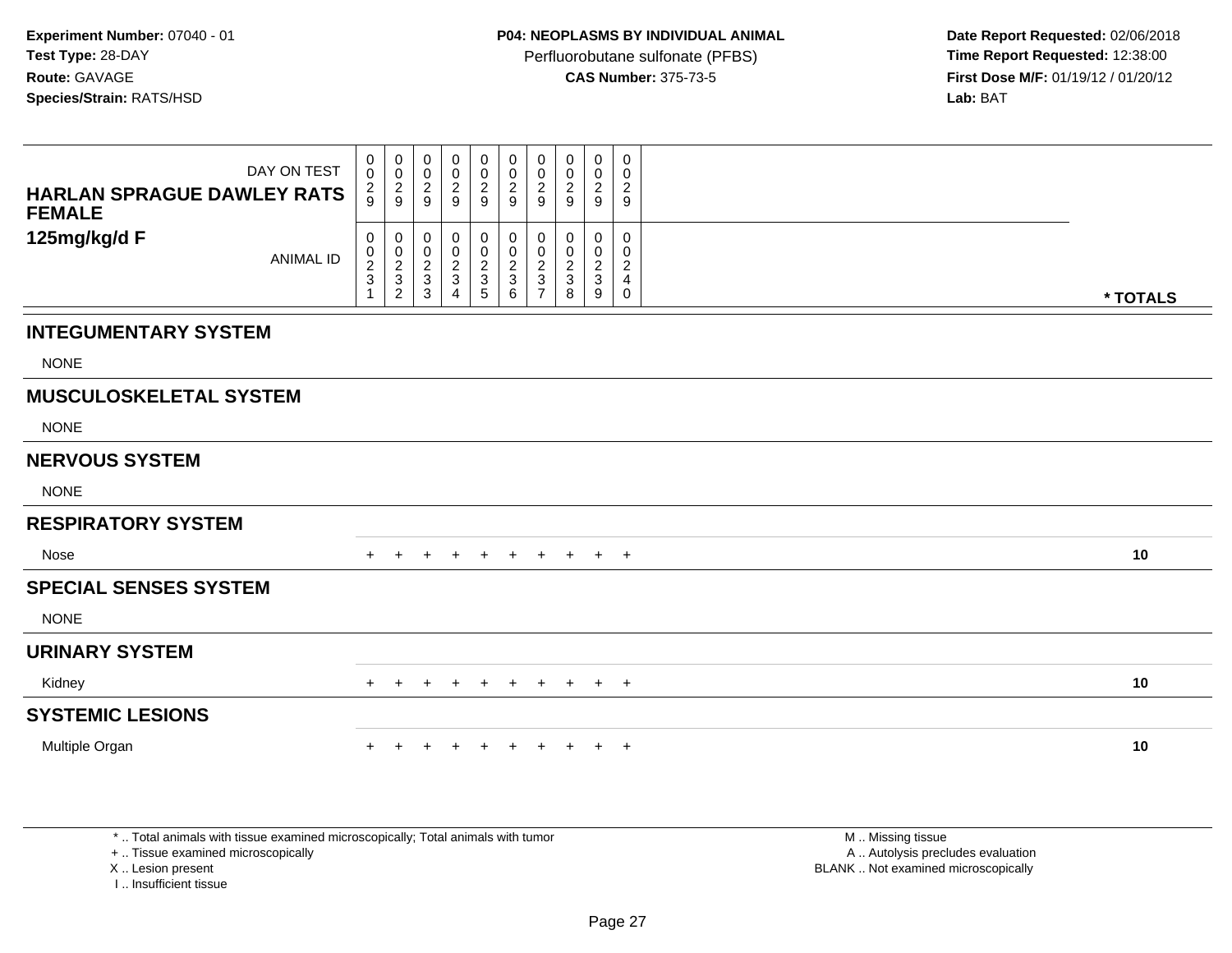Perfluorobutane sulfonate (PFBS)<br>**CAS Number:** 375-73-5

 **Date Report Requested:** 02/06/2018 **First Dose M/F:** 01/19/12 / 01/20/12<br>**Lab:** BAT **Lab:** BAT

| <b>HARLAN SPRAGUE DAWLEY RATS</b><br><b>FEMALE</b> | DAY ON TEST      | 0<br>$\mathsf{O}\xspace$<br>$\frac{2}{9}$  | 0<br>$\pmb{0}$<br>$\frac{2}{9}$                      | 0<br>$\mathbf 0$<br>$\frac{2}{9}$                                   | $\pmb{0}$<br>$\pmb{0}$<br>$\overline{c}$<br>9             | 0<br>$\boldsymbol{0}$<br>$\frac{2}{9}$ | 0<br>$\pmb{0}$<br>$\frac{2}{9}$      | 0<br>0<br>$\overline{c}$<br>9                                      | 0<br>0<br>2<br>9                                           | 0<br>$\pmb{0}$<br>$\frac{2}{9}$                               | 0<br>0<br>$\overline{2}$<br>9                             |          |
|----------------------------------------------------|------------------|--------------------------------------------|------------------------------------------------------|---------------------------------------------------------------------|-----------------------------------------------------------|----------------------------------------|--------------------------------------|--------------------------------------------------------------------|------------------------------------------------------------|---------------------------------------------------------------|-----------------------------------------------------------|----------|
| 125mg/kg/d F                                       | <b>ANIMAL ID</b> | $\pmb{0}$<br>$\frac{0}{2}$<br>$\mathbf{1}$ | 0<br>$\begin{array}{c} 0 \\ 2 \\ 3 \\ 2 \end{array}$ | 0<br>$\begin{smallmatrix} 0\\2\\3 \end{smallmatrix}$<br>$\mathsf 3$ | $\pmb{0}$<br>$\pmb{0}$<br>$\frac{2}{3}$<br>$\overline{4}$ | 0<br>$\mathbf 0$<br>$\frac{2}{3}$<br>5 | 0<br>$\pmb{0}$<br>$\frac{2}{3}$<br>6 | 0<br>$\mathbf 0$<br>$\overline{c}$<br>$\sqrt{3}$<br>$\overline{7}$ | 0<br>0<br>$\overline{c}$<br>$\ensuremath{\mathsf{3}}$<br>8 | $\mathbf 0$<br>$\pmb{0}$<br>$\frac{2}{3}$<br>$\boldsymbol{9}$ | 0<br>0<br>$\overline{c}$<br>$\overline{4}$<br>$\mathbf 0$ | * TOTALS |
| <b>INTEGUMENTARY SYSTEM</b>                        |                  |                                            |                                                      |                                                                     |                                                           |                                        |                                      |                                                                    |                                                            |                                                               |                                                           |          |
| <b>NONE</b>                                        |                  |                                            |                                                      |                                                                     |                                                           |                                        |                                      |                                                                    |                                                            |                                                               |                                                           |          |
| <b>MUSCULOSKELETAL SYSTEM</b>                      |                  |                                            |                                                      |                                                                     |                                                           |                                        |                                      |                                                                    |                                                            |                                                               |                                                           |          |
| <b>NONE</b>                                        |                  |                                            |                                                      |                                                                     |                                                           |                                        |                                      |                                                                    |                                                            |                                                               |                                                           |          |
| <b>NERVOUS SYSTEM</b>                              |                  |                                            |                                                      |                                                                     |                                                           |                                        |                                      |                                                                    |                                                            |                                                               |                                                           |          |
| <b>NONE</b>                                        |                  |                                            |                                                      |                                                                     |                                                           |                                        |                                      |                                                                    |                                                            |                                                               |                                                           |          |
| <b>RESPIRATORY SYSTEM</b>                          |                  |                                            |                                                      |                                                                     |                                                           |                                        |                                      |                                                                    |                                                            |                                                               |                                                           |          |
| Nose                                               |                  | $+$                                        | $\ddot{}$                                            | $\pm$                                                               | $\ddot{}$                                                 | $+$                                    | $+$                                  | $+$                                                                | $+$                                                        |                                                               | $+$ $+$                                                   | 10       |
| <b>SPECIAL SENSES SYSTEM</b>                       |                  |                                            |                                                      |                                                                     |                                                           |                                        |                                      |                                                                    |                                                            |                                                               |                                                           |          |
| <b>NONE</b>                                        |                  |                                            |                                                      |                                                                     |                                                           |                                        |                                      |                                                                    |                                                            |                                                               |                                                           |          |
| <b>URINARY SYSTEM</b>                              |                  |                                            |                                                      |                                                                     |                                                           |                                        |                                      |                                                                    |                                                            |                                                               |                                                           |          |
| Kidney                                             |                  | $+$                                        | $+$                                                  | $+$                                                                 | $+$                                                       | $+$                                    | $+$                                  | $+$                                                                | $+$                                                        |                                                               | $+$ $+$                                                   | 10       |
| <b>SYSTEMIC LESIONS</b>                            |                  |                                            |                                                      |                                                                     |                                                           |                                        |                                      |                                                                    |                                                            |                                                               |                                                           |          |
| Multiple Organ                                     |                  |                                            |                                                      |                                                                     |                                                           | $\ddot{}$                              |                                      | $\pm$                                                              |                                                            | $\pm$                                                         | $+$                                                       | 10       |
|                                                    |                  |                                            |                                                      |                                                                     |                                                           |                                        |                                      |                                                                    |                                                            |                                                               |                                                           |          |

\* .. Total animals with tissue examined microscopically; Total animals with tumor

+ .. Tissue examined microscopically

X .. Lesion present

I .. Insufficient tissue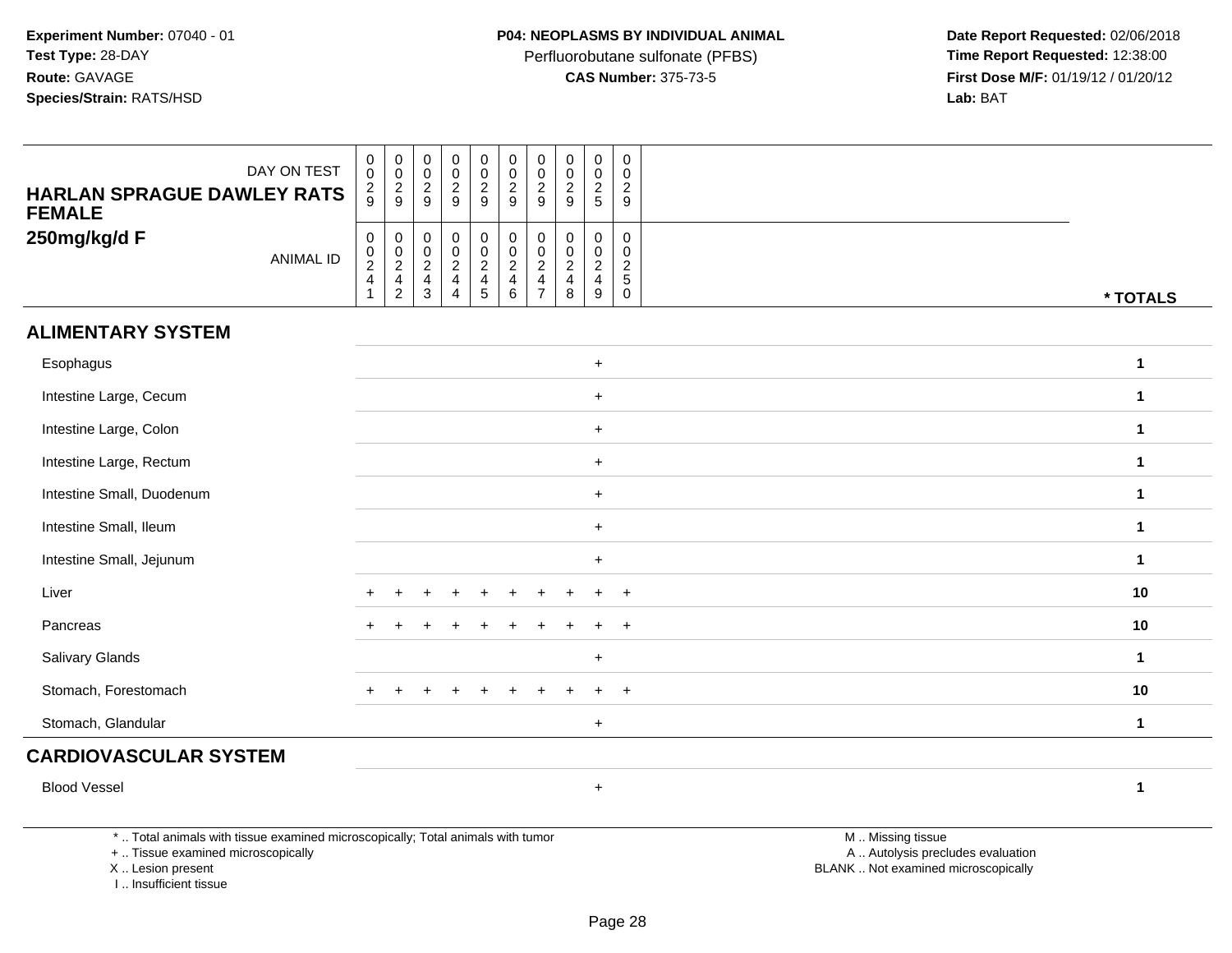Perfluorobutane sulfonate (PFBS)<br>**CAS Number:** 375-73-5

 **Date Report Requested:** 02/06/2018 **First Dose M/F:** 01/19/12 / 01/20/12<br>**Lab:** BAT **Lab:** BAT

| <b>HARLAN SPRAGUE DAWLEY RATS</b><br><b>FEMALE</b> | DAY ON TEST      | $\begin{smallmatrix}0\0\end{smallmatrix}$<br>$\frac{2}{9}$      | $_{\rm 0}^{\rm 0}$<br>$\frac{2}{9}$          | $\begin{matrix} 0 \\ 0 \\ 2 \\ 9 \end{matrix}$       | $\begin{smallmatrix} 0\\0 \end{smallmatrix}$<br>$\overline{c}$<br>9 | $\begin{smallmatrix}0\0\0\end{smallmatrix}$<br>$\frac{2}{9}$ | $\begin{array}{c} 0 \\ 0 \\ 2 \\ 9 \end{array}$            | $\begin{smallmatrix} 0\\0 \end{smallmatrix}$<br>$\overline{2}$<br>9       | $\mathbf 0$<br>$\mathbf 0$<br>$\overline{c}$<br>9                          | $\begin{smallmatrix} 0\\0\\2 \end{smallmatrix}$<br>5 | 0<br>$\mathbf 0$<br>$\sqrt{2}$<br>9               |              |
|----------------------------------------------------|------------------|-----------------------------------------------------------------|----------------------------------------------|------------------------------------------------------|---------------------------------------------------------------------|--------------------------------------------------------------|------------------------------------------------------------|---------------------------------------------------------------------------|----------------------------------------------------------------------------|------------------------------------------------------|---------------------------------------------------|--------------|
| 250mg/kg/d F                                       | <b>ANIMAL ID</b> | $\begin{array}{c} 0 \\ 0 \\ 2 \\ 4 \end{array}$<br>$\mathbf{1}$ | $\pmb{0}$<br>$\frac{0}{2}$<br>$\overline{2}$ | $\begin{array}{c} 0 \\ 0 \\ 2 \\ 4 \\ 3 \end{array}$ | $\mathsf 0$<br>$\frac{0}{2}$<br>$\overline{4}$                      | 0<br>$\frac{0}{2}$<br>$\frac{4}{5}$                          | $\begin{array}{c} 0 \\ 0 \\ 2 \\ 4 \end{array}$<br>$\,6\,$ | $\mathbf 0$<br>$\frac{0}{2}$<br>$\overline{\mathbf{4}}$<br>$\overline{7}$ | $\mathbf 0$<br>$\pmb{0}$<br>$\overline{2}$<br>$\overline{\mathbf{4}}$<br>8 | $\pmb{0}$<br>$\frac{0}{2}$<br>$\overline{4}$<br>9    | 0<br>0<br>$\sqrt{2}$<br>$\sqrt{5}$<br>$\mathbf 0$ | * TOTALS     |
| <b>ALIMENTARY SYSTEM</b>                           |                  |                                                                 |                                              |                                                      |                                                                     |                                                              |                                                            |                                                                           |                                                                            |                                                      |                                                   |              |
| Esophagus                                          |                  |                                                                 |                                              |                                                      |                                                                     |                                                              |                                                            |                                                                           |                                                                            | $+$                                                  |                                                   | $\mathbf{1}$ |
| Intestine Large, Cecum                             |                  |                                                                 |                                              |                                                      |                                                                     |                                                              |                                                            |                                                                           |                                                                            | $+$                                                  |                                                   | $\mathbf{1}$ |
| Intestine Large, Colon                             |                  |                                                                 |                                              |                                                      |                                                                     |                                                              |                                                            |                                                                           |                                                                            | $+$                                                  |                                                   | $\mathbf{1}$ |
| Intestine Large, Rectum                            |                  |                                                                 |                                              |                                                      |                                                                     |                                                              |                                                            |                                                                           |                                                                            | $+$                                                  |                                                   | $\mathbf{1}$ |
| Intestine Small, Duodenum                          |                  |                                                                 |                                              |                                                      |                                                                     |                                                              |                                                            |                                                                           |                                                                            | $+$                                                  |                                                   | 1            |
| Intestine Small, Ileum                             |                  |                                                                 |                                              |                                                      |                                                                     |                                                              |                                                            |                                                                           |                                                                            | $+$                                                  |                                                   | $\mathbf{1}$ |
| Intestine Small, Jejunum                           |                  |                                                                 |                                              |                                                      |                                                                     |                                                              |                                                            |                                                                           |                                                                            | $\ddot{}$                                            |                                                   | $\mathbf{1}$ |
| Liver                                              |                  |                                                                 |                                              |                                                      |                                                                     |                                                              |                                                            |                                                                           |                                                                            |                                                      | $+$                                               | 10           |
| Pancreas                                           |                  |                                                                 |                                              |                                                      |                                                                     |                                                              |                                                            |                                                                           |                                                                            |                                                      | $+$                                               | 10           |
| Salivary Glands                                    |                  |                                                                 |                                              |                                                      |                                                                     |                                                              |                                                            |                                                                           |                                                                            | $\ddot{}$                                            |                                                   | $\mathbf{1}$ |
| Stomach, Forestomach                               |                  | $+$                                                             |                                              |                                                      |                                                                     |                                                              |                                                            |                                                                           |                                                                            |                                                      | $+$                                               | 10           |
| Stomach, Glandular                                 |                  |                                                                 |                                              |                                                      |                                                                     |                                                              |                                                            |                                                                           |                                                                            | $\ddot{}$                                            |                                                   | $\mathbf{1}$ |
| <b>CARDIOVASCULAR SYSTEM</b>                       |                  |                                                                 |                                              |                                                      |                                                                     |                                                              |                                                            |                                                                           |                                                                            |                                                      |                                                   |              |
| <b>Blood Vessel</b>                                |                  |                                                                 |                                              |                                                      |                                                                     |                                                              |                                                            |                                                                           |                                                                            | $\ddot{}$                                            |                                                   | 1            |
|                                                    |                  |                                                                 |                                              |                                                      |                                                                     |                                                              |                                                            |                                                                           |                                                                            |                                                      |                                                   |              |

\* .. Total animals with tissue examined microscopically; Total animals with tumor

+ .. Tissue examined microscopically

X .. Lesion present

I .. Insufficient tissue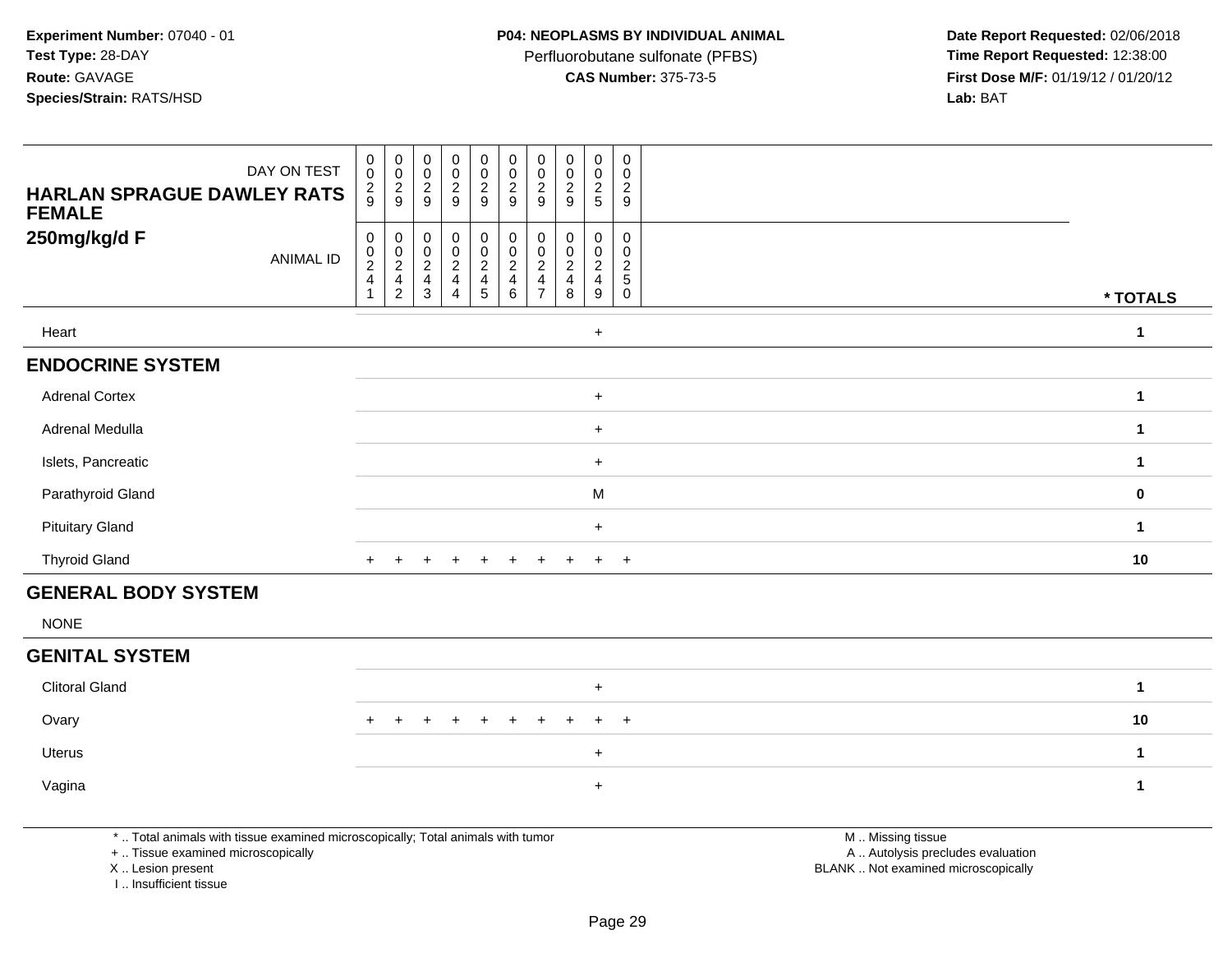Perfluorobutane sulfonate (PFBS)<br>**CAS Number:** 375-73-5

 **Date Report Requested:** 02/06/2018 **First Dose M/F:** 01/19/12 / 01/20/12<br>**Lab:** BAT **Lab:** BAT

| DAY ON TEST<br><b>HARLAN SPRAGUE DAWLEY RATS</b><br><b>FEMALE</b> | 0<br>$\mathsf{O}\xspace$<br>$\frac{2}{9}$ | $\pmb{0}$<br>$\pmb{0}$<br>$\frac{2}{9}$ | 00029                                                       | $\begin{array}{c} 0 \\ 0 \\ 2 \\ 9 \end{array}$ | $\begin{smallmatrix} 0\\0 \end{smallmatrix}$<br>$\boldsymbol{2}$<br>$\boldsymbol{9}$ | $\begin{smallmatrix}0\0\0\end{smallmatrix}$<br>$\frac{2}{9}$ | 0<br>$\pmb{0}$<br>$\boldsymbol{2}$<br>$\boldsymbol{9}$ | $\begin{smallmatrix} 0\\0 \end{smallmatrix}$<br>$\overline{2}$<br>$\boldsymbol{9}$ | $\begin{smallmatrix} 0\\0 \end{smallmatrix}$<br>$\frac{2}{5}$ | $\mathbf 0$<br>$\mathbf 0$<br>$\boldsymbol{2}$<br>9 |          |
|-------------------------------------------------------------------|-------------------------------------------|-----------------------------------------|-------------------------------------------------------------|-------------------------------------------------|--------------------------------------------------------------------------------------|--------------------------------------------------------------|--------------------------------------------------------|------------------------------------------------------------------------------------|---------------------------------------------------------------|-----------------------------------------------------|----------|
| 250mg/kg/d F<br>ANIMAL ID                                         | 0<br>$\frac{0}{2}$                        | 0<br>$\overline{\mathbf{c}}$<br>4<br>2  | 0<br>$\begin{smallmatrix} 0\\2 \end{smallmatrix}$<br>4<br>3 | 0<br>$\frac{0}{2}$<br>4                         | 0<br>$\mathbf 0$<br>$\overline{\mathbf{c}}$<br>4<br>5                                | 0<br>$\pmb{0}$<br>$\boldsymbol{2}$<br>4<br>6                 | $\overline{\mathbf{c}}$                                | 0<br>0<br>$\sqrt{2}$<br>8                                                          | 0<br>$\begin{smallmatrix} 0 \ 2 \end{smallmatrix}$<br>4<br>9  | 0<br>0<br>$\overline{c}$<br>5<br>0                  | * TOTALS |
| Heart                                                             |                                           |                                         |                                                             |                                                 |                                                                                      |                                                              |                                                        |                                                                                    | $+$                                                           |                                                     | 1        |
| <b>ENDOCRINE SYSTEM</b>                                           |                                           |                                         |                                                             |                                                 |                                                                                      |                                                              |                                                        |                                                                                    |                                                               |                                                     |          |
| <b>Adrenal Cortex</b>                                             |                                           |                                         |                                                             |                                                 |                                                                                      |                                                              |                                                        |                                                                                    | $\ddot{}$                                                     |                                                     | 4        |
| Adrenal Medulla                                                   |                                           |                                         |                                                             |                                                 |                                                                                      |                                                              |                                                        |                                                                                    | $\ddot{}$                                                     |                                                     |          |
| Islets, Pancreatic                                                |                                           |                                         |                                                             |                                                 |                                                                                      |                                                              |                                                        |                                                                                    | $\ddot{}$                                                     |                                                     |          |
| Parathyroid Gland                                                 |                                           |                                         |                                                             |                                                 |                                                                                      |                                                              |                                                        |                                                                                    | M                                                             |                                                     | $\bf{0}$ |
| <b>Pituitary Gland</b>                                            |                                           |                                         |                                                             |                                                 |                                                                                      |                                                              |                                                        |                                                                                    | $\ddot{}$                                                     |                                                     | 1        |
| <b>Thyroid Gland</b>                                              | $\ddot{}$                                 |                                         |                                                             | $\pm$                                           | $\ddot{}$                                                                            | $\ddot{}$                                                    | $\pm$                                                  |                                                                                    | $\ddot{}$                                                     | $+$                                                 | 10       |
| <b>GENERAL BODY SYSTEM</b>                                        |                                           |                                         |                                                             |                                                 |                                                                                      |                                                              |                                                        |                                                                                    |                                                               |                                                     |          |

NONE

### **GENITAL SYSTEM**

| <b>Clitoral Gland</b> |                     |    |
|-----------------------|---------------------|----|
| Ovary                 | + + + + + + + + + + | 10 |
| Uterus                |                     |    |
| Vagina                |                     |    |

\* .. Total animals with tissue examined microscopically; Total animals with tumor

+ .. Tissue examined microscopically

X .. Lesion present

I .. Insufficient tissue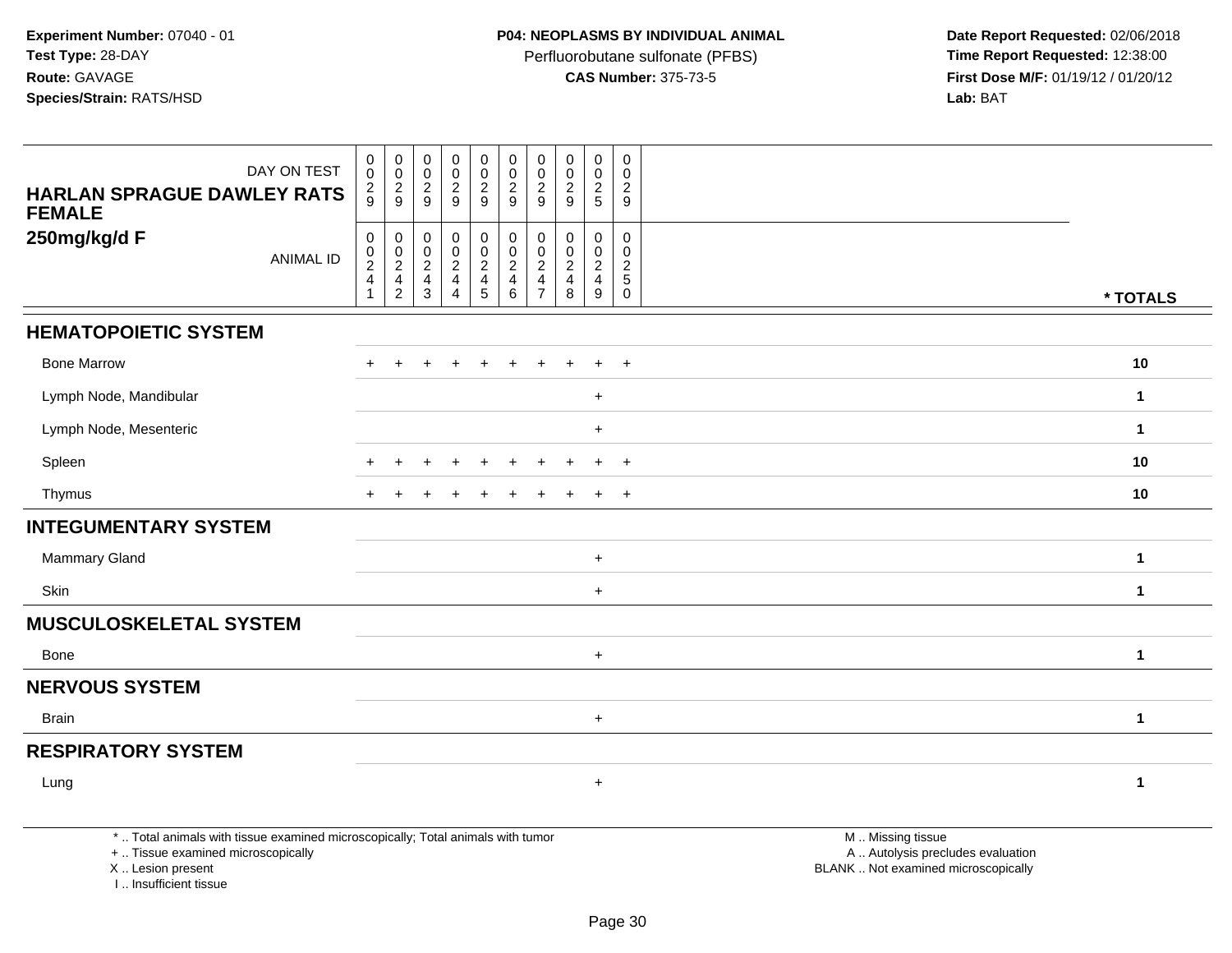Perfluorobutane sulfonate (PFBS)<br>**CAS Number:** 375-73-5

 **Date Report Requested:** 02/06/2018 **First Dose M/F:** 01/19/12 / 01/20/12<br>**Lab:** BAT **Lab:** BAT

| DAY ON TEST<br><b>HARLAN SPRAGUE DAWLEY RATS</b><br><b>FEMALE</b> | $\pmb{0}$<br>$\mathbf 0$<br>$\frac{2}{9}$            | $\pmb{0}$<br>$\mathsf 0$<br>$\frac{2}{9}$                                | $\boldsymbol{0}$<br>$\pmb{0}$<br>$\overline{c}$<br>9 | $\pmb{0}$<br>$\pmb{0}$<br>$\frac{2}{9}$                                      | $\begin{smallmatrix} 0\\0 \end{smallmatrix}$<br>$\frac{2}{9}$               | $\pmb{0}$<br>$\pmb{0}$<br>$\frac{2}{9}$                                          | $\pmb{0}$<br>$\pmb{0}$<br>$\frac{2}{9}$                                         | 0<br>$\mathbf 0$<br>$\sqrt{2}$<br>9                            | $\pmb{0}$<br>$\pmb{0}$<br>$\frac{2}{5}$               | $\pmb{0}$<br>$\pmb{0}$<br>$\overline{c}$<br>9              |              |
|-------------------------------------------------------------------|------------------------------------------------------|--------------------------------------------------------------------------|------------------------------------------------------|------------------------------------------------------------------------------|-----------------------------------------------------------------------------|----------------------------------------------------------------------------------|---------------------------------------------------------------------------------|----------------------------------------------------------------|-------------------------------------------------------|------------------------------------------------------------|--------------|
| 250mg/kg/d F<br><b>ANIMAL ID</b>                                  | $\boldsymbol{0}$<br>$_{2}^{\rm 0}$<br>$\overline{4}$ | 0<br>$\begin{smallmatrix} 0\\2 \end{smallmatrix}$<br>4<br>$\overline{c}$ | $\mathbf 0$<br>$\pmb{0}$<br>$\overline{2}$<br>4<br>3 | 0<br>$\pmb{0}$<br>$\overline{2}$<br>$\overline{4}$<br>$\boldsymbol{\Lambda}$ | $\boldsymbol{0}$<br>$\mathsf{O}\xspace$<br>$\frac{2}{4}$<br>$5\phantom{.0}$ | $\pmb{0}$<br>$\mathbf 0$<br>$\overline{2}$<br>$\overline{\mathbf{4}}$<br>$\,6\,$ | 0<br>$\pmb{0}$<br>$\boldsymbol{2}$<br>$\overline{\mathbf{4}}$<br>$\overline{7}$ | 0<br>$\mathbf 0$<br>$\sqrt{2}$<br>$\overline{\mathbf{4}}$<br>8 | 0<br>$\mathbf 0$<br>$\sqrt{2}$<br>$\overline{4}$<br>9 | $\mathbf 0$<br>$\mathbf 0$<br>$\frac{2}{5}$<br>$\mathbf 0$ | * TOTALS     |
| <b>HEMATOPOIETIC SYSTEM</b>                                       |                                                      |                                                                          |                                                      |                                                                              |                                                                             |                                                                                  |                                                                                 |                                                                |                                                       |                                                            |              |
| <b>Bone Marrow</b>                                                |                                                      | $\ddot{}$                                                                | ÷                                                    | $\div$                                                                       | $\ddot{}$                                                                   | ÷                                                                                |                                                                                 |                                                                | $\ddot{}$                                             | $^{+}$                                                     | 10           |
| Lymph Node, Mandibular                                            |                                                      |                                                                          |                                                      |                                                                              |                                                                             |                                                                                  |                                                                                 |                                                                | $\ddot{}$                                             |                                                            | $\mathbf 1$  |
| Lymph Node, Mesenteric                                            |                                                      |                                                                          |                                                      |                                                                              |                                                                             |                                                                                  |                                                                                 |                                                                | $\ddot{}$                                             |                                                            | $\mathbf 1$  |
| Spleen                                                            |                                                      |                                                                          |                                                      |                                                                              |                                                                             |                                                                                  |                                                                                 |                                                                | ÷                                                     | $^{+}$                                                     | 10           |
| Thymus                                                            |                                                      |                                                                          |                                                      |                                                                              |                                                                             |                                                                                  |                                                                                 |                                                                | $\ddot{}$                                             | $\overline{+}$                                             | 10           |
| <b>INTEGUMENTARY SYSTEM</b>                                       |                                                      |                                                                          |                                                      |                                                                              |                                                                             |                                                                                  |                                                                                 |                                                                |                                                       |                                                            |              |
| Mammary Gland                                                     |                                                      |                                                                          |                                                      |                                                                              |                                                                             |                                                                                  |                                                                                 |                                                                | $\ddot{}$                                             |                                                            | $\mathbf{1}$ |
| Skin                                                              |                                                      |                                                                          |                                                      |                                                                              |                                                                             |                                                                                  |                                                                                 |                                                                | $\ddot{}$                                             |                                                            | $\mathbf{1}$ |
| <b>MUSCULOSKELETAL SYSTEM</b>                                     |                                                      |                                                                          |                                                      |                                                                              |                                                                             |                                                                                  |                                                                                 |                                                                |                                                       |                                                            |              |
| Bone                                                              |                                                      |                                                                          |                                                      |                                                                              |                                                                             |                                                                                  |                                                                                 |                                                                | $\ddot{}$                                             |                                                            | $\mathbf{1}$ |
| <b>NERVOUS SYSTEM</b>                                             |                                                      |                                                                          |                                                      |                                                                              |                                                                             |                                                                                  |                                                                                 |                                                                |                                                       |                                                            |              |
| Brain                                                             |                                                      |                                                                          |                                                      |                                                                              |                                                                             |                                                                                  |                                                                                 |                                                                | $\ddot{}$                                             |                                                            | $\mathbf 1$  |
| <b>RESPIRATORY SYSTEM</b>                                         |                                                      |                                                                          |                                                      |                                                                              |                                                                             |                                                                                  |                                                                                 |                                                                |                                                       |                                                            |              |
| Lung                                                              |                                                      |                                                                          |                                                      |                                                                              |                                                                             |                                                                                  |                                                                                 |                                                                | $\ddot{}$                                             |                                                            | $\mathbf{1}$ |

\* .. Total animals with tissue examined microscopically; Total animals with tumor

+ .. Tissue examined microscopically

X .. Lesion present

I .. Insufficient tissue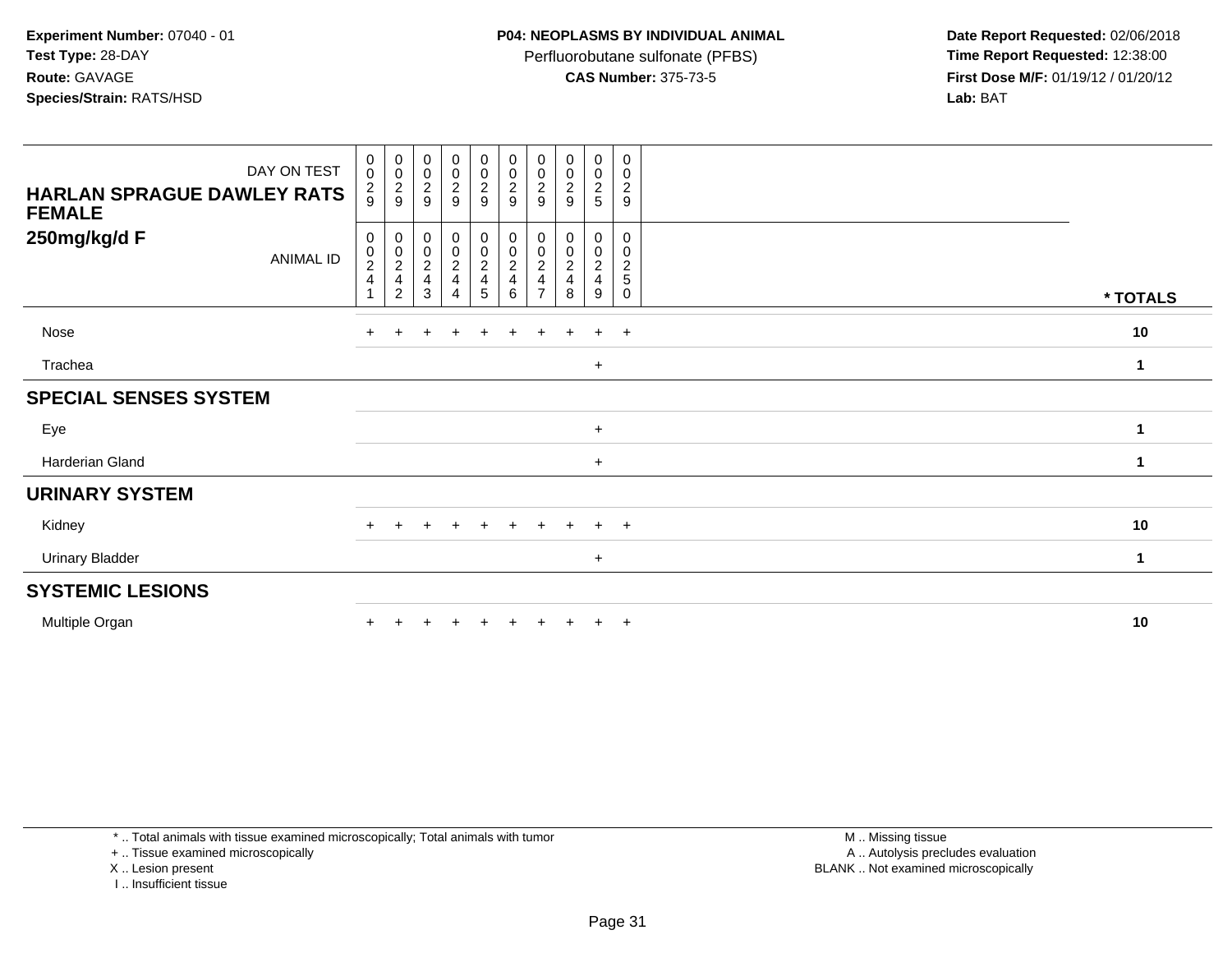Perfluorobutane sulfonate (PFBS)<br>**CAS Number:** 375-73-5

 **Date Report Requested:** 02/06/2018 **First Dose M/F:** 01/19/12 / 01/20/12<br>**Lab:** BAT **Lab:** BAT

| <b>HARLAN SPRAGUE DAWLEY RATS</b><br><b>FEMALE</b> | DAY ON TEST      | $\begin{smallmatrix}0\\0\end{smallmatrix}$<br>$\frac{2}{9}$         | $\begin{array}{c} 0 \\ 0 \\ 2 \\ 9 \end{array}$                            | 00029                                               | $\begin{array}{c} 0 \\ 0 \\ 2 \\ 9 \end{array}$     | $\begin{smallmatrix} 0\\0 \end{smallmatrix}$<br>$\frac{2}{9}$ | $\begin{array}{c} 0 \\ 0 \\ 2 \\ 9 \end{array}$ | $\begin{smallmatrix} 0\0\0\2 \end{smallmatrix}$<br>9 | $\begin{array}{c} 0 \\ 0 \\ 2 \\ 9 \end{array}$ | $\begin{array}{c} 0 \\ 0 \\ 2 \\ 5 \end{array}$ | 0<br>$\pmb{0}$<br>$\boldsymbol{2}$<br>9         |          |
|----------------------------------------------------|------------------|---------------------------------------------------------------------|----------------------------------------------------------------------------|-----------------------------------------------------|-----------------------------------------------------|---------------------------------------------------------------|-------------------------------------------------|------------------------------------------------------|-------------------------------------------------|-------------------------------------------------|-------------------------------------------------|----------|
| 250mg/kg/d F                                       | <b>ANIMAL ID</b> | 0<br>$\begin{smallmatrix} 0\\2 \end{smallmatrix}$<br>$\overline{4}$ | 0<br>$\begin{smallmatrix} 0 \\ 2 \end{smallmatrix}$<br>4<br>$\overline{2}$ | $\begin{matrix} 0 \\ 0 \\ 2 \\ 4 \end{matrix}$<br>3 | $\begin{matrix} 0 \\ 0 \\ 2 \\ 4 \end{matrix}$<br>4 | 0<br>$\pmb{0}$<br>$\frac{2}{4}$<br>5                          | 0<br>$_{2}^{\rm 0}$<br>4<br>6                   | 0<br>$\pmb{0}$<br>$\sqrt{2}$<br>4                    | 0<br>$\pmb{0}$<br>$\boldsymbol{2}$<br>4<br>8    | 0<br>$\frac{0}{2}$<br>9                         | 0<br>$\mathbf 0$<br>$\sqrt{2}$<br>5<br>$\Omega$ | * TOTALS |
| Nose                                               |                  |                                                                     |                                                                            |                                                     | $\ddot{}$                                           |                                                               | $\ddot{}$                                       | $\pm$                                                | $\pm$                                           | $+$                                             | $+$                                             | 10       |
| Trachea                                            |                  |                                                                     |                                                                            |                                                     |                                                     |                                                               |                                                 |                                                      |                                                 | $+$                                             |                                                 | 1        |
| <b>SPECIAL SENSES SYSTEM</b>                       |                  |                                                                     |                                                                            |                                                     |                                                     |                                                               |                                                 |                                                      |                                                 |                                                 |                                                 |          |
| Eye                                                |                  |                                                                     |                                                                            |                                                     |                                                     |                                                               |                                                 |                                                      |                                                 | $+$                                             |                                                 | 1        |
| Harderian Gland                                    |                  |                                                                     |                                                                            |                                                     |                                                     |                                                               |                                                 |                                                      |                                                 | $+$                                             |                                                 | 1        |
| <b>URINARY SYSTEM</b>                              |                  |                                                                     |                                                                            |                                                     |                                                     |                                                               |                                                 |                                                      |                                                 |                                                 |                                                 |          |
| Kidney                                             |                  | $\div$                                                              |                                                                            |                                                     | ÷                                                   | $\pm$                                                         | $\ddot{}$                                       | $\div$                                               |                                                 | $\ddot{}$                                       | $+$                                             | 10       |
| <b>Urinary Bladder</b>                             |                  |                                                                     |                                                                            |                                                     |                                                     |                                                               |                                                 |                                                      |                                                 | $+$                                             |                                                 | 1        |
| <b>SYSTEMIC LESIONS</b>                            |                  |                                                                     |                                                                            |                                                     |                                                     |                                                               |                                                 |                                                      |                                                 |                                                 |                                                 |          |
| Multiple Organ                                     |                  |                                                                     |                                                                            |                                                     |                                                     |                                                               |                                                 |                                                      |                                                 | $+$                                             | $+$                                             | 10       |

\* .. Total animals with tissue examined microscopically; Total animals with tumor

+ .. Tissue examined microscopically

X .. Lesion present

I .. Insufficient tissue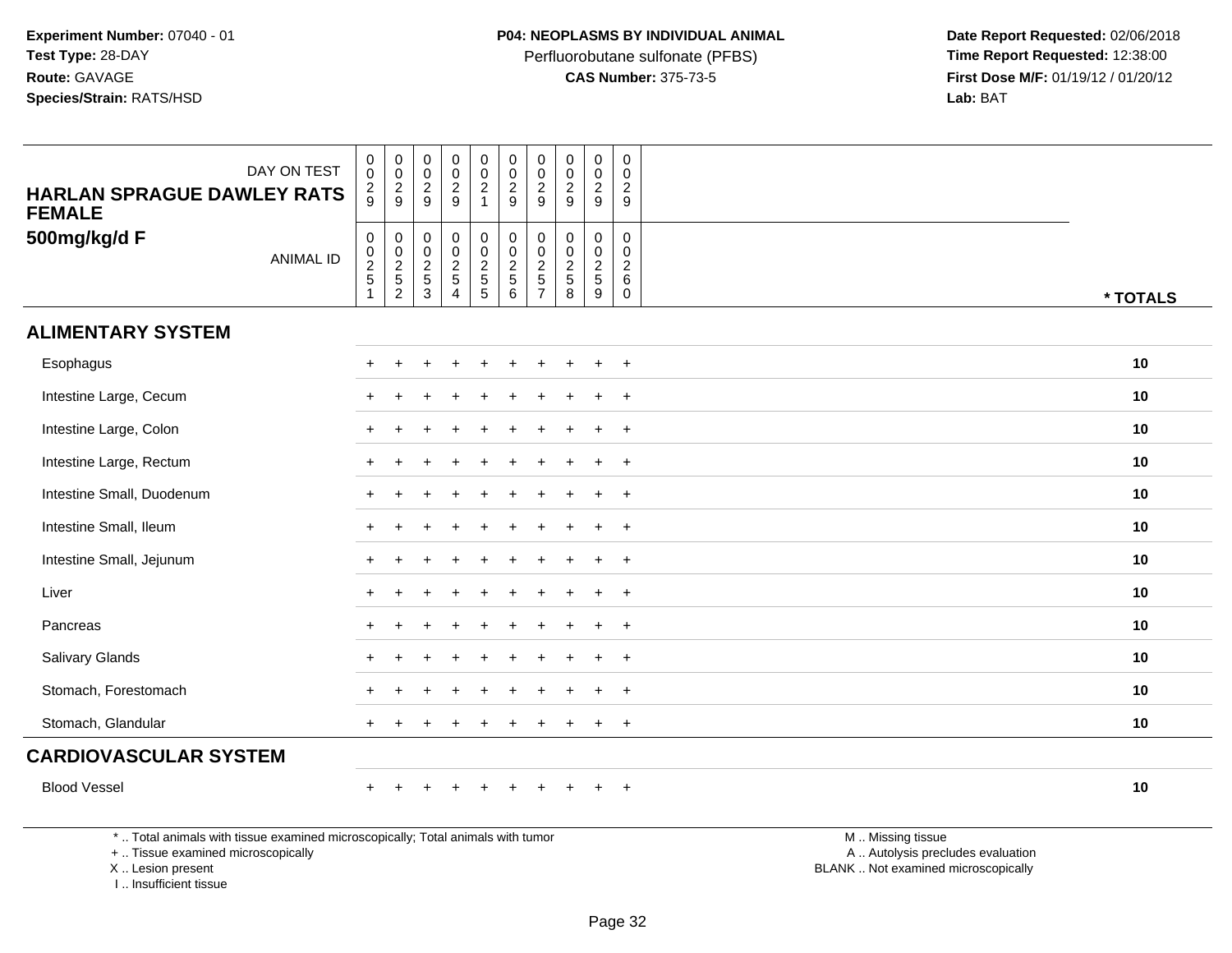Perfluorobutane sulfonate (PFBS)<br>**CAS Number:** 375-73-5

 **Date Report Requested:** 02/06/2018 **First Dose M/F:** 01/19/12 / 01/20/12<br>**Lab:** BAT **Lab:** BAT

| DAY ON TEST<br><b>HARLAN SPRAGUE DAWLEY RATS</b><br><b>FEMALE</b>               | $\mathbf 0$<br>$\overline{0}$<br>$\boldsymbol{2}$<br>9 | $\pmb{0}$<br>$\mathsf 0$<br>$\frac{2}{9}$                     | $\pmb{0}$<br>$\,0\,$<br>$\overline{c}$<br>9  | $\pmb{0}$<br>$\mathsf{O}\xspace$<br>$\frac{2}{9}$                | $\mathsf{O}\xspace$<br>$\mathbf 0$<br>$\overline{a}$<br>$\mathbf{1}$ | $\pmb{0}$<br>$\pmb{0}$<br>$\overline{c}$<br>$\boldsymbol{9}$    | $\mathbf 0$<br>$\mathbf 0$<br>$\sqrt{2}$<br>9 | $\mathsf 0$<br>$\mathsf 0$<br>$\sqrt{2}$<br>9                   | $\pmb{0}$<br>$\pmb{0}$<br>$\frac{2}{9}$           | $\pmb{0}$<br>$\Omega$<br>$\overline{c}$<br>9                      |                   |          |
|---------------------------------------------------------------------------------|--------------------------------------------------------|---------------------------------------------------------------|----------------------------------------------|------------------------------------------------------------------|----------------------------------------------------------------------|-----------------------------------------------------------------|-----------------------------------------------|-----------------------------------------------------------------|---------------------------------------------------|-------------------------------------------------------------------|-------------------|----------|
| 500mg/kg/d F<br><b>ANIMAL ID</b>                                                | $\mathbf 0$<br>$\frac{0}{2}$<br>1                      | $\mathbf 0$<br>$\mathbf 0$<br>$\frac{2}{5}$<br>$\overline{2}$ | $\boldsymbol{0}$<br>$\pmb{0}$<br>$rac{2}{3}$ | $\mathbf 0$<br>$\overline{0}$<br>$\frac{2}{5}$<br>$\overline{4}$ | 0<br>$\ddot{\mathbf{0}}$<br>$rac{2}{5}$                              | $\pmb{0}$<br>$\overline{0}$<br>$\frac{2}{5}$<br>$6\overline{6}$ | $\mathbf 0$<br>$\mathbf 0$<br>$\frac{2}{5}$   | $\mathbf 0$<br>$\mathbf 0$<br>$\overline{2}$<br>$\sqrt{5}$<br>8 | 0<br>$\pmb{0}$<br>$\frac{2}{5}$<br>$\overline{9}$ | $\mathbf 0$<br>$\mathbf{0}$<br>$\overline{a}$<br>6<br>$\mathbf 0$ |                   | * TOTALS |
| <b>ALIMENTARY SYSTEM</b>                                                        |                                                        |                                                               |                                              |                                                                  |                                                                      |                                                                 |                                               |                                                                 |                                                   |                                                                   |                   |          |
| Esophagus                                                                       |                                                        |                                                               |                                              |                                                                  |                                                                      |                                                                 |                                               |                                                                 |                                                   | $\div$                                                            |                   | 10       |
| Intestine Large, Cecum                                                          |                                                        |                                                               |                                              |                                                                  |                                                                      |                                                                 |                                               |                                                                 | $\ddot{}$                                         | $+$                                                               |                   | 10       |
| Intestine Large, Colon                                                          |                                                        |                                                               |                                              |                                                                  |                                                                      |                                                                 |                                               |                                                                 | $\ddot{}$                                         | $\overline{+}$                                                    |                   | 10       |
| Intestine Large, Rectum                                                         |                                                        |                                                               |                                              |                                                                  |                                                                      |                                                                 |                                               |                                                                 | $\ddot{}$                                         | $\ddot{}$                                                         |                   | 10       |
| Intestine Small, Duodenum                                                       |                                                        |                                                               |                                              |                                                                  |                                                                      |                                                                 |                                               |                                                                 |                                                   | $\overline{1}$                                                    |                   | 10       |
| Intestine Small, Ileum                                                          |                                                        |                                                               |                                              |                                                                  |                                                                      |                                                                 |                                               |                                                                 | $\div$                                            | $\ddot{}$                                                         |                   | 10       |
| Intestine Small, Jejunum                                                        |                                                        |                                                               |                                              |                                                                  |                                                                      |                                                                 |                                               |                                                                 | $\ddot{}$                                         | $\div$                                                            |                   | 10       |
| Liver                                                                           |                                                        |                                                               |                                              |                                                                  |                                                                      |                                                                 |                                               |                                                                 | $\ddot{}$                                         | $\overline{+}$                                                    |                   | 10       |
| Pancreas                                                                        |                                                        |                                                               |                                              |                                                                  |                                                                      |                                                                 |                                               |                                                                 |                                                   | $\overline{ }$                                                    |                   | 10       |
| Salivary Glands                                                                 |                                                        |                                                               |                                              |                                                                  |                                                                      |                                                                 |                                               |                                                                 |                                                   | $\ddot{}$                                                         |                   | 10       |
| Stomach, Forestomach                                                            |                                                        |                                                               |                                              |                                                                  |                                                                      |                                                                 |                                               |                                                                 | $\div$                                            | $\overline{ }$                                                    |                   | 10       |
| Stomach, Glandular                                                              | $+$                                                    |                                                               |                                              |                                                                  |                                                                      |                                                                 |                                               |                                                                 | $\ddot{}$                                         | $+$                                                               |                   | 10       |
| <b>CARDIOVASCULAR SYSTEM</b>                                                    |                                                        |                                                               |                                              |                                                                  |                                                                      |                                                                 |                                               |                                                                 |                                                   |                                                                   |                   |          |
| <b>Blood Vessel</b>                                                             | $\ddot{}$                                              |                                                               |                                              | $\div$                                                           | $\ddot{}$                                                            | $\ddot{}$                                                       |                                               |                                                                 | $\ddot{}$                                         | $+$                                                               |                   | 10       |
| *  Total animals with tissue examined microscopically; Total animals with tumor |                                                        |                                                               |                                              |                                                                  |                                                                      |                                                                 |                                               |                                                                 |                                                   |                                                                   | M  Missing tissue |          |

+ .. Tissue examined microscopically

X .. Lesion present

I .. Insufficient tissue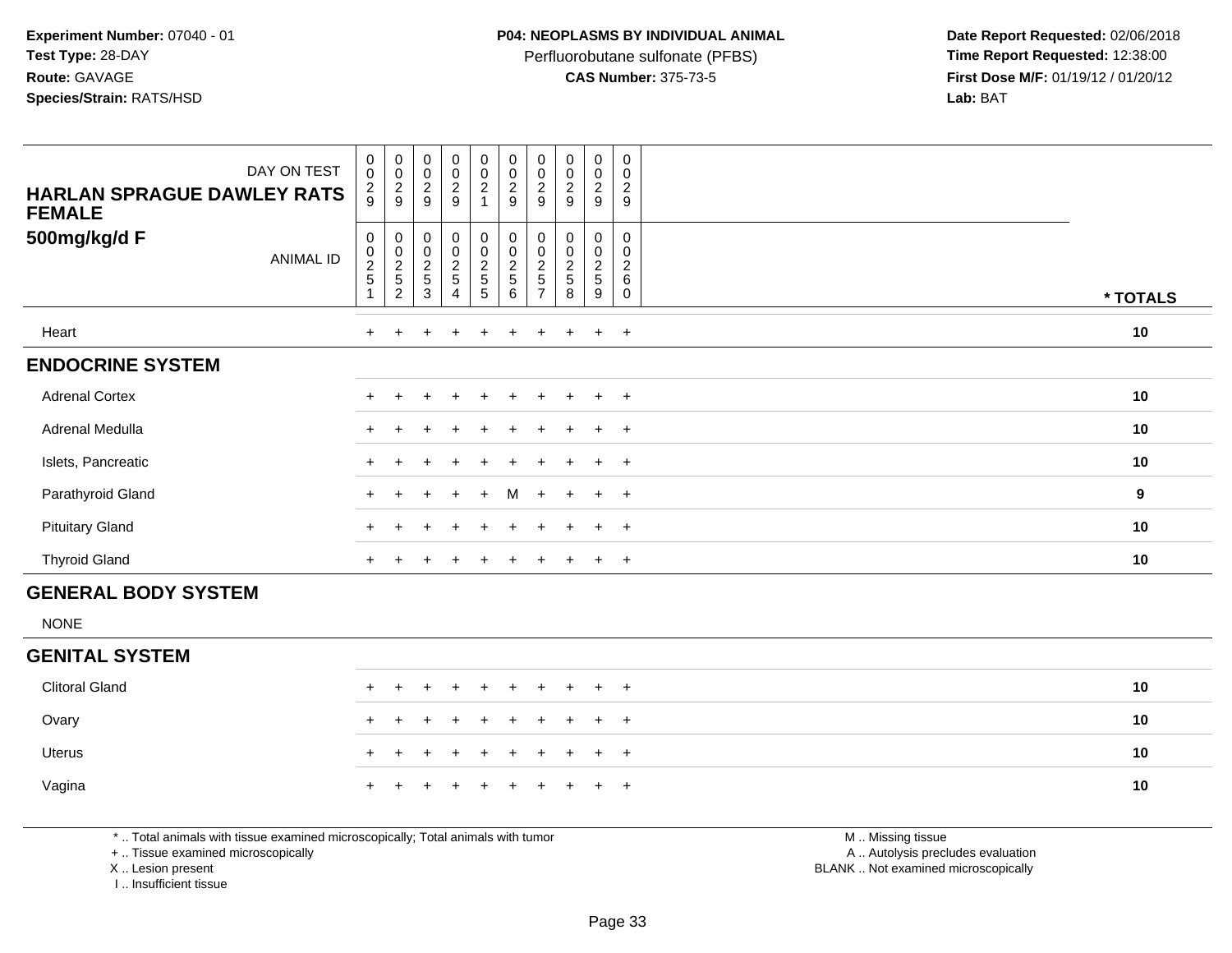Perfluorobutane sulfonate (PFBS)<br>**CAS Number:** 375-73-5

 **Date Report Requested:** 02/06/2018 **First Dose M/F:** 01/19/12 / 01/20/12<br>**Lab:** BAT **Lab:** BAT

| DAY ON TEST<br><b>HARLAN SPRAGUE DAWLEY RATS</b><br><b>FEMALE</b> | $_{\rm 0}^{\rm 0}$<br>$\frac{2}{9}$             | $_{\rm 0}^{\rm 0}$<br>$\frac{2}{9}$                               | $_{\rm 0}^{\rm 0}$<br>$\overline{c}$<br>9            | $_{\rm 0}^{\rm 0}$<br>$\frac{2}{9}$                  | $\begin{smallmatrix} 0\\0 \end{smallmatrix}$<br>$\frac{2}{1}$ | $\begin{smallmatrix} 0\\0 \end{smallmatrix}$<br>$\overline{c}$<br>$\boldsymbol{9}$ | 0<br>0<br>$\overline{\mathbf{c}}$<br>9 | $\begin{smallmatrix} 0\\0 \end{smallmatrix}$<br>$\boldsymbol{2}$<br>9 | 0<br>$\pmb{0}$<br>$\overline{c}$<br>9 | 0<br>$\mathbf 0$<br>$\overline{2}$<br>9 |                  |
|-------------------------------------------------------------------|-------------------------------------------------|-------------------------------------------------------------------|------------------------------------------------------|------------------------------------------------------|---------------------------------------------------------------|------------------------------------------------------------------------------------|----------------------------------------|-----------------------------------------------------------------------|---------------------------------------|-----------------------------------------|------------------|
| 500mg/kg/d F<br>ANIMAL ID                                         | 0<br>$\begin{array}{c} 0 \\ 2 \\ 5 \end{array}$ | 0<br>$\begin{array}{c} 0 \\ 2 \\ 5 \end{array}$<br>$\overline{2}$ | 0<br>$\begin{array}{c} 0 \\ 2 \\ 5 \end{array}$<br>3 | 0<br>$\begin{array}{c} 0 \\ 2 \\ 5 \end{array}$<br>4 | $\boldsymbol{0}$<br>$\frac{0}{2}$<br>5                        | 0<br>$\begin{array}{c} 0 \\ 2 \\ 5 \end{array}$<br>6                               | 0<br>0<br>$\overline{\mathbf{c}}$<br>5 | 0<br>$\pmb{0}$<br>$\overline{2}$<br>$\mathbf 5$<br>8                  | 0<br>$\pmb{0}$<br>$\frac{2}{5}$<br>9  | 0<br>0<br>2<br>6<br>$\Omega$            | * TOTALS         |
| Heart                                                             | $+$                                             |                                                                   |                                                      | $\ddot{}$                                            | $\pm$                                                         | $\ddot{}$                                                                          | $\pm$                                  |                                                                       | $\pm$                                 | $+$                                     | 10               |
| <b>ENDOCRINE SYSTEM</b>                                           |                                                 |                                                                   |                                                      |                                                      |                                                               |                                                                                    |                                        |                                                                       |                                       |                                         |                  |
| <b>Adrenal Cortex</b>                                             | $\pm$                                           |                                                                   |                                                      |                                                      |                                                               |                                                                                    |                                        |                                                                       | $\pm$                                 | $+$                                     | 10               |
| Adrenal Medulla                                                   | $\pm$                                           |                                                                   |                                                      |                                                      |                                                               | $\pm$                                                                              |                                        |                                                                       | $\ddot{}$                             | $+$                                     | 10               |
| Islets, Pancreatic                                                |                                                 |                                                                   |                                                      | $\ddot{}$                                            | $+$                                                           | $+$                                                                                | $+$                                    | $+$                                                                   | $+$                                   | $+$                                     | 10               |
| Parathyroid Gland                                                 | $+$                                             | $+$                                                               | $+$                                                  | $+$                                                  | $+$                                                           | M                                                                                  | $+$                                    | $+$                                                                   | $+$ $+$                               |                                         | $\boldsymbol{9}$ |
| <b>Pituitary Gland</b>                                            | $+$                                             |                                                                   |                                                      |                                                      |                                                               | $+$                                                                                | $\pm$                                  |                                                                       | $\ddot{}$                             | $+$                                     | 10               |
| <b>Thyroid Gland</b>                                              | $+$                                             |                                                                   |                                                      | $\pm$                                                | $\pm$                                                         | $\ddot{}$                                                                          | $+$                                    |                                                                       | $+$                                   | $+$                                     | 10               |
| <b>GENERAL BODY SYSTEM</b>                                        |                                                 |                                                                   |                                                      |                                                      |                                                               |                                                                                    |                                        |                                                                       |                                       |                                         |                  |

NONE

### **GENITAL SYSTEM**

| Clitoral Gland |  | + + + + + + + + + + |  |  |  |  | 10 |
|----------------|--|---------------------|--|--|--|--|----|
| Ovary          |  | + + + + + + + + + + |  |  |  |  | 10 |
| Uterus         |  | + + + + + + + + + + |  |  |  |  | 10 |
| Vagina         |  | + + + + + + + + + + |  |  |  |  | 10 |

\* .. Total animals with tissue examined microscopically; Total animals with tumor

+ .. Tissue examined microscopically

X .. Lesion present

I .. Insufficient tissue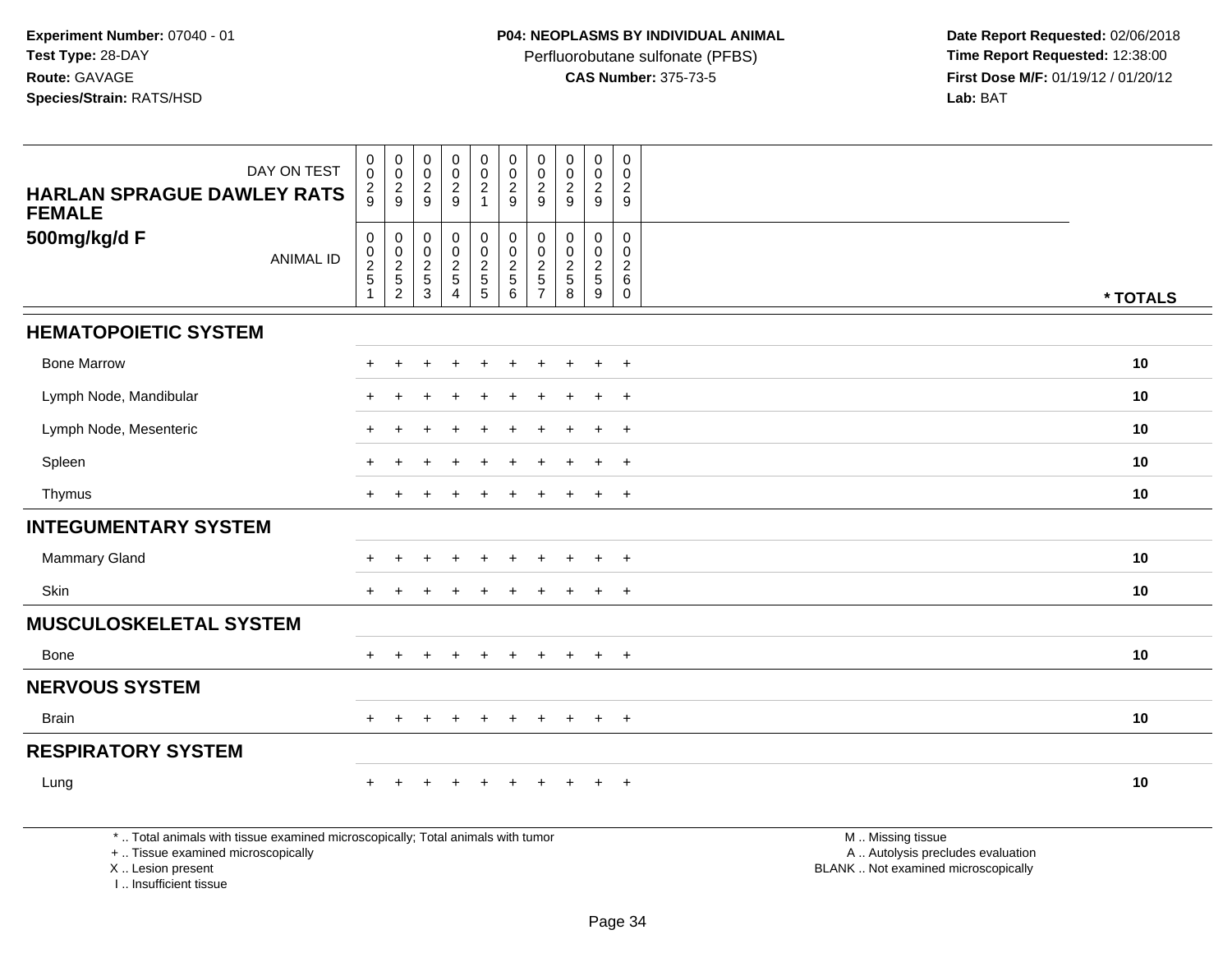Perfluorobutane sulfonate (PFBS)<br>**CAS Number:** 375-73-5

 **Date Report Requested:** 02/06/2018 **First Dose M/F:** 01/19/12 / 01/20/12<br>**Lab:** BAT **Lab:** BAT

| DAY ON TEST                                                                                                                                | $\pmb{0}$<br>$\mathbf 0$                                      | $\boldsymbol{0}$<br>$\mathbf 0$                                        | $\pmb{0}$<br>$\mathbf 0$                | $\pmb{0}$<br>$\pmb{0}$                    | $\pmb{0}$<br>$\pmb{0}$            | $\mathbf 0$<br>$\overline{0}$               | $\pmb{0}$<br>$\mathbf 0$                                                      | $\pmb{0}$<br>$\mathbf 0$                                     | $\mathbf 0$<br>$\mathbf 0$                        | $\mathbf 0$<br>$\Omega$                             |                                                                                               |          |
|--------------------------------------------------------------------------------------------------------------------------------------------|---------------------------------------------------------------|------------------------------------------------------------------------|-----------------------------------------|-------------------------------------------|-----------------------------------|---------------------------------------------|-------------------------------------------------------------------------------|--------------------------------------------------------------|---------------------------------------------------|-----------------------------------------------------|-----------------------------------------------------------------------------------------------|----------|
| <b>HARLAN SPRAGUE DAWLEY RATS</b><br><b>FEMALE</b>                                                                                         | $\overline{c}$<br>$\mathbf{Q}$                                | $\frac{2}{9}$                                                          | $\overline{c}$<br>9                     | $\overline{a}$<br>9                       | $\overline{a}$<br>$\mathbf{1}$    | $\sqrt{2}$<br>9                             | $\overline{c}$<br>9                                                           | $\overline{2}$<br>9                                          | $\overline{c}$<br>9                               | 2<br>9                                              |                                                                                               |          |
| 500mg/kg/d F<br><b>ANIMAL ID</b>                                                                                                           | $\mathbf 0$<br>$\pmb{0}$<br>$\sqrt{2}$<br>5<br>$\overline{1}$ | $\mathbf 0$<br>$\pmb{0}$<br>$\begin{array}{c} 2 \\ 5 \\ 2 \end{array}$ | $\pmb{0}$<br>$\pmb{0}$<br>$\frac{2}{3}$ | 0<br>0<br>$\frac{2}{5}$<br>$\overline{4}$ | 0<br>$\mathbf 0$<br>$\frac{2}{5}$ | $\mathbf 0$<br>$\mathbf 0$<br>$\frac{2}{5}$ | $\mathbf 0$<br>$\mathbf{0}$<br>$\overline{c}$<br>$\sqrt{5}$<br>$\overline{7}$ | $\mathbf 0$<br>$\Omega$<br>$\overline{2}$<br>$\sqrt{5}$<br>8 | $\mathbf 0$<br>0<br>$rac{2}{5}$<br>$\overline{9}$ | 0<br>$\Omega$<br>$\overline{2}$<br>6<br>$\mathbf 0$ |                                                                                               | * TOTALS |
| <b>HEMATOPOIETIC SYSTEM</b>                                                                                                                |                                                               |                                                                        |                                         |                                           |                                   |                                             |                                                                               |                                                              |                                                   |                                                     |                                                                                               |          |
| <b>Bone Marrow</b>                                                                                                                         |                                                               |                                                                        |                                         |                                           |                                   |                                             |                                                                               |                                                              |                                                   | $\overline{+}$                                      |                                                                                               | 10       |
| Lymph Node, Mandibular                                                                                                                     |                                                               |                                                                        |                                         |                                           |                                   |                                             |                                                                               |                                                              |                                                   | $\ddot{}$                                           |                                                                                               | 10       |
| Lymph Node, Mesenteric                                                                                                                     |                                                               |                                                                        |                                         |                                           |                                   |                                             |                                                                               |                                                              |                                                   | $\ddot{}$                                           |                                                                                               | 10       |
| Spleen                                                                                                                                     |                                                               |                                                                        |                                         |                                           |                                   |                                             |                                                                               |                                                              |                                                   | $\overline{+}$                                      |                                                                                               | 10       |
| Thymus                                                                                                                                     | $+$                                                           |                                                                        |                                         |                                           |                                   |                                             |                                                                               |                                                              | $\ddot{}$                                         | $+$                                                 |                                                                                               | 10       |
| <b>INTEGUMENTARY SYSTEM</b>                                                                                                                |                                                               |                                                                        |                                         |                                           |                                   |                                             |                                                                               |                                                              |                                                   |                                                     |                                                                                               |          |
| <b>Mammary Gland</b>                                                                                                                       |                                                               |                                                                        |                                         | $\div$                                    |                                   |                                             |                                                                               |                                                              | $\ddot{}$                                         | $\overline{+}$                                      |                                                                                               | 10       |
| Skin                                                                                                                                       | $+$                                                           |                                                                        |                                         |                                           |                                   |                                             |                                                                               |                                                              | $\ddot{}$                                         | $+$                                                 |                                                                                               | 10       |
| <b>MUSCULOSKELETAL SYSTEM</b>                                                                                                              |                                                               |                                                                        |                                         |                                           |                                   |                                             |                                                                               |                                                              |                                                   |                                                     |                                                                                               |          |
| Bone                                                                                                                                       |                                                               |                                                                        |                                         |                                           |                                   |                                             |                                                                               |                                                              | $\ddot{}$                                         | $+$                                                 |                                                                                               | 10       |
| <b>NERVOUS SYSTEM</b>                                                                                                                      |                                                               |                                                                        |                                         |                                           |                                   |                                             |                                                                               |                                                              |                                                   |                                                     |                                                                                               |          |
| <b>Brain</b>                                                                                                                               | $+$                                                           | $\pm$                                                                  |                                         | $+$                                       | $+$                               | $+$                                         | $+$                                                                           | $+$                                                          | $+$                                               | $+$                                                 |                                                                                               | 10       |
| <b>RESPIRATORY SYSTEM</b>                                                                                                                  |                                                               |                                                                        |                                         |                                           |                                   |                                             |                                                                               |                                                              |                                                   |                                                     |                                                                                               |          |
| Lung                                                                                                                                       |                                                               |                                                                        |                                         |                                           |                                   |                                             |                                                                               |                                                              |                                                   | $\overline{+}$                                      |                                                                                               | 10       |
| *  Total animals with tissue examined microscopically; Total animals with tumor<br>+  Tissue examined microscopically<br>X  Lesion present |                                                               |                                                                        |                                         |                                           |                                   |                                             |                                                                               |                                                              |                                                   |                                                     | M  Missing tissue<br>A  Autolysis precludes evaluation<br>BLANK  Not examined microscopically |          |

I .. Insufficient tissue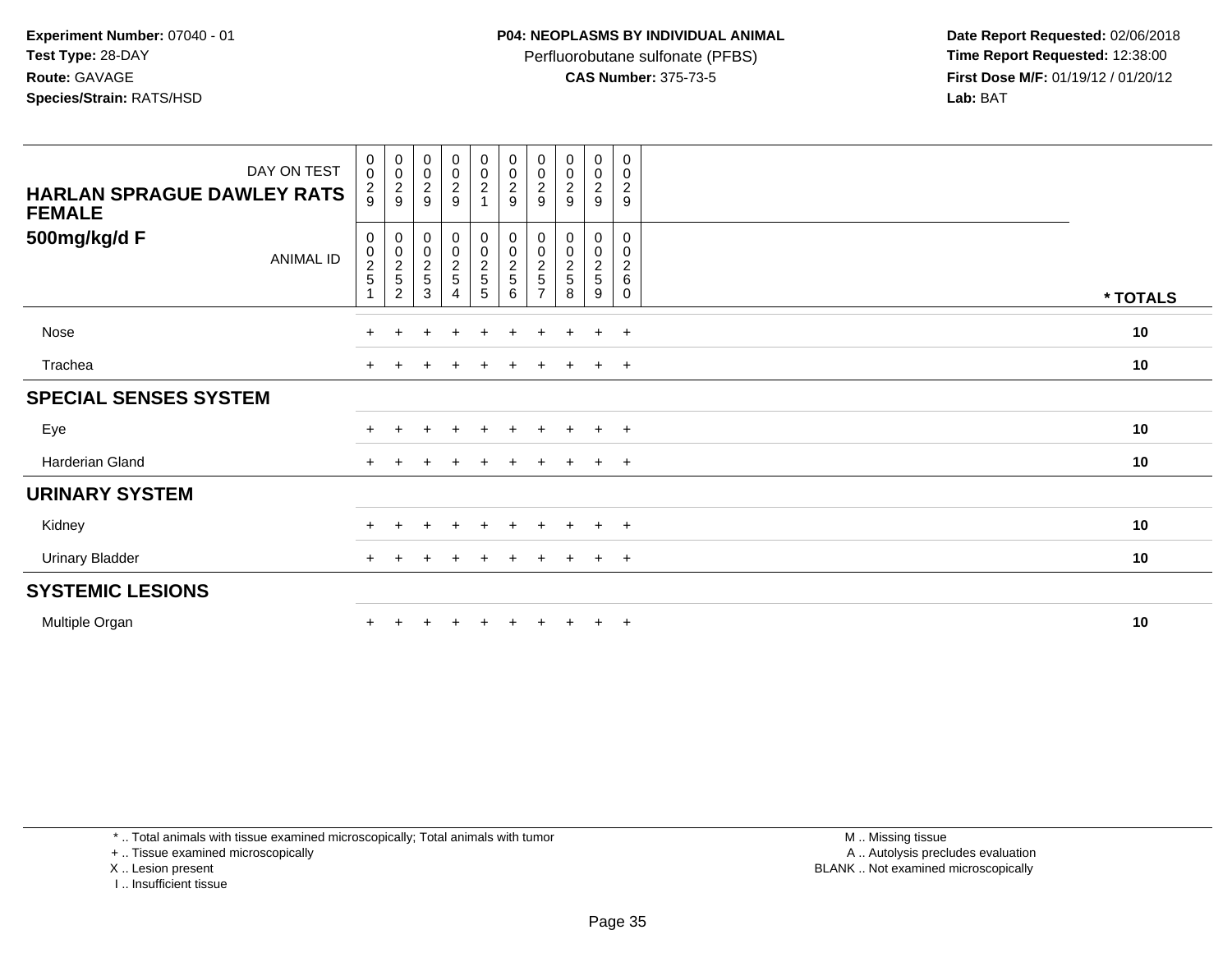Perfluorobutane sulfonate (PFBS)<br>**CAS Number:** 375-73-5

 **Date Report Requested:** 02/06/2018 **First Dose M/F:** 01/19/12 / 01/20/12<br>**Lab:** BAT **Lab:** BAT

| DAY ON TEST<br><b>HARLAN SPRAGUE DAWLEY RATS</b><br><b>FEMALE</b> | $\begin{smallmatrix}0\\0\end{smallmatrix}$<br>$\frac{2}{9}$ | $_{\rm 0}^{\rm 0}$<br>$\frac{2}{9}$                 | $\pmb{0}$<br>$\pmb{0}$<br>$\frac{2}{9}$                                    | $_{\rm 0}^{\rm 0}$<br>$\frac{2}{9}$      | $_{\rm 0}^{\rm 0}$<br>$\frac{2}{1}$                  | $_{\rm 0}^{\rm 0}$<br>$\frac{2}{9}$ | $_{\rm 0}^{\rm 0}$<br>$\frac{2}{9}$ | 0<br>$\pmb{0}$<br>$\frac{2}{9}$                      | 0<br>$\pmb{0}$<br>$\overline{c}$<br>9                | $\mathbf 0$<br>$\pmb{0}$<br>$\sqrt{2}$<br>9               |          |
|-------------------------------------------------------------------|-------------------------------------------------------------|-----------------------------------------------------|----------------------------------------------------------------------------|------------------------------------------|------------------------------------------------------|-------------------------------------|-------------------------------------|------------------------------------------------------|------------------------------------------------------|-----------------------------------------------------------|----------|
| 500mg/kg/d F<br><b>ANIMAL ID</b>                                  | 0<br>$\frac{0}{2}$                                          | $\boldsymbol{0}$<br>$\frac{0}{2}$<br>$\overline{2}$ | $\boldsymbol{0}$<br>$\begin{smallmatrix} 0\\2 \end{smallmatrix}$<br>5<br>3 | $_{\rm 0}^{\rm 0}$<br>$\frac{2}{5}$<br>4 | $\begin{array}{c} 0 \\ 0 \\ 2 \\ 5 \end{array}$<br>5 | 00025<br>6                          | 00025<br>$\overline{ }$             | 0<br>$\begin{array}{c} 0 \\ 2 \\ 5 \end{array}$<br>8 | 0<br>$\begin{array}{c} 0 \\ 2 \\ 5 \end{array}$<br>9 | 0<br>$\pmb{0}$<br>$\boldsymbol{2}$<br>$\,6\,$<br>$\Omega$ | * TOTALS |
| Nose                                                              |                                                             | ÷                                                   | $\pm$                                                                      | $\pm$                                    | $+$                                                  | $+$                                 | $+$                                 | $+$                                                  | $+$                                                  | $+$                                                       | 10       |
| Trachea                                                           | $\pm$                                                       |                                                     |                                                                            |                                          | $\ddot{}$                                            | $\pm$                               | $+$                                 | $\div$                                               | $+$                                                  | $+$                                                       | 10       |
| <b>SPECIAL SENSES SYSTEM</b>                                      |                                                             |                                                     |                                                                            |                                          |                                                      |                                     |                                     |                                                      |                                                      |                                                           |          |
| Eye                                                               |                                                             |                                                     |                                                                            |                                          |                                                      |                                     |                                     |                                                      | $\pm$                                                | $+$                                                       | 10       |
| Harderian Gland                                                   | $\pm$                                                       |                                                     |                                                                            |                                          | $+$                                                  | $\pm$                               |                                     | $+$                                                  | $\ddot{}$                                            | $+$                                                       | 10       |
| <b>URINARY SYSTEM</b>                                             |                                                             |                                                     |                                                                            |                                          |                                                      |                                     |                                     |                                                      |                                                      |                                                           |          |
| Kidney                                                            |                                                             |                                                     | $\pm$                                                                      | $\pm$                                    | $+$                                                  | $+$                                 | $+$                                 | $+$                                                  | $\pm$                                                | $+$                                                       | 10       |
| <b>Urinary Bladder</b>                                            |                                                             |                                                     |                                                                            |                                          | $\pm$                                                | $\pm$                               |                                     | $+$                                                  | $\ddot{}$                                            | $+$                                                       | 10       |
| <b>SYSTEMIC LESIONS</b>                                           |                                                             |                                                     |                                                                            |                                          |                                                      |                                     |                                     |                                                      |                                                      |                                                           |          |
| Multiple Organ                                                    |                                                             |                                                     |                                                                            |                                          |                                                      |                                     |                                     |                                                      | $\ddot{}$                                            | $+$                                                       | 10       |

\* .. Total animals with tissue examined microscopically; Total animals with tumor

+ .. Tissue examined microscopically

X .. Lesion present

I .. Insufficient tissue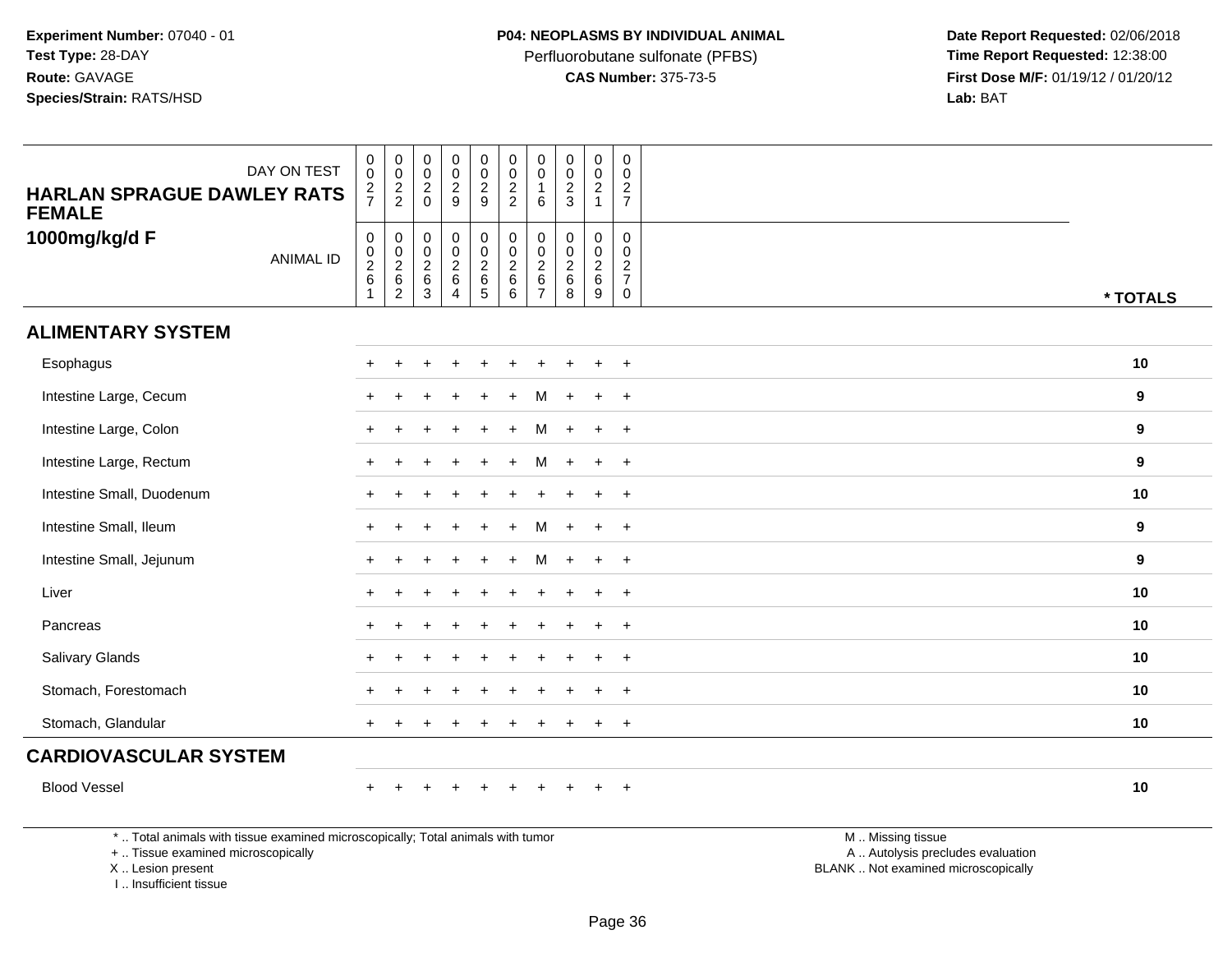Perfluorobutane sulfonate (PFBS)<br>**CAS Number:** 375-73-5

 **Date Report Requested:** 02/06/2018 **First Dose M/F:** 01/19/12 / 01/20/12<br>**Lab:** BAT **Lab:** BAT

| DAY ON TEST<br><b>HARLAN SPRAGUE DAWLEY RATS</b><br><b>FEMALE</b>                                                                          | $\pmb{0}$<br>$\mathbf 0$<br>$\overline{2}$<br>$\overline{7}$ | $\pmb{0}$<br>$\mathbf 0$<br>$\frac{2}{2}$           | $\boldsymbol{0}$<br>$\boldsymbol{0}$<br>$\overline{2}$<br>$\overline{0}$ | $\pmb{0}$<br>$\mathbf 0$<br>$\overline{2}$<br>$\mathsf g$       | $\mathsf{O}\xspace$<br>$\mathbf 0$<br>$\overline{2}$<br>9                  | $\pmb{0}$<br>$\pmb{0}$<br>$\boldsymbol{2}$<br>$\boldsymbol{2}$                  | $\mathbf 0$<br>$\mathbf 0$<br>$\overline{1}$<br>6            | $\mathbf 0$<br>$\mathbf 0$<br>$\frac{2}{3}$                  | $\pmb{0}$<br>$\mathbf 0$<br>$\overline{2}$<br>$\mathbf{1}$    | $\pmb{0}$<br>$\mathbf 0$<br>$rac{2}{7}$                                       |                                                                                               |          |
|--------------------------------------------------------------------------------------------------------------------------------------------|--------------------------------------------------------------|-----------------------------------------------------|--------------------------------------------------------------------------|-----------------------------------------------------------------|----------------------------------------------------------------------------|---------------------------------------------------------------------------------|--------------------------------------------------------------|--------------------------------------------------------------|---------------------------------------------------------------|-------------------------------------------------------------------------------|-----------------------------------------------------------------------------------------------|----------|
| 1000mg/kg/d F<br><b>ANIMAL ID</b>                                                                                                          | $\pmb{0}$<br>$\mathbf 0$<br>$\overline{2}$<br>$\,6\,$<br>1   | 0<br>$\mathbf 0$<br>$\frac{2}{6}$<br>$\overline{c}$ | $\mathbf 0$<br>$\boldsymbol{0}$<br>$\overline{2}$<br>$\,6\,$<br>3        | 0<br>$\mathbf 0$<br>$\overline{2}$<br>$\,6\,$<br>$\overline{4}$ | $\mathsf{O}$<br>$\mathbf 0$<br>$\overline{2}$<br>$\,6\,$<br>$\overline{5}$ | $\pmb{0}$<br>$\mathsf{O}\xspace$<br>$\overline{2}$<br>$\,6\,$<br>$6\phantom{a}$ | $\mathbf 0$<br>$\mathbf 0$<br>2<br>$\,6\,$<br>$\overline{7}$ | $\mathbf 0$<br>$\mathbf 0$<br>$\overline{2}$<br>$\,6\,$<br>8 | 0<br>$\mathbf 0$<br>$\sqrt{2}$<br>$\,6\,$<br>$\boldsymbol{9}$ | $\mathbf 0$<br>$\mathbf 0$<br>$\overline{2}$<br>$\overline{7}$<br>$\mathbf 0$ |                                                                                               | * TOTALS |
| <b>ALIMENTARY SYSTEM</b>                                                                                                                   |                                                              |                                                     |                                                                          |                                                                 |                                                                            |                                                                                 |                                                              |                                                              |                                                               |                                                                               |                                                                                               |          |
| Esophagus                                                                                                                                  |                                                              |                                                     |                                                                          |                                                                 |                                                                            |                                                                                 |                                                              |                                                              |                                                               |                                                                               |                                                                                               | 10       |
| Intestine Large, Cecum                                                                                                                     |                                                              |                                                     |                                                                          |                                                                 |                                                                            |                                                                                 |                                                              |                                                              |                                                               | $\overline{ }$                                                                |                                                                                               | 9        |
| Intestine Large, Colon                                                                                                                     |                                                              |                                                     |                                                                          |                                                                 |                                                                            |                                                                                 |                                                              |                                                              |                                                               | $\overline{ }$                                                                |                                                                                               | 9        |
| Intestine Large, Rectum                                                                                                                    |                                                              |                                                     |                                                                          |                                                                 |                                                                            |                                                                                 | м                                                            |                                                              | $\ddot{+}$                                                    | $\overline{+}$                                                                |                                                                                               | 9        |
| Intestine Small, Duodenum                                                                                                                  |                                                              |                                                     |                                                                          |                                                                 |                                                                            |                                                                                 |                                                              |                                                              |                                                               | $\div$                                                                        |                                                                                               | 10       |
| Intestine Small, Ileum                                                                                                                     |                                                              |                                                     |                                                                          |                                                                 |                                                                            |                                                                                 |                                                              |                                                              |                                                               | $\ddot{}$                                                                     |                                                                                               | 9        |
| Intestine Small, Jejunum                                                                                                                   |                                                              |                                                     |                                                                          |                                                                 |                                                                            | $\div$                                                                          | м                                                            | $\div$                                                       | $\ddot{}$                                                     | $+$                                                                           |                                                                                               | 9        |
| Liver                                                                                                                                      |                                                              |                                                     |                                                                          |                                                                 |                                                                            |                                                                                 |                                                              |                                                              |                                                               | $\div$                                                                        |                                                                                               | 10       |
| Pancreas                                                                                                                                   |                                                              |                                                     |                                                                          |                                                                 |                                                                            |                                                                                 |                                                              |                                                              |                                                               |                                                                               |                                                                                               | 10       |
| Salivary Glands                                                                                                                            |                                                              |                                                     |                                                                          |                                                                 |                                                                            |                                                                                 |                                                              |                                                              |                                                               | $\ddot{}$                                                                     |                                                                                               | 10       |
| Stomach, Forestomach                                                                                                                       |                                                              |                                                     |                                                                          |                                                                 |                                                                            |                                                                                 |                                                              |                                                              |                                                               |                                                                               |                                                                                               | 10       |
| Stomach, Glandular                                                                                                                         |                                                              |                                                     |                                                                          |                                                                 |                                                                            |                                                                                 |                                                              |                                                              |                                                               | $\overline{1}$                                                                |                                                                                               | 10       |
| <b>CARDIOVASCULAR SYSTEM</b>                                                                                                               |                                                              |                                                     |                                                                          |                                                                 |                                                                            |                                                                                 |                                                              |                                                              |                                                               |                                                                               |                                                                                               |          |
| <b>Blood Vessel</b>                                                                                                                        |                                                              |                                                     |                                                                          |                                                                 |                                                                            |                                                                                 |                                                              |                                                              |                                                               | $\ddot{}$                                                                     |                                                                                               | 10       |
| *  Total animals with tissue examined microscopically; Total animals with tumor<br>+  Tissue examined microscopically<br>X  Lesion present |                                                              |                                                     |                                                                          |                                                                 |                                                                            |                                                                                 |                                                              |                                                              |                                                               |                                                                               | M  Missing tissue<br>A  Autolysis precludes evaluation<br>BLANK  Not examined microscopically |          |

I .. Insufficient tissue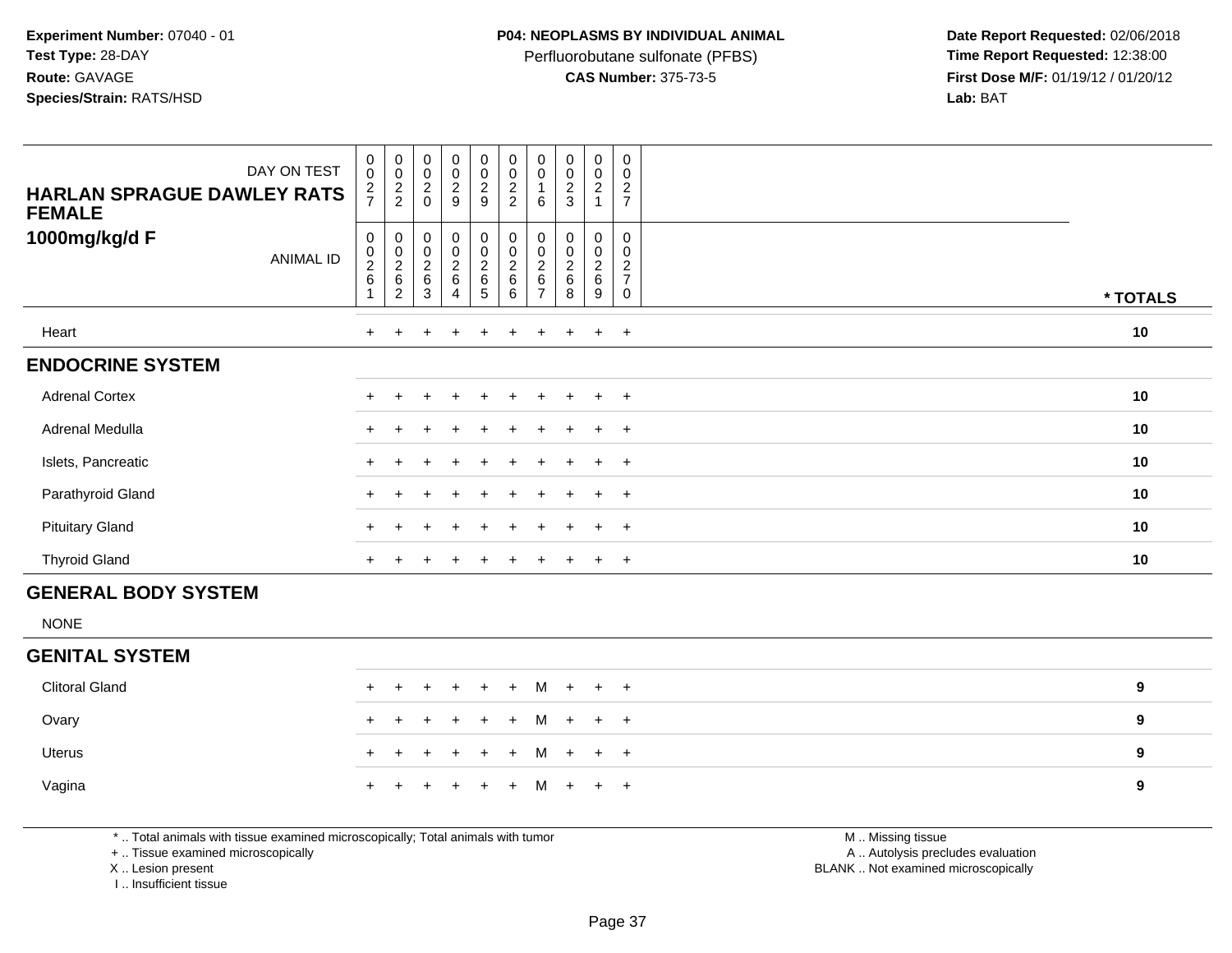Perfluorobutane sulfonate (PFBS)<br>**CAS Number:** 375-73-5

 **Date Report Requested:** 02/06/2018 **First Dose M/F:** 01/19/12 / 01/20/12<br>**Lab:** BAT **Lab:** BAT

| DAY ON TEST<br><b>HARLAN SPRAGUE DAWLEY RATS</b><br><b>FEMALE</b> | $\pmb{0}$<br>$\mathbf 0$<br>$\frac{2}{7}$ | $\begin{array}{c} 0 \\ 0 \\ 2 \\ 2 \end{array}$                           | $\begin{matrix} 0 \\ 0 \\ 2 \\ 0 \end{matrix}$                            | $_{\rm 0}^{\rm 0}$<br>$\frac{2}{9}$                 | $_{\rm 0}^{\rm 0}$<br>$\frac{2}{9}$      | $\begin{smallmatrix}0\0\0\end{smallmatrix}$<br>$\frac{2}{2}$ | $\begin{smallmatrix}0\0\0\end{smallmatrix}$<br>6  | $\begin{smallmatrix} 0\\0 \end{smallmatrix}$<br>$\frac{2}{3}$ | $\begin{smallmatrix} 0\\0 \end{smallmatrix}$<br>$\frac{2}{1}$ | $\boldsymbol{0}$<br>$\pmb{0}$<br>$\overline{c}$<br>$\overline{7}$             |          |
|-------------------------------------------------------------------|-------------------------------------------|---------------------------------------------------------------------------|---------------------------------------------------------------------------|-----------------------------------------------------|------------------------------------------|--------------------------------------------------------------|---------------------------------------------------|---------------------------------------------------------------|---------------------------------------------------------------|-------------------------------------------------------------------------------|----------|
| 1000mg/kg/d F<br><b>ANIMAL ID</b>                                 | 0<br>0<br>$\frac{2}{6}$                   | $\pmb{0}$<br>$\begin{array}{c} 0 \\ 2 \\ 6 \end{array}$<br>$\overline{2}$ | $\mathbf 0$<br>$\begin{array}{c} 0 \\ 2 \\ 6 \end{array}$<br>$\mathbf{3}$ | 0<br>$\begin{matrix} 0 \\ 2 \\ 6 \end{matrix}$<br>4 | $_{\rm 0}^{\rm 0}$<br>$\frac{2}{6}$<br>5 | 0<br>$\pmb{0}$<br>$\frac{2}{6}$<br>6                         | $\pmb{0}$<br>0<br>$\frac{2}{6}$<br>$\overline{7}$ | $\pmb{0}$<br>$\pmb{0}$<br>$\frac{2}{6}$<br>8                  | $\pmb{0}$<br>$\pmb{0}$<br>$\frac{2}{6}$<br>9                  | $\mathbf 0$<br>$\pmb{0}$<br>$\boldsymbol{2}$<br>$\overline{7}$<br>$\mathbf 0$ | * TOTALS |
| Heart                                                             | $+$                                       | $+$                                                                       | $+$                                                                       | $+$                                                 | $+$                                      | $\ddot{}$                                                    | $+$                                               | $\pm$                                                         | $+$                                                           | $+$                                                                           | 10       |
| <b>ENDOCRINE SYSTEM</b>                                           |                                           |                                                                           |                                                                           |                                                     |                                          |                                                              |                                                   |                                                               |                                                               |                                                                               |          |
| <b>Adrenal Cortex</b>                                             |                                           |                                                                           | ÷                                                                         | $+$                                                 | $+$                                      | $+$                                                          | $+$                                               | $+$                                                           | $+$                                                           | $+$                                                                           | 10       |
| Adrenal Medulla                                                   | $\ddot{}$                                 |                                                                           |                                                                           | $\div$                                              | $\div$                                   |                                                              | ÷.                                                | $\div$                                                        | $\pm$                                                         | $+$                                                                           | 10       |
| Islets, Pancreatic                                                | $\pm$                                     |                                                                           |                                                                           | $\pm$                                               | $\ddot{}$                                |                                                              |                                                   | $\pm$                                                         | $+$                                                           | $+$                                                                           | 10       |
| Parathyroid Gland                                                 |                                           |                                                                           |                                                                           |                                                     |                                          |                                                              |                                                   |                                                               | $\pm$                                                         | $+$                                                                           | 10       |
| <b>Pituitary Gland</b>                                            | $+$                                       | $+$                                                                       |                                                                           | $\ddot{}$                                           | $+$                                      | $\ddot{}$                                                    | $+$                                               | $\pm$                                                         | $+$                                                           | $+$                                                                           | 10       |
| <b>Thyroid Gland</b>                                              | $\ddot{}$                                 |                                                                           |                                                                           | ÷                                                   |                                          |                                                              |                                                   |                                                               | $+$                                                           | $+$                                                                           | 10       |
| _________________________                                         |                                           |                                                                           |                                                                           |                                                     |                                          |                                                              |                                                   |                                                               |                                                               |                                                                               |          |

#### **GENERAL BODY SYSTEM**

NONE

### **GENITAL SYSTEM**

| <b>Clitoral Gland</b> |  | + + + + + + M + + + |  |  |  |  | 9 |
|-----------------------|--|---------------------|--|--|--|--|---|
| Ovary                 |  |                     |  |  |  |  |   |
| Uterus                |  |                     |  |  |  |  |   |
| Vagina                |  |                     |  |  |  |  | 9 |

\* .. Total animals with tissue examined microscopically; Total animals with tumor

+ .. Tissue examined microscopically

X .. Lesion present

I .. Insufficient tissue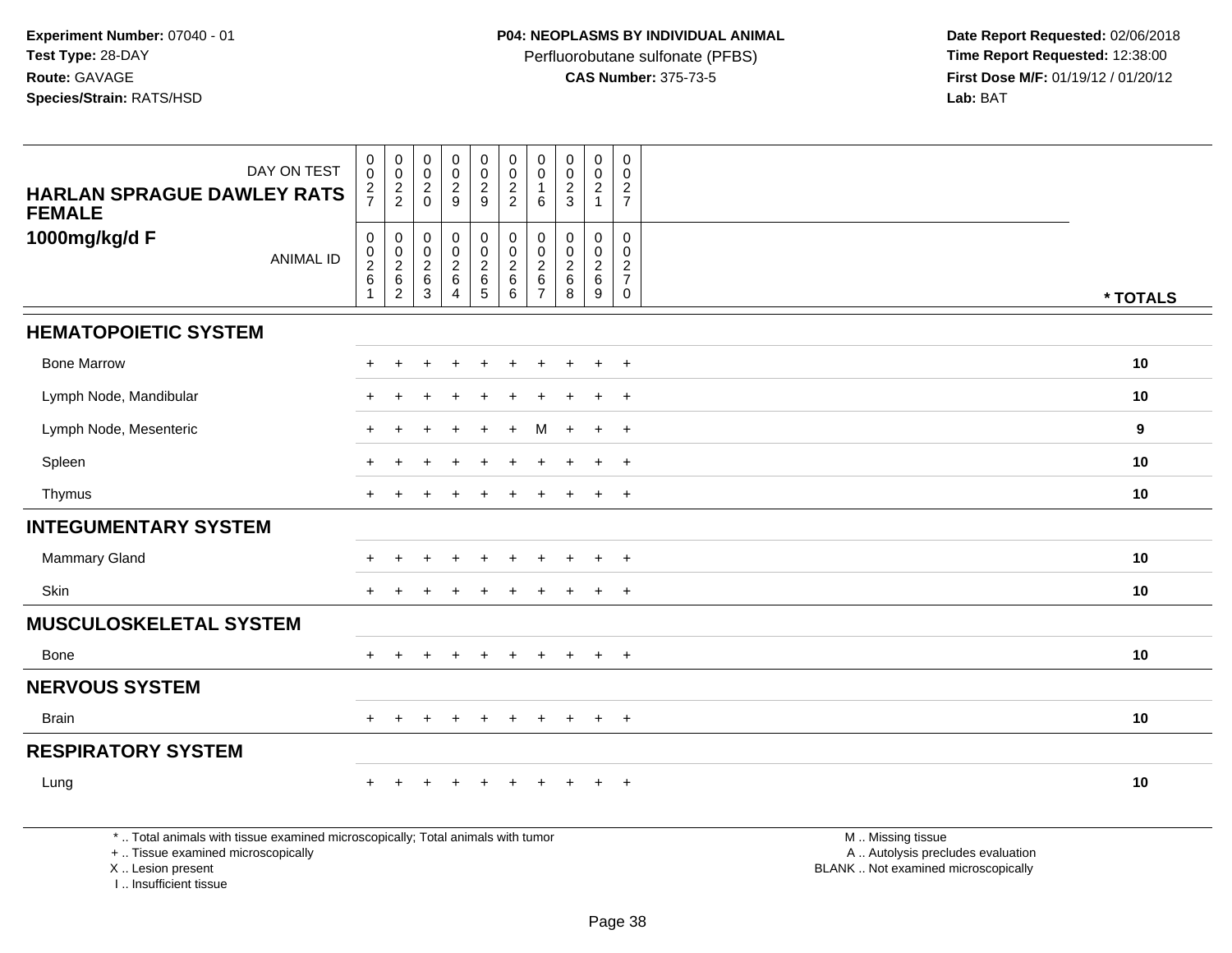Perfluorobutane sulfonate (PFBS)<br>**CAS Number:** 375-73-5

 **Date Report Requested:** 02/06/2018 **First Dose M/F:** 01/19/12 / 01/20/12<br>**Lab:** BAT **Lab:** BAT

| DAY ON TEST                                                                                                                                | $\pmb{0}$<br>$\mathbf 0$                                    | $\boldsymbol{0}$<br>$\mathbf 0$                               | $\pmb{0}$<br>$\mathbf 0$                                     | $\mathbf 0$<br>$\pmb{0}$                                 | $\pmb{0}$<br>$\pmb{0}$                                         | $\mathbf 0$<br>$\mathbf 0$                             | $\pmb{0}$<br>$\mathbf 0$                                             | $\pmb{0}$<br>$\mathbf 0$                            | $\mathbf 0$<br>$\mathbf 0$                         | $\mathbf 0$<br>$\Omega$                                          |                                                                                               |          |
|--------------------------------------------------------------------------------------------------------------------------------------------|-------------------------------------------------------------|---------------------------------------------------------------|--------------------------------------------------------------|----------------------------------------------------------|----------------------------------------------------------------|--------------------------------------------------------|----------------------------------------------------------------------|-----------------------------------------------------|----------------------------------------------------|------------------------------------------------------------------|-----------------------------------------------------------------------------------------------|----------|
| <b>HARLAN SPRAGUE DAWLEY RATS</b><br><b>FEMALE</b>                                                                                         | $\overline{c}$<br>$\overline{7}$                            | $\frac{2}{2}$                                                 | $\sqrt{2}$<br>$\Omega$                                       | $\overline{2}$<br>9                                      | $\overline{a}$<br>9                                            | $\sqrt{2}$<br>$\overline{2}$                           | $\overline{1}$<br>6                                                  | $\overline{c}$<br>3                                 | $\sqrt{2}$<br>$\mathbf{1}$                         | $\overline{2}$<br>$\overline{7}$                                 |                                                                                               |          |
| 1000mg/kg/d F<br><b>ANIMAL ID</b>                                                                                                          | $\pmb{0}$<br>$\pmb{0}$<br>$\sqrt{2}$<br>6<br>$\overline{1}$ | $\mathbf 0$<br>$\mathbf 0$<br>$\frac{2}{6}$<br>$\overline{2}$ | $\pmb{0}$<br>$\pmb{0}$<br>$^2\phantom{1}6$<br>$\overline{3}$ | 0<br>0<br>$\overline{\mathbf{c}}$<br>6<br>$\overline{4}$ | 0<br>$\mathbf 0$<br>$\begin{array}{c} 2 \\ 6 \\ 5 \end{array}$ | $\mathbf 0$<br>$\mathbf 0$<br>$\frac{2}{6}$<br>$\,6\,$ | $\mathbf 0$<br>$\mathbf{0}$<br>$\overline{2}$<br>6<br>$\overline{7}$ | $\mathbf 0$<br>$\Omega$<br>$\overline{c}$<br>6<br>8 | $\mathbf 0$<br>0<br>$\overline{c}$<br>$\,6\,$<br>9 | 0<br>$\Omega$<br>$\overline{c}$<br>$\overline{7}$<br>$\mathbf 0$ |                                                                                               | * TOTALS |
| <b>HEMATOPOIETIC SYSTEM</b>                                                                                                                |                                                             |                                                               |                                                              |                                                          |                                                                |                                                        |                                                                      |                                                     |                                                    |                                                                  |                                                                                               |          |
| <b>Bone Marrow</b>                                                                                                                         |                                                             |                                                               |                                                              |                                                          |                                                                |                                                        |                                                                      |                                                     |                                                    | $\overline{+}$                                                   |                                                                                               | 10       |
| Lymph Node, Mandibular                                                                                                                     |                                                             |                                                               |                                                              |                                                          |                                                                |                                                        |                                                                      |                                                     |                                                    | $\ddot{}$                                                        |                                                                                               | 10       |
| Lymph Node, Mesenteric                                                                                                                     |                                                             |                                                               |                                                              |                                                          |                                                                |                                                        | м                                                                    |                                                     | $\ddot{}$                                          | $+$                                                              |                                                                                               | 9        |
| Spleen                                                                                                                                     |                                                             |                                                               |                                                              |                                                          |                                                                |                                                        |                                                                      |                                                     |                                                    | $\overline{+}$                                                   |                                                                                               | 10       |
| Thymus                                                                                                                                     | $+$                                                         |                                                               |                                                              |                                                          |                                                                |                                                        |                                                                      |                                                     | $\ddot{}$                                          | $+$                                                              |                                                                                               | 10       |
| <b>INTEGUMENTARY SYSTEM</b>                                                                                                                |                                                             |                                                               |                                                              |                                                          |                                                                |                                                        |                                                                      |                                                     |                                                    |                                                                  |                                                                                               |          |
| <b>Mammary Gland</b>                                                                                                                       |                                                             |                                                               |                                                              | $\div$                                                   |                                                                |                                                        |                                                                      |                                                     | $\pm$                                              | $\overline{+}$                                                   |                                                                                               | 10       |
| Skin                                                                                                                                       | $+$                                                         |                                                               |                                                              |                                                          |                                                                |                                                        |                                                                      |                                                     | $\ddot{}$                                          | $+$                                                              |                                                                                               | 10       |
| <b>MUSCULOSKELETAL SYSTEM</b>                                                                                                              |                                                             |                                                               |                                                              |                                                          |                                                                |                                                        |                                                                      |                                                     |                                                    |                                                                  |                                                                                               |          |
| Bone                                                                                                                                       |                                                             |                                                               |                                                              |                                                          |                                                                |                                                        |                                                                      |                                                     | $\ddot{}$                                          | $+$                                                              |                                                                                               | 10       |
| <b>NERVOUS SYSTEM</b>                                                                                                                      |                                                             |                                                               |                                                              |                                                          |                                                                |                                                        |                                                                      |                                                     |                                                    |                                                                  |                                                                                               |          |
| <b>Brain</b>                                                                                                                               | $+$                                                         | $\pm$                                                         |                                                              | $+$                                                      | $+$                                                            | $+$                                                    | $+$                                                                  | $+$                                                 | $+$                                                | $+$                                                              |                                                                                               | 10       |
| <b>RESPIRATORY SYSTEM</b>                                                                                                                  |                                                             |                                                               |                                                              |                                                          |                                                                |                                                        |                                                                      |                                                     |                                                    |                                                                  |                                                                                               |          |
| Lung                                                                                                                                       |                                                             |                                                               |                                                              |                                                          |                                                                |                                                        |                                                                      |                                                     |                                                    | $\overline{+}$                                                   |                                                                                               | 10       |
| *  Total animals with tissue examined microscopically; Total animals with tumor<br>+  Tissue examined microscopically<br>X  Lesion present |                                                             |                                                               |                                                              |                                                          |                                                                |                                                        |                                                                      |                                                     |                                                    |                                                                  | M  Missing tissue<br>A  Autolysis precludes evaluation<br>BLANK  Not examined microscopically |          |

I .. Insufficient tissue